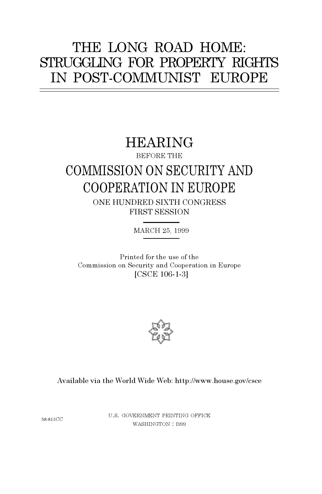# THE LONG ROAD HOME: STRUGGLING FOR PROPERTY RIGHTS IN POST-COMMUNIST EUROPE

## HEARING

BEFORE THE

# COMMISSION ON SECURITY AND COOPERATION IN EUROPE

ONE HUNDRED SIXTH CONGRESS FIRST SESSION

MARCH 25, 1999

Printed for the use of the Commission on Security and Cooperation in Europe [CSCE 106-1-3]



## Available via the World Wide Web: http://www.house.gov/csce

58-813CC

U.S. GOVERNMENT PRINTING OFFICE WASHINGTON : <sup>I</sup><sup>999</sup>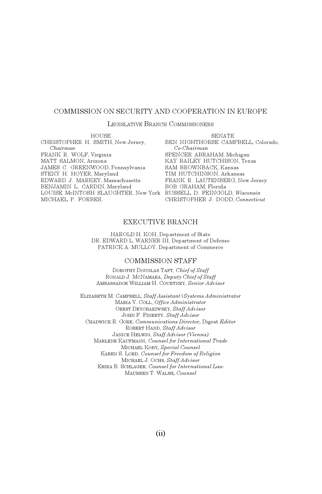#### COMMISSION ON SECURITY AND COOPERATION IN EUROPE

#### LEGISLATIVE BRANCH COMMISSIONERS

| <b>HOUSE</b>                                                       | <b>SENATE</b>                      |
|--------------------------------------------------------------------|------------------------------------|
| CHRISTOPHER H. SMITH, New Jersey,                                  | BEN NIGHTHORSE CAMPBELL, Colorado, |
| Chairman                                                           | $Co-Chairman$                      |
| FRANK R. WOLF, Virginia                                            | SPENCER ABRAHAM, Michigan          |
| MATT SALMON, Arizona                                               | KAY BAILEY HUTCHISON, Texas        |
| JAMES C. GREENWOOD, Pennsylvania                                   | SAM BROWNBACK, Kansas              |
| STENY H. HOYER, Maryland                                           | TIM HUTCHINSON, Arkansas           |
| EDWARD J. MARKEY, Massachusetts                                    | FRANK R. LAUTENBERG, New Jersey    |
| BENJAMIN L. CARDIN, Maryland                                       | BOB GRAHAM, Florida                |
| LOUISE McINTOSH SLAUGHTER, New York RUSSELL D. FEINGOLD, Wisconsin |                                    |
| MICHAEL P. FORBES.                                                 | CHRISTOPHER J. DODD, Connecticut   |
|                                                                    |                                    |

#### EXECUTIVE BRANCH

HAROLD H. KOH, Department of State DR. EDWARD L. WARNER III, Department of Defense PATRICK A. MULLOY, Department of Commerce

#### COMMISSION STAFF

DOROTHY DOUGLAS TAFT, *Chief of Staff* RONALD J. MCNAMARA, *Deputy Chief of Staff* AMBASSADOR WILLIAM H. COURTNEY, *Senior Advisor*

ELIZABETH M. CAMPBELL, *Staff Assistant\Systems Administrator* MARIA V. COLL, *Office Administrator* OREST DEYCHAKIWSKY, *Staff Advisor* JOHN F. FINERTY, *Staff Advisor* CHADWICK R. GORE, *Communications Director,* Digest *Editor* ROBERT HAND, *Staff Advisor* JANICE HELWIG, *Staff Advisor (Vienna)* MARLENE KAUFMANN, *Counsel for International Trade* MICHAEL KOBY*, Special Counsel* KAREN S. LORD, *Counsel for Freedom of Religion* MICHAEL J. OCHS, *Staff Advisor* ERIKA B. SCHLAGER, *Counsel for International Law* MAUREEN T. WALSH*, Counsel*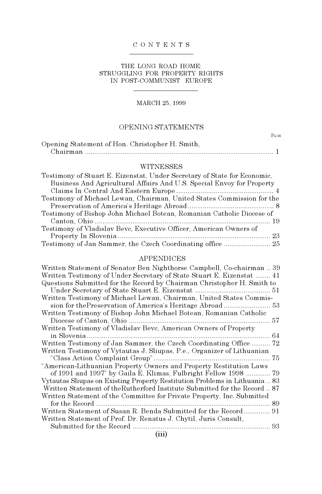#### CONTENTS

#### THE LONG ROAD HOME: STRUGGLING FOR PROPERTY RIGHTS IN POST-COMMUNIST EUROPE

#### MARCH 25, 1999

### OPENING STATEMENTS

PAGE

| Opening Statement of Hon. Christopher H. Smith, |  |
|-------------------------------------------------|--|
|                                                 |  |

#### WITNESSES

| Testimony of Stuart E. Eizenstat, Under Secretary of State for Economic, |
|--------------------------------------------------------------------------|
| Business And Agricultural Affairs And U.S. Special Envoy for Property    |
|                                                                          |
| Testimony of Michael Lewan, Chairman, United States Commission for the   |
|                                                                          |
| Testimony of Bishop John Michael Botean, Romanian Catholic Diocese of    |
|                                                                          |
| Testimony of Vladislav Bevc, Executive Officer, American Owners of       |
|                                                                          |
|                                                                          |

#### APPENDICES

| Written Statement of Senator Ben Nighthorse Campbell, Co-chairman  39      |  |
|----------------------------------------------------------------------------|--|
| Written Testimony of Under Secretary of State Stuart E. Eizenstat  41      |  |
| Questions Submitted for the Record by Chairman Christopher H. Smith to     |  |
|                                                                            |  |
| Written Testimony of Michael Lewan, Chairman, United States Commis-        |  |
|                                                                            |  |
| Written Testimony of Bishop John Michael Botean, Romanian Catholic         |  |
|                                                                            |  |
| Written Testimony of Vladislav Bevc, American Owners of Property           |  |
|                                                                            |  |
| Written Testimony of Jan Sammer, the Czech Coordinating Office  72         |  |
| Written Testimony of Vytautas J. Sliupas, P.e., Organizer of Lithuanian    |  |
|                                                                            |  |
| "American-Lithuanian Property Owners and Property Restitution Laws         |  |
| of 1991 and 1997" by Gaila E. Klimas, Fulbright Fellow 1998  79            |  |
| Vytautas Sliupas on Existing Property Restitution Problems in Lithuania 83 |  |
| Written Statement of the Rutherford Institute Submitted for the Record87   |  |
| Written Statement of the Committee for Private Property, Inc. Submitted    |  |
|                                                                            |  |
| Written Statement of Susan R. Benda Submitted for the Record  91           |  |
| Written Statement of Prof. Dr. Renatus J. Chytil, Juris Consult,           |  |
|                                                                            |  |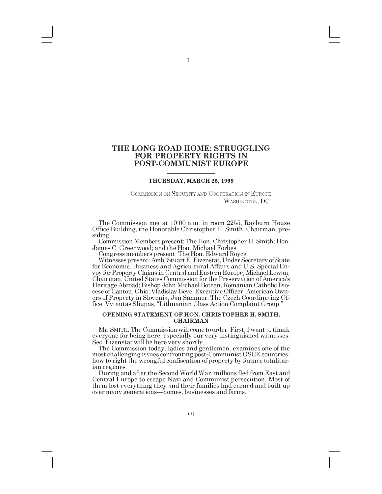## **THE LONG ROAD HOME: STRUGGLING FOR PROPERTY RIGHTS IN POST-COMMUNIST EUROPE**

#### **THURSDAY, MARCH 25, 1999**

COMMISSION ON SECURITY AND COOPERATION IN EUROPE WASHINGTON, DC.

The Commission met at 10:00 a.m. in room 2255, Rayburn House Office Building, the Honorable Christopher H. Smith, Chairman, presiding.

Commission Members present: The Hon. Christopher H. Smith; Hon. James C. Greenwood; and the Hon. Michael Forbes.

Congress members present: The Hon. Edward Royce.

Witnesses present: Amb. Stuart E. Eizenstat, Under Secretary of State for Economic, Business and Agricultural Affairs and U.S. Special Envoy for Property Claims in Central and Eastern Europe; Michael Lewan, Chairman, United States Commission for the Preservation of America's Heritage Abroad; Bishop John Michael Botean, Romanian Catholic Diocese of Canton, Ohio; Vladislav Bevc, Executive Officer, American Owners of Property in Slovenia; Jan Sammer, The Czech Coordinating Office; Vytautas Sliupas, "Lithuanian Class Action Complaint Group."

#### **OPENING STATEMENT OF HON. CHRISTOPHER H. SMITH, CHAIRMAN**

Mr. SMITH. The Commission will come to order. First, I want to thank everyone for being here, especially our very distinguished witnesses. Sec. Eizenstat will be here very shortly.

most challenging issues confronting post-Communist OSCE countries: how to right the wrongful confiscation of property by former totalitar-

ian regimes. During and after the Second World War, millions fled from East and Central Europe to escape Nazi and Communist persecution. Most of them lost everything they and their families had earned and built up over many generations—homes, businesses and farms.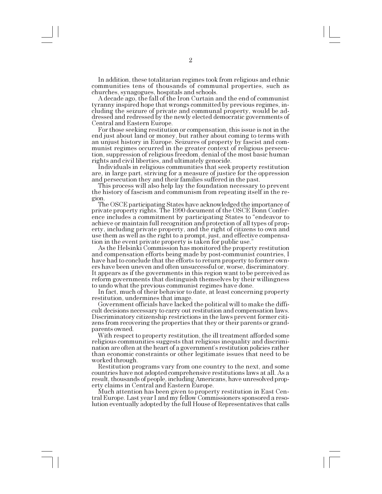In addition, these totalitarian regimes took from religious and ethnic communities tens of thousands of communal properties, such as

A decade ago, the fall of the Iron Curtain and the end of communist tyranny inspired hope that wrongs committed by previous regimes, including the seizure of private and communal property, would be addressed and redressed by the newly elected democratic governments of Central and Eastern Europe.

For those seeking restitution or compensation, this issue is not in the end just about land or money, but rather about coming to terms with an unjust history in Europe. Seizures of property by fascist and communist regimes occurred in the greater context of religious persecution, suppression of religious freedom, denial of the most basic human rights and civil liberties, and ultimately genocide.

are, in large part, striving for a measure of justice for the oppression and persecution they and their families suffered in the past.

the history of fascism and communism from repeating itself in the re-

gion.<br>The OSCE participating States have acknowledged the importance of private property rights. The 1990 document of the OSCE Bonn Conference includes a commitment by participating States to "endeavor to" achieve or maintain full recognition and protection of all types of property, including private property, and the right of citizens to own and use them as well as the right to a prompt, just, and effective compensation in the event private property is taken for public use.

As the Helsinki Commission has monitored the property restitution and compensation efforts being made by post-communist countries, I have had to conclude that the efforts to return property to former owners have been uneven and often unsuccessful or, worse, discriminatory. It appears as if the governments in this region want to be perceived as reform governments that distinguish themselves by their willingness to undo what the previous communist regimes have done.

In fact, much of their behavior to date, at least concerning property restitution, undermines that image.

Government officials have lacked the political will to make the difficult decisions necessary to carry out restitution and compensation laws. Discriminatory citizenship restrictions in the laws prevent former citizens from recovering the properties that they or their parents or grandparents owned.

With respect to property restitution, the ill treatment afforded some religious communities suggests that religious inequality and discrimination are often at the heart of a government's restitution policies rather than economic constraints or other legitimate issues that need to be worked through.

Restitution programs vary from one country to the next, and some countries have not adopted comprehensive restitutions laws at all. As a result, thousands of people, including Americans, have unresolved prop-

erty claims in Central and Eastern Europe.<br>Much attention has been given to property restitution in East Central Europe. Last year I and my fellow Commissioners sponsored a resolution eventually adopted by the full House of Representatives that calls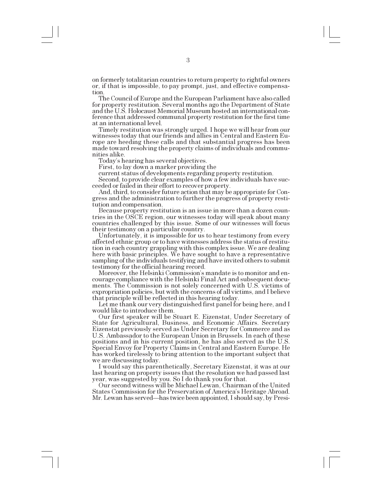on formerly totalitarian countries to return property to rightful owners or, if that is impossible, to pay prompt, just, and effective compensation.

The Council of Europe and the European Parliament have also called for property restitution. Several months ago the Department of State and the U.S. Holocaust Memorial Museum hosted an international conference that addressed communal property restitution for the first time at an international level.<br>Timely restitution was strongly urged. I hope we will hear from our

witnesses today that our friends and allies in Central and Eastern Europe are heeding these calls and that substantial progress has been made toward resolving the property claims of individuals and communities alike.

Todays hearing has several objectives.

First, to lay down a marker providing the

current status of developments regarding property restitution.

Second, to provide clear examples of how a few individuals have succeeded or failed in their effort to recover property.

And, third, to consider future action that may be appropriate for Congress and the administration to further the progress of property restitution and compensation.

Because property restitution is an issue in more than a dozen countries in the OSCE region, our witnesses today will speak about many countries challenged by this issue. Some of our witnesses will focus their testimony on a particular country.

Unfortunately, it is impossible for us to hear testimony from every affected ethnic group or to have witnesses address the status of restitution in each country grappling with this complex issue. We are dealing here with basic principles. We have sought to have a representative sampling of the individuals testifying and have invited others to submit testimony for the official hearing record.

Moreover, the Helsinki Commission's mandate is to monitor and encourage compliance with the Helsinki Final Act and subsequent documents. The Commission is not solely concerned with U.S. victims of expropriation policies, but with the concerns of all victims, and I believe that principle will be reflected in this hearing today.

Let me thank our very distinguished first panel for being here, and I

would like to introduce them.<br>Our first speaker will be Stuart E. Eizenstat, Under Secretary of State for Agricultural, Business, and Economic Affairs. Secretary Eizenstat previously served as Under Secretary for Commerce and as U.S. Ambassador to the European Union in Brussels. In each of these positions and in his current position, he has also served as the U.S. Special Envoy for Property Claims in Central and Eastern Europe. He has worked tirelessly to bring attention to the important subject that we are discussing today.

I would say this parenthetically, Secretary Eizenstat, it was at our last hearing on property issues that the resolution we had passed last year, was suggested by you. So I do thank you for that.

Our second witness will be Michael Lewan, Chairman of the United States Commission for the Preservation of America's Heritage Abroad. Mr. Lewan has served—has twice been appointed, I should say, by Presi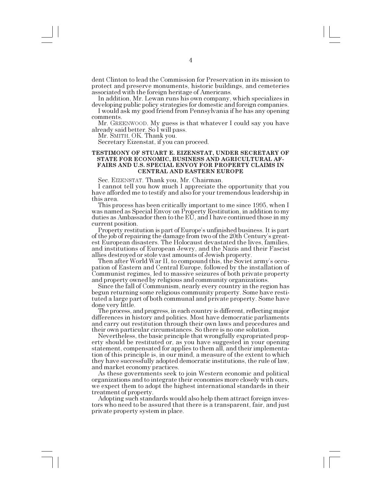dent Clinton to lead the Commission for Preservation in its mission to protect and preserve monuments, historic buildings, and cemeteries associated with the foreign heritage of Americans.

In addition, Mr. Lewan runs his own company, which specializes in developing public policy strategies for domestic and foreign companies.

I would ask my good friend from Pennsylvania if he has any opening comments.

Mr. GREENWOOD. My guess is that whatever I could say you have already said better. So I will pass.

Mr. SMITH. OK. Thank you.

Secretary Eizenstat, if you can proceed.

#### **TESTIMONY OF STUART E. EIZENSTAT, UNDER SECRETARY OF STATE FOR ECONOMIC, BUSINESS AND AGRICULTURAL AF-FAIRS AND U.S. SPECIAL ENVOY FOR PROPERTY CLAIMS IN CENTRAL AND EASTERN EUROPE**

Sec. EIZENSTAT. Thank you, Mr. Chairman.

I cannot tell you how much I appreciate the opportunity that you have afforded me to testify and also for your tremendous leadership in this area.

This process has been critically important to me since 1995, when I was named as Special Envoy on Property Restitution, in addition to my duties as Ambassador then to the EU, and I have continued those in my current position.<br>Property restitution is part of Europe's unfinished business. It is part

of the job of repairing the damage from two of the 20th Century's greatest European disasters. The Holocaust devastated the lives, families, and institutions of European Jewry, and the Nazis and their Fascist allies destroyed or stole vast amounts of Jewish property.

Then after World War II, to compound this, the Soviet armys occupation of Eastern and Central Europe, followed by the installation of Communist regimes, led to massive seizures of both private property and property owned by religious and community organizations.

Since the fall of Communism, nearly every country in the region has begun returning some religious community property. Some have restituted a large part of both communal and private property. Some have

The process, and progress, in each country is different, reflecting major differences in history and politics. Most have democratic parliaments and carry out restitution through their own laws and procedures and their own particular circumstances. So there is no one solution.

Nevertheless, the basic principle that wrongfully expropriated property should be restituted or, as you have suggested in your opening statement, compensated for applies to them all, and their implementation of this principle is, in our mind, a measure of the extent to which they have successfully adopted democratic institutions, the rule of law, and market economy practices.

As these governments seek to join Western economic and political organizations and to integrate their economies more closely with ours, we expect them to adopt the highest international standards in their treatment of property.<br>Adopting such standards would also help them attract foreign inves-

tors who need to be assured that there is a transparent, fair, and just private property system in place.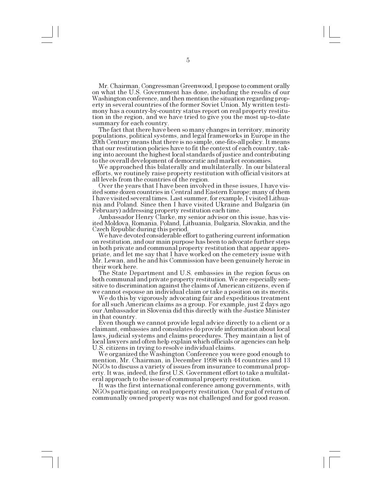Mr. Chairman, Congressman Greenwood, I propose to comment orally on what the U.S. Government has done, including the results of our Washington conference, and then mention the situation regarding property in several countries of the former Soviet Union. My written testimony has a country-by-country status report on real property restitution in the region, and we have tried to give you the most up-to-date summary for each country.<br>The fact that there have been so many changes in territory, minority

populations, political systems, and legal frameworks in Europe in the 20th Century means that there is no simple, one-fits-all policy. It means that our restitution policies have to fit the context of each country, taking into account the highest local standards of justice and contributing

to the overall development of democratic and market economies.<br>We approached this bilaterally and multilaterally. In our bilateral efforts, we routinely raise property restitution with official visitors at all levels from the countries of the region.<br>Over the years that I have been involved in these issues, I have vis-

ited some dozen countries in Central and Eastern Europe; many of them I have visited several times. Last summer, for example, I visited Lithuania and Poland. Since then I have visited Ukraine and Bulgaria (in February) addressing property restitution each time.

Ambassador Henry Clarke, my senior advisor on this issue, has visited Moldova, Romania, Poland, Lithuania, Bulgaria, Slovakia, and the Czech Republic during this period.

We have devoted considerable effort to gathering current information on restitution, and our main purpose has been to advocate further steps in both private and communal property restitution that appear appropriate, and let me say that I have worked on the cemetery issue with Mr. Lewan, and he and his Commission have been genuinely heroic in their work here.

The State Department and U.S. embassies in the region focus on both communal and private property restitution. We are especially sensitive to discrimination against the claims of American citizens, even if we cannot espouse an individual claim or take a position on its merits.

We do this by vigorously advocating fair and expeditious treatment for all such American claims as a group. For example, just 2 days ago our Ambassador in Slovenia did this directly with the Justice Minister in that country.

Even though we cannot provide legal advice directly to a client or a claimant, embassies and consulates do provide information about local laws, judicial systems and claims procedures. They maintain a list of local lawyers and often help explain which officials or agencies can help U.S. citizens in trying to resolve individual claims.

We organized the Washington Conference you were good enough to mention, Mr. Chairman, in December 1998 with 44 countries and 13 NGOs to discuss a variety of issues from insurance to communal property. It was, indeed, the first U.S. Government effort to take a multilateral approach to the issue of communal property restitution.

It was the first international conference among governments, with NGOs participating, on real property restitution. Our goal of return of communally owned property was not challenged and for good reason.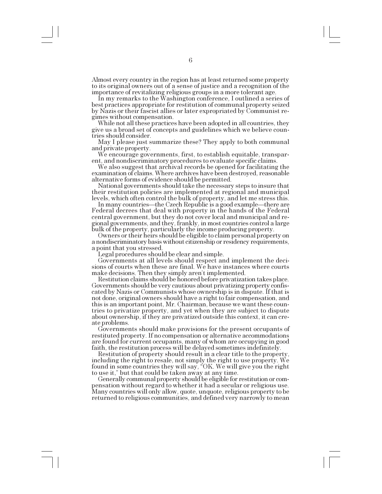Almost every country in the region has at least returned some property to its original owners out of a sense of justice and a recognition of the

In my remarks to the Washington conference, I outlined a series of best practices appropriate for restitution of communal property seized by Nazis or their fascist allies or later expropriated by Communist regimes without compensation.

While not all these practices have been adopted in all countries, they give us a broad set of concepts and guidelines which we believe countries should consider.

May I please just summarize these? They apply to both communal and private property. We encourage governments, first, to establish equitable, transpar-

ent, and nondiscriminatory procedures to evaluate specific claims.

examination of claims. Where archives have been destroyed, reasonable alternative forms of evidence should be permitted.

National governments should take the necessary steps to insure that their restitution policies are implemented at regional and municipal

levels, which often control the bulk of property, and let me stress this. Federal decrees that deal with property in the hands of the Federal central government, but they do not cover local and municipal and regional governments, and they, frankly, in most countries control a large bulk of the property, particularly the income producing property.

Owners or their heirs should be eligible to claim personal property on a nondiscriminatory basis without citizenship or residency requirements, a point that you stressed.

Legal procedures should be clear and simple.

Governments at all levels should respect and implement the decisions of courts when these are final. We have instances where courts make decisions. Then they simply aren't implemented.

Restitution claims should be honored before privatization takes place. Governments should be very cautious about privatizing property confiscated by Nazis or Communists whose ownership is in dispute. If that is not done, original owners should have a right to fair compensation, and this is an important point, Mr. Chairman, because we want these countries to privatize property, and yet when they are subject to dispute about ownership, if they are privatized outside this context, it can create problems.

Governments should make provisions for the present occupants of restituted property. If no compensation or alternative accommodations are found for current occupants, many of whom are occupying in good faith, the restitution process will be delayed sometimes indefinitely.

Restitution of property should result in a clear title to the property, including the right to resale, not simply the right to use property. We found in some countries they will say, "OK. We will give you the right<br>to use it," but that could be taken away at any time.

Generally communal property should be eligible for restitution or compensation without regard to whether it had a secular or religious use. Many countries will only allow, quote, unquote, religious property to be returned to religious communities, and defined very narrowly to mean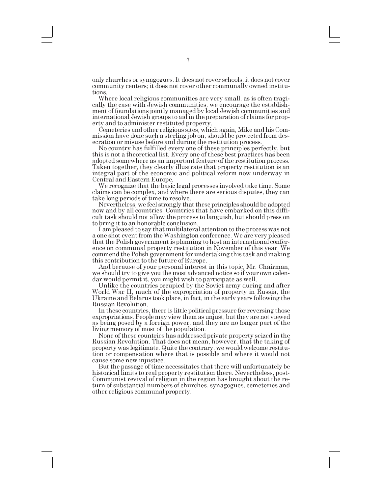only churches or synagogues. It does not cover schools; it does not cover community centers; it does not cover other communally owned institutions.

Where local religious communities are very small, as is often tragically the case with Jewish communities, we encourage the establishment of foundations jointly managed by local Jewish communities and international Jewish groups to aid in the preparation of claims for property and to administer restituted property.<br>Cemeteries and other religious sites, which again, Mike and his Com-

mission have done such a sterling job on, should be protected from desecration or misuse before and during the restitution process.<br>No country has fulfilled every one of these principles perfectly, but

this is not a theoretical list. Every one of these best practices has been adopted somewhere as an important feature of the restitution process. Taken together, they clearly illustrate that property restitution is an integral part of the economic and political reform now underway in Central and Eastern Europe.

We recognize that the basic legal processes involved take time. Some claims can be complex, and where there are serious disputes, they can take long periods of time to resolve.<br>Nevertheless, we feel strongly that these principles should be adopted

now and by all countries. Countries that have embarked on this difficult task should not allow the process to languish, but should press on to bring it to an honorable conclusion.

I am pleased to say that multilateral attention to the process was not a one shot event from the Washington conference. We are very pleased that the Polish government is planning to host an international conference on communal property restitution in November of this year. We commend the Polish government for undertaking this task and making this contribution to the future of Europe.

And because of your personal interest in this topic, Mr. Chairman, we should try to give you the most advanced notice so if your own calen-

dar would permit it, you might wish to participate as well. Unlike the countries occupied by the Soviet army during and after World War II, much of the expropriation of property in Russia, the Ukraine and Belarus took place, in fact, in the early years following the Russian Revolution.

In these countries, there is little political pressure for reversing those expropriations. People may view them as unjust, but they are not viewed as being posed by a foreign power, and they are no longer part of the living memory of most of the population.

None of these countries has addressed private property seized in the Russian Revolution. That does not mean, however, that the taking of property was legitimate. Quite the contrary, we would welcome restitution or compensation where that is possible and where it would not cause some new injustice.

But the passage of time necessitates that there will unfortunately be historical limits to real property restitution there. Nevertheless, post-Communist revival of religion in the region has brought about the return of substantial numbers of churches, synagogues, cemeteries and other religious communal property.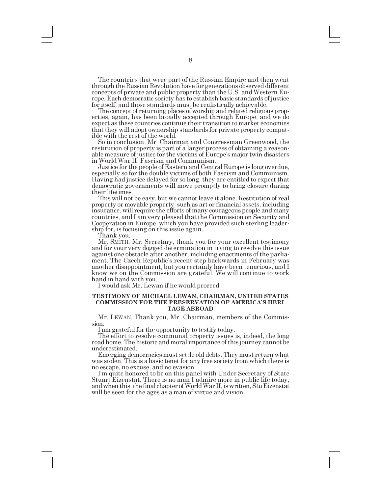The countries that were part of the Russian Empire and then went through the Russian Revolution have for generations observed different concepts of private and public property than the U.S. and Western Europe. Each democratic society has to establish basic standards of justice for itself, and those standards must be realistically achievable.

The concept of returning places of worship and related religious properties, again, has been broadly accepted through Europe, and we do expect as these countries continue their transition to market economies that they will adopt ownership standards for private property compatible with the rest of the world.

So in conclusion, Mr. Chairman and Congressman Greenwood, the restitution of property is part of a larger process of obtaining a reasonable measure of justice for the victims of Europe's major twin disasters in World War II: Fascism and Communism.

especially so for the double victims of both Fascism and Communism. Having had justice delayed for so long, they are entitled to expect that democratic governments will move promptly to bring closure during their lifetimes.

This will not be easy, but we cannot leave it alone. Restitution of real property or movable property, such as art or financial assets, including insurance, will require the efforts of many courageous people and many countries, and I am very pleased that the Commission on Security and Cooperation in Europe, which you have provided such sterling leadership for, is focusing on this issue again.

Thank you.

Mr. SMITH. Mr. Secretary, thank you for your excellent testimony and for your very dogged determination in trying to resolve this issue against one obstacle after another, including enactments of the parliament. The Czech Republic's recent step backwards in February was another disappointment, but you certainly have been tenacious, and I know we on the Commission are grateful. We will continue to work

hand in hand with you. I would ask Mr. Lewan if he would proceed.

#### **TESTIMONY OF MICHAEL LEWAN, CHAIRMAN, UNITED STATES COMMISSION FOR THE PRESERVATION OF AMERICAS HERI-TAGE ABROAD**

Mr. LEWAN. Thank you, Mr. Chairman, members of the Commission.

I am grateful for the opportunity to testify today.

The effort to resolve communal property issues is, indeed, the long road home. The historic and moral importance of this journey cannot be underestimated.

Emerging democracies must settle old debts. They must return what was stolen. This is a basic tenet for any free society from which there is no escape, no excuse, and no evasion.

Im quite honored to be on this panel with Under Secretary of State Stuart Eizenstat. There is no man I admire more in public life today, and when this, the final chapter of World War II, is written, Stu Eizenstat will be seen for the ages as a man of virtue and vision.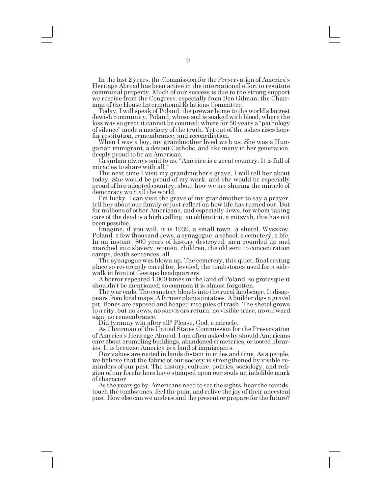In the last 2 years, the Commission for the Preservation of America's Heritage Abroad has been active in the international effort to restitute communal property. Much of our success is due to the strong support we receive from the Congress, especially from Ben Gilman, the Chairman of the House International Relations Committee.

Today, I will speak of Poland, the prewar home to the world's largest Jewish community, Poland, whose soil is soaked with blood, where the loss was so great it cannot be counted; where for 50 years a "pathology" of silence" made a mockery of the truth. Yet out of the ashes rises hope for restitution, remembrance, and reconciliation.

When I was a boy, my grandmother lived with us. She was a Hungarian immigrant, a devout Catholic, and like many in her generation, deeply proud to be an American.

Grandma always said to us, "America is a great country. It is full of miracles to share with all.

The next time I visit my grandmother's grave, I will tell her about today. She would be proud of my work, and she would be especially proud of her adopted country, about how we are sharing the miracle of democracy with all the world.

Im lucky. I can visit the grave of my grandmother to say a prayer, tell her about our family or just reflect on how life has turned out. But for millions of other Americans, and especially Jews, for whom taking care of the dead is a high calling, an obligation, a mitzvah, this has not been possible.

Imagine, if you will, it is 1939, a small town, a shetel, Wyszkov, Poland, a few thousand Jews, a synagogue, a school, a cemetery, a life. In an instant, 800 years of history destroyed; men rounded up and marched into slavery; women, children, the old sent to concentration

camps, death sentences, all.<br>The synagogue was blown up. The cemetery, this quiet, final resting place so reverently cared for, leveled; the tombstones used for a sidewalk in front of Gestapo headquarters.

A horror repeated 1,000 times in the land of Poland, so grotesque it shouldn't be mentioned; so common it is almost forgotten.

The war ends. The cemetery blends into the rural landscape. It disappears from local maps. A farmer plants potatoes. A builder digs a gravel pit. Bones are exposed and heaped into piles of trash. The shetel grows to a city, but no Jews, no survivors return; no visible trace, no outward sign, no remembrance. Did tyranny win after all? Please, God, a miracle.

As Chairman of the United States Commission for the Preservation of America's Heritage Abroad, I am often asked why should Americans care about crumbling buildings, abandoned cemeteries, or looted libraries. It is because America is a land of immigrants.

Our values are rooted in lands distant in miles and time. As a people, we believe that the fabric of our society is strengthened by visible reminders of our past. The history, culture, politics, sociology, and religion of our forefathers have stamped upon our souls an indelible mark of character.

As the years go by, Americans need to see the sights, hear the sounds, touch the tombstones, feel the pain, and relive the joy of their ancestral past. How else can we understand the present or prepare for the future?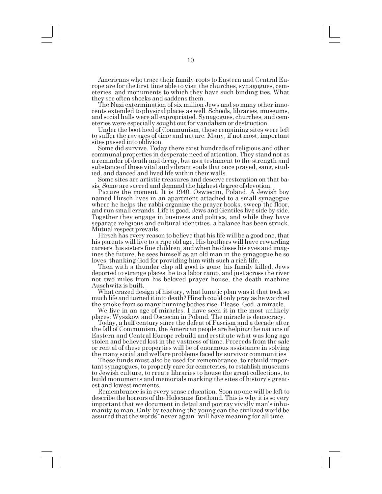Americans who trace their family roots to Eastern and Central Europe are for the first time able to visit the churches, synagogues, cemeteries, and monuments to which they have such binding ties. What they see often shocks and saddens them.

The Nazi extermination of six million Jews and so many other innocents extended to physical places as well. Schools, libraries, museums, and social halls were all expropriated. Synagogues, churches, and cemeteries were especially sought out for vandalism or destruction.

to suffer the ravages of time and nature. Many, if not most, important sites passed into oblivion.<br>Some did survive. Today there exist hundreds of religious and other

communal properties in desperate need of attention. They stand not as a reminder of death and decay, but as a testament to the strength and substance of those vital and vibrant souls that once prayed, sang, studied, and danced and lived life within their walls.

Some sites are artistic treasures and deserve restoration on that basis. Some are sacred and demand the highest degree of devotion.

Picture the moment. It is 1940, Oswiecim, Poland. A Jewish boy named Hirsch lives in an apartment attached to a small synagogue where he helps the rabbi organize the prayer books, sweep the floor, and run small errands. Life is good. Jews and Gentiles live side by side. Together they engage in business and politics, and while they have separate religious and cultural identities, a balance has been struck. Mutual respect prevails.

Hirsch has every reason to believe that his life will be a good one, that his parents will live to a ripe old age. His brothers will have rewarding careers, his sisters fine children, and when he closes his eyes and imagines the future, he sees himself as an old man in the synagogue he so

Then with a thunder clap all good is gone, his family killed, Jews deported to strange places, he to a labor camp, and just across the river not two miles from his beloved prayer house, the death machine Auschwitz is built.

What crazed design of history, what lunatic plan was it that took so much life and turned it into death? Hirsch could only pray as he watched the smoke from so many burning bodies rise. Please, God, a miracle.

We live in an age of miracles. I have seen it in the most unlikely

places: Wyszkow and Osciecim in Poland. The miracle is democracy. Today, a half century since the defeat of Fascism and a decade after the fall of Communism, the American people are helping the nations of Eastern and Central Europe rebuild and restitute what was long ago stolen and believed lost in the vastness of time. Proceeds from the sale or rental of these properties will be of enormous assistance in solving the many social and welfare problems faced by survivor communities. These funds must also be used for remembrance, to rebuild impor-

tant synagogues, to properly care for cemeteries, to establish museums to Jewish culture, to create libraries to house the great collections, to build monuments and memorials marking the sites of history's great-

est and lowest moments.<br>Remembrance is in every sense education. Soon no one will be left to describe the horrors of the Holocaust firsthand. This is why it is so very important that we document in detail and portray vividly man's inhumanity to man. Only by teaching the young can the civilized world be assured that the words "never again" will have meaning for all time.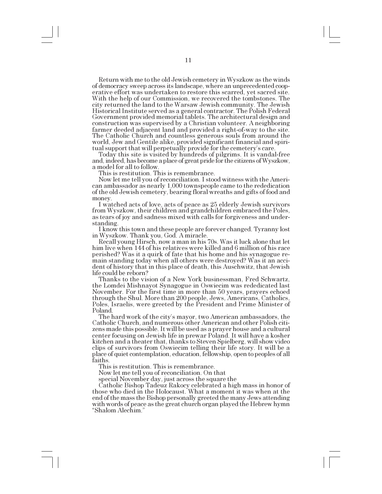Return with me to the old Jewish cemetery in Wyszkow as the winds of democracy sweep across its landscape, where an unprecedented cooperative effort was undertaken to restore this scarred, yet sacred site. With the help of our Commission, we recovered the tombstones. The city returned the land to the Warsaw Jewish community. The Jewish Historical Institute served as a general contractor. The Polish Federal Government provided memorial tablets. The architectural design and construction was supervised by a Christian volunteer. A neighboring farmer deeded adjacent land and provided a right-of-way to the site. The Catholic Church and countless generous souls from around the world, Jew and Gentile alike, provided significant financial and spiri-

Today this site is visited by hundreds of pilgrims. It is vandal-free and, indeed, has become a place of great pride for the citizens of Wyszkow, a model for all to follow.

This is restitution. This is remembrance.

Now let me tell you of reconciliation. I stood witness with the American ambassador as nearly 1,000 townspeople came to the rededication of the old Jewish cemetery, bearing floral wreaths and gifts of food and money.

I watched acts of love, acts of peace as 25 elderly Jewish survivors from Wyszkow, their children and grandchildren embraced the Poles, as tears of joy and sadness mixed with calls for forgiveness and under-

standing. I know this town and these people are forever changed. Tyranny lost in Wyszkow. Thank you, God. A miracle.

Recall young Hirsch, now a man in his 70s. Was it luck alone that let him live when 144 of his relatives were killed and 6 million of his race perished? Was it a quirk of fate that his home and his synagogue remain standing today when all others were destroyed? Was it an accident of history that in this place of death, this Auschwitz, that Jewish life could be reborn?

Thanks to the vision of a New York businessman, Fred Schwartz, the Lomdei Mishnayot Synagogue in Oswiecim was rededicated last November. For the first time in more than 50 years, prayers echoed through the Shul. More than 200 people, Jews, Americans, Catholics, Poles, Israelis, were greeted by the President and Prime Minister of Poland.

The hard work of the citys mayor, two American ambassadors, the Catholic Church, and numerous other American and other Polish citizens made this possible. It will be used as a prayer house and a cultural center focusing on Jewish life in prewar Poland. It will have a kosher kitchen and a theater that, thanks to Steven Spielberg, will show video clips of survivors from Oswiecim telling their life story. It will be a place of quiet contemplation, education, fellowship, open to peoples of all faiths.

This is restitution. This is remembrance.

Now let me tell you of reconciliation. On that

special November day, just across the square the

Catholic Bishop Tadeuz Rakocy celebrated a high mass in honor of those who died in the Holocaust. What a moment it was when at the end of the mass the Bishop personally greeted the many Jews attending with words of peace as the great church organ played the Hebrew hymn Shalom Alechim.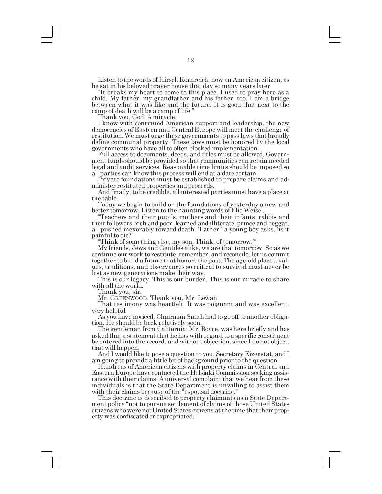Listen to the words of Hirsch Kornreich, now an American citizen, as he sat in his beloved prayer house that day so many years later.

It breaks my heart to come to this place. I used to pray here as a child. My father, my grandfather and his father, too. I am a bridge between what it was like and the future. It is good that next to the camp of death will be a camp of life.

Thank you, God. A miracle.

I know with continued American support and leadership, the new democracies of Eastern and Central Europe will meet the challenge of restitution. We must urge these governments to pass laws that broadly define communal property. These laws must be honored by the local governments who have all to often blocked implementation.

Full access to documents, deeds, and titles must be allowed. Government funds should be provided so that communities can retain needed legal and audit services. Reasonable time limits should be imposed so all parties can know this process will end at a date certain.

Private foundations must be established to prepare claims and administer restituted properties and proceeds.

And finally, to be credible, all interested parties must have a place at the table.<br>Today we begin to build on the foundations of yesterday a new and

better tomorrow. Listen to the haunting words of Elie Weisel.

Teachers and their pupils, mothers and their infants, rabbis and their followers, rich and poor, learned and illiterate, prince and beggar, all pushed inexorably toward death. Father, a young boy asks, is it painful to die?

Think of something else, my son. Think, of tomorrow.

My friends, Jews and Gentiles alike, we are that tomorrow. So as we continue our work to restitute, remember, and reconcile, let us commit together to build a future that honors the past. The age-old places, values, traditions, and observances so critical to survival must never be lost as new generations make their way.

This is our legacy. This is our burden. This is our miracle to share with all the world.

Thank you, sir.<br>Mr. GREENWOOD. Thank you, Mr. Lewan.

That testimony was heartfelt. It was poignant and was excellent, very helpful.

As you have noticed, Chairman Smith had to go off to another obligation. He should be back relatively soon.

The gentleman from California, Mr. Royce, was here briefly and has asked that a statement that he has with regard to a specific constituent be entered into the record, and without objection, since I do not object, that will happen.

And I would like to pose a question to you, Secretary Eizenstat, and I am going to provide a little bit of background prior to the question.

Hundreds of American citizens with property claims in Central and Eastern Europe have contacted the Helsinki Commission seeking assistance with their claims. A universal complaint that we hear from these individuals is that the State Department is unwilling to assist them with their claims because of the "espousal doctrine."

This doctrine is described to property claimants as a State Department policy "not to pursue settlement of claims of those United States citizens who were not United States citizens at the time that their property was confiscated or expropriated.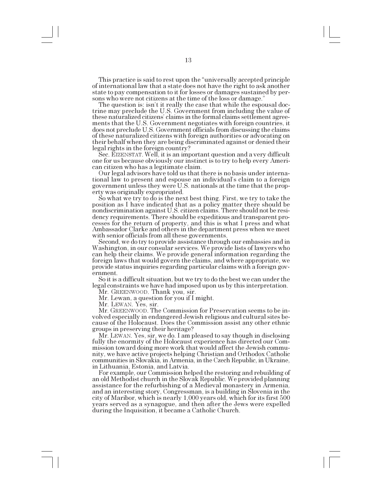This practice is said to rest upon the "universally accepted principle" of international law that a state does not have the right to ask another state to pay compensation to it for losses or damages sustained by persons who were not citizens at the time of the loss or damage.

The question is: isn't it really the case that while the espousal doctrine may preclude the U.S. Government from including the value of these naturalized citizens' claims in the formal claims settlement agreements that the U.S. Government negotiates with foreign countries, it does not preclude U.S. Government officials from discussing the claims of these naturalized citizens with foreign authorities or advocating on their behalf when they are being discriminated against or denied their legal rights in the foreign country?

Sec. EIZENSTAT. Well, it is an important question and a very difficult one for us because obviously our instinct is to try to help every American citizen who has a legitimate claim.

Our legal advisors have told us that there is no basis under international law to present and espouse an individual's claim to a foreign government unless they were U.S. nationals at the time that the property was originally expropriated.

So what we try to do is the next best thing. First, we try to take the position as I have indicated that as a policy matter there should be nondiscrimination against U.S. citizen claims. There should not be residency requirements. There should be expeditious and transparent processes for the return of property, and this is what I press and what Ambassador Clarke and others in the department press when we meet with senior officials from all these governments.

Second, we do try to provide assistance through our embassies and in Washington, in our consular services. We provide lists of lawyers who can help their claims. We provide general information regarding the foreign laws that would govern the claims, and where appropriate, we provide status inquiries regarding particular claims with a foreign government.

So it is a difficult situation, but we try to do the best we can under the legal constraints we have had imposed upon us by this interpretation.

Mr. GREENWOOD. Thank you, sir.

Mr. Lewan, a question for you if I might.

Mr. LEWAN. Yes, sir.

Mr. GREENWOOD. The Commission for Preservation seems to be involved especially in endangered Jewish religious and cultural sites because of the Holocaust. Does the Commission assist any other ethnic groups in preserving their heritage?

Mr. LEWAN. Yes, sir, we do. I am pleased to say though in disclosing fully the enormity of the Holocaust experience has directed our Commission toward doing more work that would affect the Jewish community, we have active projects helping Christian and Orthodox Catholic communities in Slovakia, in Armenia, in the Czech Republic, in Ukraine, in Lithuania, Estonia, and Latvia.

For example, our Commission helped the restoring and rebuilding of an old Methodist church in the Slovak Republic. We provided planning assistance for the refurbishing of a Medieval monastery in Armenia, and an interesting story, Congressman, is a building in Slovenia in the city of Maribor, which is nearly 1,000 years old, which for its first 500 years served as a synagogue, and then after the Jews were expelled during the Inquisition, it became a Catholic Church.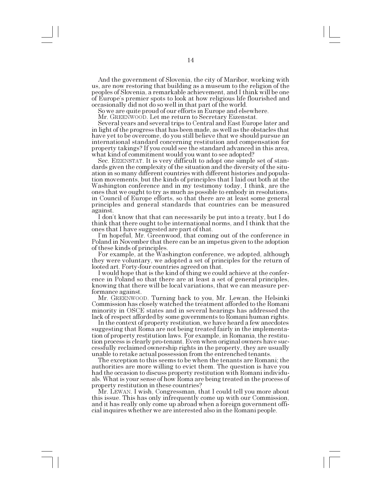And the government of Slovenia, the city of Maribor, working with us, are now restoring that building as a museum to the religion of the peoples of Slovenia, a remarkable achievement, and I think will be one of Europe's premier spots to look at how religious life flourished and occasionally did not do so well in that part of the world.

So we are quite proud of our efforts in Europe and elsewhere.

Mr. GREENWOOD. Let me return to Secretary Eizenstat.

Several years and several trips to Central and East Europe later and in light of the progress that has been made, as well as the obstacles that have yet to be overcome, do you still believe that we should pursue an international standard concerning restitution and compensation for property takings? If you could see the standard advanced in this area, what kind of commitment would you want to see adopted?

Sec. EIZENSTAT. It is very difficult to adopt one simple set of standards given the complexity of the situation and the diversity of the situation in so many different countries with different histories and population movements, but the kinds of principles that I laid out both at the Washington conference and in my testimony today, I think, are the ones that we ought to try as much as possible to embody in resolutions, in Council of Europe efforts, so that there are at least some general principles and general standards that countries can be measured against.

I don't know that that can necessarily be put into a treaty, but I do think that there ought to be international norms, and I think that the ones that I have suggested are part of that.

Im hopeful, Mr. Greenwood, that coming out of the conference in Poland in November that there can be an impetus given to the adoption of these kinds of principles.

For example, at the Washington conference, we adopted, although they were voluntary, we adopted a set of principles for the return of looted art. Forty-four countries agreed on that.

I would hope that is the kind of thing we could achieve at the conference in Poland so that there are at least a set of general principles, knowing that there will be local variations, that we can measure performance against.

Mr. GREENWOOD. Turning back to you, Mr. Lewan, the Helsinki Commission has closely watched the treatment afforded to the Romani minority in OSCE states and in several hearings has addressed the

lack of respect afforded by some governments to Romani human rights. In the context of property restitution, we have heard a few anecdotes suggesting that Roma are not being treated fairly in the implementation of property restitution laws. For example, in Romania, the restitution process is clearly pro-tenant. Even when original owners have successfully reclaimed ownership rights in the property, they are usually unable to retake actual possession from the entrenched tenants.

The exception to this seems to be when the tenants are Romani; the authorities are more willing to evict them. The question is have you had the occasion to discuss property restitution with Romani individuals. What is your sense of how Roma are being treated in the process of property restitution in these countries?

Mr. LEWAN. I wish, Congressman, that I could tell you more about this issue. This has only infrequently come up with our Commission, and it has really only come up abroad when a foreign government official inquires whether we are interested also in the Romani people.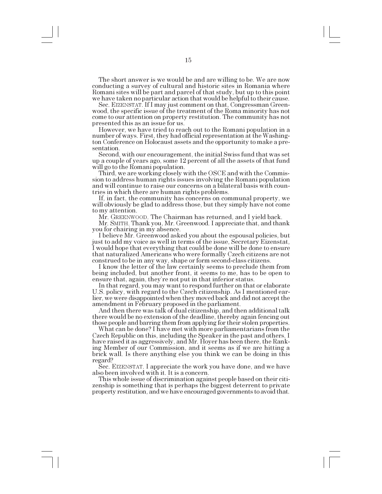The short answer is we would be and are willing to be. We are now conducting a survey of cultural and historic sites in Romania where Romani sites will be part and parcel of that study, but up to this point we have taken no particular action that would be helpful to their cause.

Sec. EIZENSTAT. If I may just comment on that, Congressman Greenwood, the specific issue of the treatment of the Roma minority has not come to our attention on property restitution. The community has not presented this as an issue for us.

However, we have tried to reach out to the Romani population in a number of ways. First, they had official representation at the Washington Conference on Holocaust assets and the opportunity to make a presentation.

Second, with our encouragement, the initial Swiss fund that was set up a couple of years ago, some 12 percent of all the assets of that fund will go to the Romani population.

Third, we are working closely with the OSCE and with the Commission to address human rights issues involving the Romani population and will continue to raise our concerns on a bilateral basis with countries in which there are human rights problems.

If, in fact, the community has concerns on communal property, we will obviously be glad to address those, but they simply have not come to my attention.

Mr. GREENWOOD. The Chairman has returned, and I yield back.

Mr. SMITH. Thank you, Mr. Greenwood. I appreciate that, and thank you for chairing in my absence.

I believe Mr. Greenwood asked you about the espousal policies, but just to add my voice as well in terms of the issue, Secretary Eizenstat, I would hope that everything that could be done will be done to ensure that naturalized Americans who were formally Czech citizens are not

I know the letter of the law certainly seems to preclude them from being included, but another front, it seems to me, has to be open to ensure that, again, they're not put in that inferior status.<br>In that regard, you may want to respond further on that or elaborate

U.S. policy, with regard to the Czech citizenship. As I mentioned earlier, we were disappointed when they moved back and did not accept the amendment in February proposed in the parliament.

And then there was talk of dual citizenship, and then additional talk there would be no extension of the deadline, thereby again fencing out those people and barring them from applying for their stolen properties.

What can be done? I have met with more parliamentarians from the Czech Republic on this, including the Speaker in the past and others. I have raised it as aggressively, and Mr. Hoyer has been there, the Ranking Member of our Commission, and it seems as if we are hitting a brick wall. Is there anything else you think we can be doing in this regard?

Sec. EIZENSTAT. I appreciate the work you have done, and we have also been involved with it. It is a concern.

This whole issue of discrimination against people based on their citizenship is something that is perhaps the biggest deterrent to private property restitution, and we have encouraged governments to avoid that.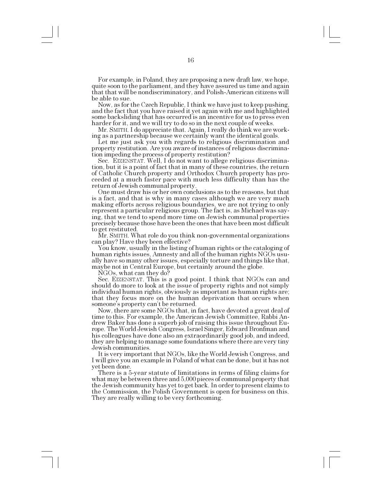For example, in Poland, they are proposing a new draft law, we hope, quite soon to the parliament, and they have assured us time and again that that will be nondiscriminatory, and Polish-American citizens will be able to sue.

Now, as for the Czech Republic, I think we have just to keep pushing, and the fact that you have raised it yet again with me and highlighted some backsliding that has occurred is an incentive for us to press even harder for it, and we will try to do so in the next couple of weeks.

Mr. SMITH. I do appreciate that. Again, I really do think we are working as a partnership because we certainly want the identical goals.

Let me just ask you with regards to religious discrimination and property restitution. Are you aware of instances of religious discrimination impeding the process of property restitution?

Sec. EIZENSTAT. Well, I do not want to allege religious discrimination, but it is a point of fact that in many of these countries, the return of Catholic Church property and Orthodox Church property has proceeded at a much faster pace with much less difficulty than has the return of Jewish communal property.

One must draw his or her own conclusions as to the reasons, but that is a fact, and that is why in many cases although we are very much making efforts across religious boundaries, we are not trying to only represent a particular religious group. The fact is, as Michael was saying, that we tend to spend more time on Jewish communal properties precisely because those have been the ones that have been most difficult to get restituted.

Mr. SMITH. What role do you think non-governmental organizations can play? Have they been effective?

You know, usually in the listing of human rights or the cataloging of human rights issues, Amnesty and all of the human rights NGOs usually have so many other issues, especially torture and things like that, maybe not in Central Europe, but certainly around the globe.

NGOs, what can they do?<br>Sec. EIZENSTAT. This is a good point. I think that NGOs can and should do more to look at the issue of property rights and not simply individual human rights, obviously as important as human rights are; that they focus more on the human deprivation that occurs when someone's property can't be returned.

Now, there are some NGOs that, in fact, have devoted a great deal of time to this. For example, the American Jewish Committee, Rabbi Andrew Baker has done a superb job of raising this issue throughout Europe. The World Jewish Congress, Israel Singer, Edward Bronfman and his colleagues have done also an extraordinarily good job, and indeed, they are helping to manage some foundations where there are very tiny Jewish communities.<br>It is very important that NGOs, like the World Jewish Congress, and

I will give you an example in Poland of what can be done, but it has not yet been done.<br>There is a 5-year statute of limitations in terms of filing claims for

what may be between three and 5,000 pieces of communal property that the Jewish community has yet to get back. In order to present claims to the Commission, the Polish Government is open for business on this. They are really willing to be very forthcoming.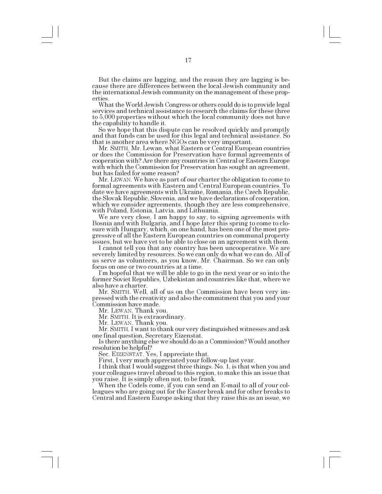But the claims are lagging, and the reason they are lagging is because there are differences between the local Jewish community and the international Jewish community on the management of these properties.

What the World Jewish Congress or others could do is to provide legal services and technical assistance to research the claims for these three to 5,000 properties without which the local community does not have the capability to handle it.

So we hope that this dispute can be resolved quickly and promptly and that funds can be used for this legal and technical assistance. So that is another area where NGOs can be very important.

Mr. SMITH. Mr. Lewan, what Eastern or Central European countries or does the Commission for Preservation have formal agreements of cooperation with? Are there any countries in Central or Eastern Europe with which the Commission for Preservation has sought an agreement, but has failed for some reason?

Mr. LEWAN. We have as part of our charter the obligation to come to formal agreements with Eastern and Central European countries. To date we have agreements with Ukraine, Romania, the Czech Republic, the Slovak Republic, Slovenia, and we have declarations of cooperation, which we consider agreements, though they are less comprehensive, with Poland, Estonia, Latvia, and Lithuania.

We are very close, I am happy to say, to signing agreements with Bosnia and with Bulgaria, and I hope later this spring to come to closure with Hungary, which, on one hand, has been one of the most progressive of all the Eastern European countries on communal property issues, but we have yet to be able to close on an agreement with them.

I cannot tell you that any country has been uncooperative. We are severely limited by resources. So we can only do what we can do. All of us serve as volunteers, as you know, Mr. Chairman. So we can only focus on one or two countries at a time.

I'm hopeful that we will be able to go in the next year or so into the former Soviet Republics, Uzbekistan and countries like that, where we also have a charter.

Mr. SMITH. Well, all of us on the Commission have been very impressed with the creativity and also the commitment that you and your Commission have made.

Mr. LEWAN. Thank you.

Mr. SMITH. It is extraordinary.

Mr. LEWAN. Thank you.

Mr. SMITH. I want to thank our very distinguished witnesses and ask one final question, Secretary Eizenstat.

Is there anything else we should do as a Commission? Would another resolution be helpful?

Sec. EIZENSTAT. Yes, I appreciate that.

First, I very much appreciated your follow-up last year.

I think that I would suggest three things. No. 1, is that when you and your colleagues travel abroad to this region, to make this an issue that you raise. It is simply often not, to be frank.

When the Codels come, if you can send an E-mail to all of your colleagues who are going out for the Easter break and for other breaks to Central and Eastern Europe asking that they raise this as an issue, we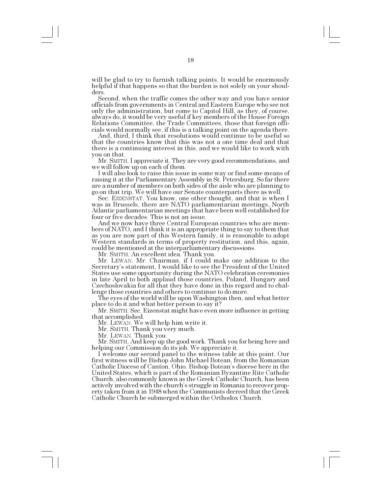will be glad to try to furnish talking points. It would be enormously helpful if that happens so that the burden is not solely on your shoulders.

Second, when the traffic comes the other way and you have senior officials from governments in Central and Eastern Europe who see not only the administration, but come to Capitol Hill, as they, of course, always do, it would be very useful if key members of the House Foreign Relations Committee, the Trade Committees, those that foreign offi-

cials would normally see, if this is a talking point on the agenda there. And, third, I think that resolutions would continue to be useful so that the countries know that this was not a one time deal and that there is a continuing interest in this, and we would like to work with you on that.

Mr. SMITH. I appreciate it. They are very good recommendations, and we will follow up on each of them.

I will also look to raise this issue in some way or find some means of raising it at the Parliamentary Assembly in St. Petersburg. So far there are a number of members on both sides of the aisle who are planning to go on that trip. We will have our Senate counterparts there as well.

Sec. EIZENSTAT. You know, one other thought, and that is when I was in Brussels, there are NATO parliamentarian meetings, North Atlantic parliamentarian meetings that have been well established for four or five decades. This is not an issue.

And we now have three Central European countries who are members of NATO, and I think it is an appropriate thing to say to them that as you are now part of this Western family, it is reasonable to adopt Western standards in terms of property restitution, and this, again, could be mentioned at the interparliamentary discussions.

Mr. SMITH. An excellent idea. Thank you.

Mr. LEWAN. Mr. Chairman, if I could make one addition to the Secretary's statement, I would like to see the President of the United States use some opportunity during the NATO celebration ceremonies in late April to both applaud those countries, Poland, Hungary and Czechoslovakia for all that they have done in this regard and to challenge those countries and others to continue to do more.

The eyes of the world will be upon Washington then, and what better place to do it and what better person to say it?

Mr. SMITH. Sec. Eizenstat might have even more influence in getting that accomplished.

Mr. LEWAN. We will help him write it.

Mr. SMITH. Thank you very much.

Mr. LEWAN. Thank you.

Mr. SMITH. And keep up the good work. Thank you for being here and helping our Commission do its job. We appreciate it.

I welcome our second panel to the witness table at this point. Our first witness will be Bishop John Michael Botean, from the Romanian Catholic Diocese of Canton, Ohio. Bishop Botean's diocese here in the United States, which is part of the Romanian Byzantine Rite Catholic Church, also commonly known as the Greek Catholic Church, has been actively involved with the church's struggle in Romania to recover property taken from it in 1948 when the Communists decreed that the Greek Catholic Church be submerged within the Orthodox Church.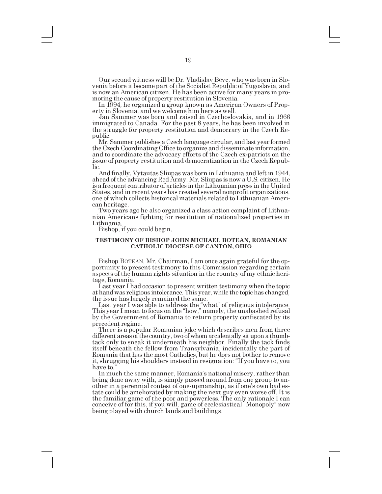Our second witness will be Dr. Vladislav Bevc, who was born in Slovenia before it became part of the Socialist Republic of Yugoslavia, and is now an American citizen. He has been active for many years in promoting the cause of property restitution in Slovenia.

In 1994, he organized a group known as American Owners of Property in Slovenia, and we welcome him here as well.

Jan Sammer was born and raised in Czechoslovakia, and in 1966 immigrated to Canada. For the past 8 years, he has been involved in the struggle for property restitution and democracy in the Czech Republic.

Mr. Sammer publishes a Czech language circular, and last year formed the Czech Coordinating Office to organize and disseminate information, and to coordinate the advocacy efforts of the Czech ex-patriots on the issue of property restitution and democratization in the Czech Republic.

And finally, Vytautas Sliupas was born in Lithuania and left in 1944, ahead of the advancing Red Army. Mr. Sliupas is now a U.S. citizen. He is a frequent contributor of articles in the Lithuanian press in the United States, and in recent years has created several nonprofit organizations, one of which collects historical materials related to Lithuanian Ameri-

Two years ago he also organized a class action complaint of Lithuanian Americans fighting for restitution of nationalized properties in Lithuania.

Bishop, if you could begin.

#### **TESTIMONY OF BISHOP JOHN MICHAEL BOTEAN, ROMANIAN CATHOLIC DIOCESE OF CANTON, OHIO**

Bishop BOTEAN. Mr. Chairman, I am once again grateful for the opportunity to present testimony to this Commission regarding certain aspects of the human rights situation in the country of my ethnic heritage, Romania.

Last year I had occasion to present written testimony when the topic at hand was religious intolerance. This year, while the topic has changed, the issue has largely remained the same.

Last year I was able to address the "what" of religious intolerance. This year I mean to focus on the "how," namely, the unabashed refusal by the Government of Romania to return property confiscated by its

There is a popular Romanian joke which describes men from three different areas of the country, two of whom accidentally sit upon a thumbtack only to sneak it underneath his neighbor. Finally the tack finds itself beneath the fellow from Transylvania, incidentally the part of Romania that has the most Catholics, but he does not bother to remove it, shrugging his shoulders instead in resignation: "If you have to, you have to.

In much the same manner, Romania's national misery, rather than being done away with, is simply passed around from one group to another in a perennial contest of one-upmanship, as if one's own bad estate could be ameliorated by making the next guy even worse off. It is the familiar game of the poor and powerless. The only rationale I can conceive of for this, if you will, game of ecclesiastical "Monopoly" now being played with church lands and buildings.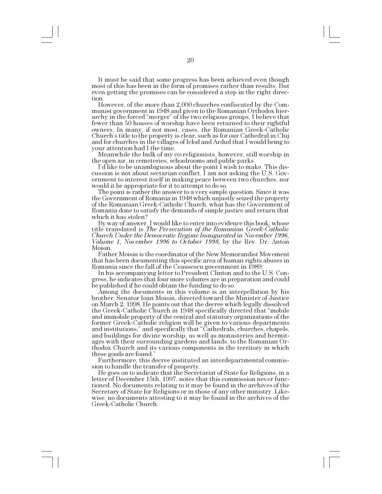It must be said that some progress has been achieved even though most of this has been in the form of promises rather than results. But even getting the promises can be considered a step in the right direction.

However, of the more than 2,000 churches confiscated by the Communist government in 1948 and given to the Romanian Orthodox hierarchy in the forced "merger" of the two religious groups, I believe that fewer than 50 houses of worship have been returned to their rightful owners. In many, if not most, cases, the Romanian Greek-Catholic Church's title to the property is clear, such as for our Cathedral in Cluj and for churches in the villages of Iclod and Ardud that I would bring to

Meanwhile the bulk of my co-religionists, however, still worship in

the open air, in cemeteries, schoolrooms and public parks.<br>I'd like to be unambiguous about the point I wish to make. This discussion is not about sectarian conflict. I am not asking the U.S. Government to interest itself in making peace between two churches, nor would it be appropriate for it to attempt to do so.

The point is rather the answer to a very simple question. Since it was the Government of Romania in 1948 which unjustly seized the property of the Romanian Greek-Catholic Church, what has the Government of Romania done to satisfy the demands of simple justice and return that which it has stolen?

By way of answer, I would like to enter into evidence this book, whose title translated is *The Persecution of the Romanian Greek-Catholic Church Under the Democratic Regime Inaugurated in November 1996, Volume 1, November 1996 to October 1998,* by the Rev. Dr. Anton Moisin.

Father Moisin is the coordinator of the New Memorandist Movement that has been documenting this specific area of human rights abuses in Romania since the fall of the Ceausescu government in 1989.

In his accompanying letter to President Clinton and to the U.S. Congress, he indicates that four more volumes are in preparation and could be published if he could obtain the funding to do so.

Among the documents in this volume is an interpellation by his brother, Senator Ioan Moisin, directed toward the Minister of Justice on March 2, 1998. He points out that the decree which legally dissolved the Greek-Catholic Church in 1948 specifically directed that "mobile" and immobile property of the central and statutory organizations of the former Greek-Catholic religion will be given to various departments and institutions," and specifically that "Cathedrals, churches, chapels, and buildings for divine worship, as well as monasteries and hermitages with their surrounding gardens and lands, to the Romanian Orthodox Church and its various components in the territory in which these goods are found.

Furthermore, this decree instituted an interdepartmental commis-

sion to handle the transfer of property.<br>He goes on to indicate that the Secretariat of State for Religions, in a letter of December 15th, 1997, notes that this commission never functioned. No documents relating to it may be found in the archives of the Secretary of State for Religions or in those of any other ministry. Likewise, no documents attesting to it may be found in the archives of the Greek-Catholic Church.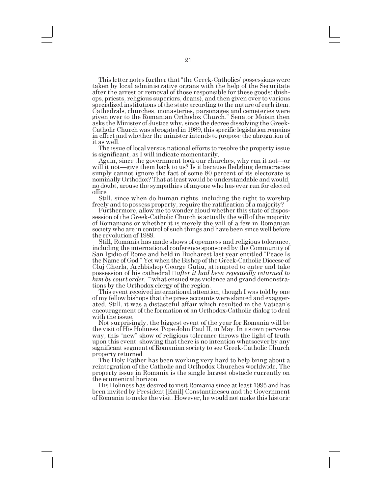This letter notes further that "the Greek-Catholics' possessions were taken by local administrative organs with the help of the Securitate after the arrest or removal of those responsible for these goods: (bishops, priests, religious superiors, deans), and then given over to various specialized institutions of the state according to the nature of each item. Cathedrals, churches, monasteries, parsonages and cemeteries were given over to the Romanian Orthodox Church." Senator Moisin then asks the Minister of Justice why, since the decree dissolving the Greek-Catholic Church was abrogated in 1989, this specific legislation remains in effect and whether the minister intends to propose the abrogation of it as well.

The issue of local versus national efforts to resolve the property issue is significant, as I will indicate momentarily.

Again, since the government took our churches, why can it not—or will it not—give them back to us? Is it because fledgling democracies simply cannot ignore the fact of some 80 percent of its electorate is nominally Orthodox? That at least would be understandable and would, no doubt, arouse the sympathies of anyone who has ever run for elected office.

Still, since when do human rights, including the right to worship freely and to possess property, require the ratification of a majority? Furthermore, allow me to wonder aloud whether this state of dispos-

session of the Greek-Catholic Church is actually the will of the majority of Romanians or whether it is merely the will of a few in Romanian society who are in control of such things and have been since well before the revolution of 1989.

Still, Romania has made shows of openness and religious tolerance, including the international conference sponsored by the Community of San Igidio of Rome and held in Bucharest last year entitled "Peace Is the Name of God." Yet when the Bishop of the Greek-Catholic Diocese of Cluj Gherla, Archbishop George Gutiu, attempted to enter and take possession of his cathedral *after it had been repeatedly returned to him by court order,*  $\Box$ what ensued was violence and grand demonstrations by the Orthodox clergy of the region.

This event received international attention, though I was told by one of my fellow bishops that the press accounts were slanted and exaggerated. Still, it was a distasteful affair which resulted in the Vatican's encouragement of the formation of an Orthodox-Catholic dialog to deal with the issue.

Not surprisingly, the biggest event of the year for Romania will be the visit of His Holiness, Pope John Paul II, in May. In its own perverse way, this "new" show of religious tolerance throws the light of truth upon this event, showing that there is no intention whatsoever by any significant segment of Romanian society to see Greek-Catholic Church property returned.

The Holy Father has been working very hard to help bring about a reintegration of the Catholic and Orthodox Churches worldwide. The property issue in Romania is the single largest obstacle currently on the ecumenical horizon.

His Holiness has desired to visit Romania since at least 1995 and has been invited by President [Emil] Constantinescu and the Government of Romania to make the visit. However, he would not make this historic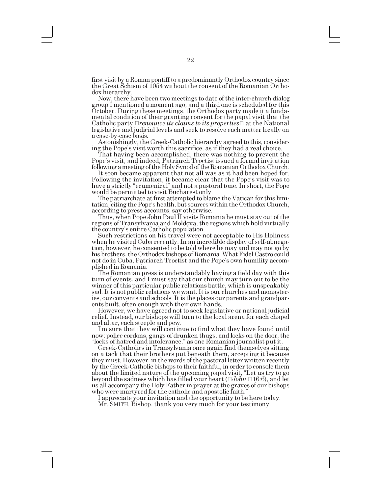first visit by a Roman pontiff to a predominantly Orthodox country since the Great Schism of 1054 without the consent of the Romanian Ortho-

Now, there have been two meetings to date of the inter-church dialog group I mentioned a moment ago, and a third one is scheduled for this October. During these meetings, the Orthodox party made it a fundamental condition of their granting consent for the papal visit that the Catholic party  $\Box$  renounce its claims to its properties  $\Box$  at the National legislative and judicial levels and seek to resolve each matter locally on a case-by-case basis.

Astonishingly, the Greek-Catholic hierarchy agreed to this, considering the Popes visit worth this sacrifice, as if they had a real choice.

That having been accomplished, there was nothing to prevent the Pope's visit, and indeed, Patriarch Teoctist issued a formal invitation

following a meeting of the Holy Synod of the Romanian Orthodox Church. It soon became apparent that not all was as it had been hoped for. Following the invitation, it became clear that the Pope's visit was to have a strictly "ecumenical" and not a pastoral tone. In short, the Pope would be permitted to visit Bucharest only.

The patriarchate at first attempted to blame the Vatican for this limitation, citing the Pope's health, but sources within the Orthodox Church, according to press accounts, say otherwise.

Thus, when Pope John Paul II visits Romania he must stay out of the regions of Transylvania and Moldova, the regions which hold virtually the country's entire Catholic population.

Such restrictions on his travel were not acceptable to His Holiness when he visited Cuba recently. In an incredible display of self-abnegation, however, he consented to be told where he may and may not go by his brothers, the Orthodox bishops of Romania. What Fidel Castro could not do in Cuba, Patriarch Teoctist and the Pope's own humility accomplished in Romania.

The Romanian press is understandably having a field day with this turn of events, and I must say that our church may turn out to be the winner of this particular public relations battle, which is unspeakably sad. It is not public relations we want. It is our churches and monasteries, our convents and schools. It is the places our parents and grandparents built, often enough with their own hands.

However, we have agreed not to seek legislative or national judicial relief. Instead, our bishops will turn to the local arena for each chapel and altar, each steeple and pew.

Im sure that they will continue to find what they have found until now: police cordons, gangs of drunken thugs, and locks on the door, the "locks of hatred and intolerance," as one Romanian journalist put it.

Greek-Catholics in Transylvania once again find themselves sitting on a tack that their brothers put beneath them, accepting it because they must. However, in the words of the pastoral letter written recently by the Greek-Catholic bishops to their faithful, in order to console them about the limited nature of the upcoming papal visit, "Let us try to go beyond the sadness which has filled your heart ( *John*  16:6), and let us all accompany the Holy Father in prayer at the graves of our bishops who were martyred for the catholic and apostolic faith.

I appreciate your invitation and the opportunity to be here today.

Mr. SMITH. Bishop, thank you very much for your testimony.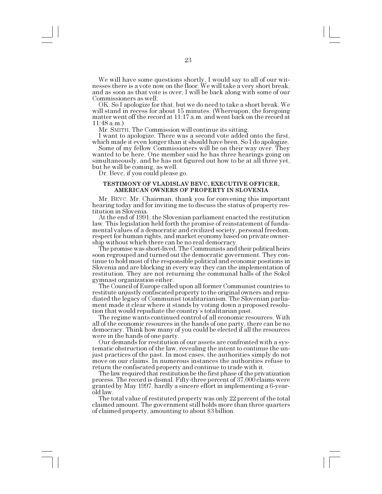We will have some questions shortly. I would say to all of our witnesses there is a vote now on the floor. We will take a very short break, and as soon as that vote is over, I will be back along with some of our Commissioners as well.

OK. So I apologize for that, but we do need to take a short break. We will stand in recess for about 15 minutes. (Whereupon, the foregoing matter went off the record at 11:17 a.m. and went back on the record at 11:48 a.m.)<br>Mr. SMITH. The Commission will continue its sitting.

I want to apologize. There was a second vote added onto the first, which made it even longer than it should have been. So I do apologize.

Some of my fellow Commissioners will be on their way over. They wanted to be here. One member said he has three hearings going on simultaneously, and he has not figured out how to be at all three yet, but he will be coming, as well. Dr. Bevc, if you could please go.

#### **TESTIMONY OF VLADISLAV BEVC, EXECUTIVE OFFICER, AMERICAN OWNERS OF PROPERTY IN SLOVENIA**

Mr. BEVC. Mr. Chairman, thank you for convening this important hearing today and for inviting me to discuss the status of property restitution in Slovenia.

At the end of 1991, the Slovenian parliament enacted the restitution law. This legislation held forth the promise of reinstatement of fundamental values of a democratic and civilized society, personal freedom, respect for human rights, and market economy based on private ownership without which there can be no real democracy.

The promise was short-lived. The Communists and their political heirs soon regrouped and turned out the democratic government. They continue to hold most of the responsible political and economic positions in Slovenia and are blocking in every way they can the implementation of restitution. They are not returning the communal halls of the Sokol gymnast organization either.

The Council of Europe called upon all former Communist countries to restitute unjustly confiscated property to the original owners and repudiated the legacy of Communist totalitarianism. The Slovenian parliament made it clear where it stands by voting down a proposed resolution that would repudiate the country's totalitarian past.

The regime wants continued control of all economic resources. With all of the economic resources in the hands of one party, there can be no democracy. Think how many of you could be elected if all the resources

were in the hands of one party.<br>Our demands for restitution of our assets are confronted with a systematic obstruction of the law, revealing the intent to continue the unjust practices of the past. In most cases, the authorities simply do not move on our claims. In numerous instances the authorities refuse to return the confiscated property and continue to trade with it.

The law required that restitution be the first phase of the privatization process. The record is dismal. Fifty-three percent of 37,000 claims were granted by May 1997, hardly a sincere effort in implementing a 6-yearold law.

The total value of restituted property was only 22 percent of the total claimed amount. The government still holds more than three quarters of claimed property, amounting to about \$3 billion.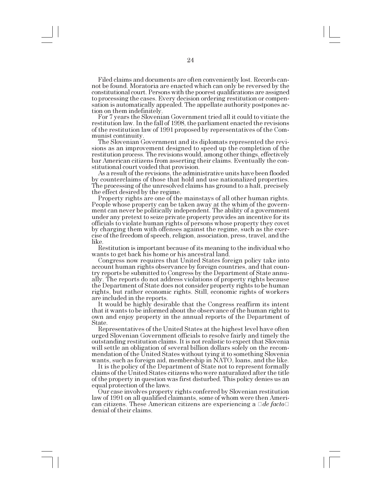Filed claims and documents are often conveniently lost. Records cannot be found. Moratoria are enacted which can only be reversed by the constitutional court. Persons with the poorest qualifications are assigned to processing the cases. Every decision ordering restitution or compensation is automatically appealed. The appellate authority postpones action on them indefinitely.

For 7 years the Slovenian Government tried all it could to vitiate the restitution law. In the fall of 1998, the parliament enacted the revisions of the restitution law of 1991 proposed by representatives of the Communist continuity.

The Slovenian Government and its diplomats represented the revisions as an improvement designed to speed up the completion of the restitution process. The revisions would, among other things, effectively bar American citizens from asserting their claims. Eventually the constitutional court voided that provision.

As a result of the revisions, the administrative units have been flooded by counterclaims of those that hold and use nationalized properties. The processing of the unresolved claims has ground to a halt, precisely the effect desired by the regime.

Property rights are one of the mainstays of all other human rights. People whose property can be taken away at the whim of the government can never be politically independent. The ability of a government under any pretext to seize private property provides an incentive for its officials to violate human rights of persons whose property they covet by charging them with offenses against the regime, such as the exercise of the freedom of speech, religion, association, press, travel, and the like.

Restitution is important because of its meaning to the individual who

wants to get back his home or his ancestral land.<br>Congress now requires that United States foreign policy take into account human rights observance by foreign countries, and that country reports be submitted to Congress by the Department of State annually. The reports do not address violations of property rights because the Department of State does not consider property rights to be human rights, but rather economic rights. Still, economic rights of workers are included in the reports.

It would be highly desirable that the Congress reaffirm its intent that it wants to be informed about the observance of the human right to own and enjoy property in the annual reports of the Department of State.

Representatives of the United States at the highest level have often urged Slovenian Government officials to resolve fairly and timely the outstanding restitution claims. It is not realistic to expect that Slovenia will settle an obligation of several billion dollars solely on the recommendation of the United States without tying it to something Slovenia wants, such as foreign aid, membership in NATO, loans, and the like.

It is the policy of the Department of State not to represent formally claims of the United States citizens who were naturalized after the title of the property in question was first disturbed. This policy denies us an equal protection of the laws.<br>Our case involves property rights conferred by Slovenian restitution

law of 1991 on all qualified claimants, some of whom were then American citizens. These American citizens are experiencing a  $\Box de\text{ }facto\Box$ denial of their claims.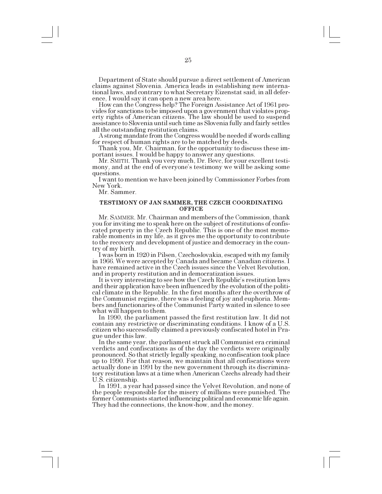Department of State should pursue a direct settlement of American claims against Slovenia. America leads in establishing new international laws, and contrary to what Secretary Eizenstat said, in all deference, I would say it can open a new area here.

How can the Congress help? The Foreign Assistance Act of 1961 provides for sanctions to be imposed upon a government that violates property rights of American citizens. The law should be used to suspend assistance to Slovenia until such time as Slovenia fully and fairly settles

A strong mandate from the Congress would be needed if words calling. for respect of human rights are to be matched by deeds.

Thank you, Mr. Chairman, for the opportunity to discuss these important issues. I would be happy to answer any questions.

Mr. SMITH. Thank you very much, Dr. Bevc, for your excellent testimony, and at the end of everyone's testimony we will be asking some questions.

I want to mention we have been joined by Commissioner Forbes from New York.

Mr. Sammer.

#### **TESTIMONY OF JAN SAMMER, THE CZECH COORDINATING OFFICE**

Mr. SAMMER. Mr. Chairman and members of the Commission, thank you for inviting me to speak here on the subject of restitutions of confiscated property in the Czech Republic. This is one of the most memorable moments in my life, as it gives me the opportunity to contribute to the recovery and development of justice and democracy in the country of my birth.

I was born in 1920 in Pilsen, Czechoslovakia, escaped with my family in 1966. We were accepted by Canada and became Canadian citizens. I have remained active in the Czech issues since the Velvet Revolution, and in property restitution and in democratization issues.

It is very interesting to see how the Czech Republic's restitution laws and their application have been influenced by the evolution of the political climate in the Republic. In the first months after the overthrow of the Communist regime, there was a feeling of joy and euphoria. Members and functionaries of the Communist Party waited in silence to see what will happen to them.

In 1990, the parliament passed the first restitution law. It did not contain any restrictive or discriminating conditions. I know of a U.S. citizen who successfully claimed a previously confiscated hotel in Prague under this law.<br>In the same year, the parliament struck all Communist era criminal

verdicts and confiscations as of the day the verdicts were originally pronounced. So that strictly legally speaking, no confiscation took place up to 1990. For that reason, we maintain that all confiscations were actually done in 1991 by the new government through its discriminatory restitution laws at a time when American Czechs already had their U.S. citizenship.

In 1991, a year had passed since the Velvet Revolution, and none of the people responsible for the misery of millions were punished. The former Communists started influencing political and economic life again. They had the connections, the know-how, and the money.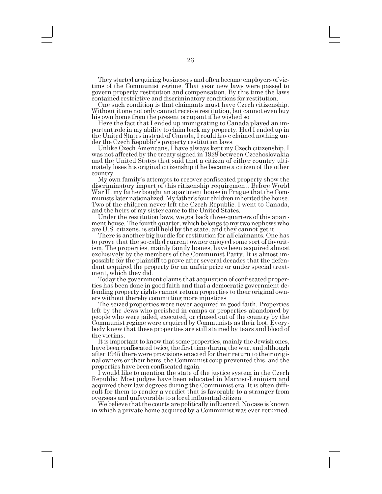They started acquiring businesses and often became employers of victims of the Communist regime. That year new laws were passed to govern property restitution and compensation. By this time the laws contained restrictive and discriminatory conditions for restitution.

One such condition is that claimants must have Czech citizenship. Without it one not only cannot receive restitution, but cannot even buy his own home from the present occupant if he wished so.

Here the fact that I ended up immigrating to Canada played an important role in my ability to claim back my property. Had I ended up in the United States instead of Canada, I could have claimed nothing under the Czech Republic's property restitution laws.<br>Unlike Czech Americans, I have always kept my Czech citizenship. I

was not affected by the treaty signed in 1928 between Czechoslovakia and the United States that said that a citizen of either country ultimately loses his original citizenship if he became a citizen of the other country.

My own family's attempts to recover confiscated property show the discriminatory impact of this citizenship requirement. Before World War II, my father bought an apartment house in Prague that the Communists later nationalized. My father's four children inherited the house. Two of the children never left the Czech Republic. I went to Canada, and the heirs of my sister came to the United States.

Under the restitution laws, we got back three-quarters of this apartment house. The fourth quarter, which belongs to my two nephews who are U.S. citizens, is still held by the state, and they cannot get it.

There is another big hurdle for restitution for all claimants. One has to prove that the so-called current owner enjoyed some sort of favoritism. The properties, mainly family homes, have been acquired almost exclusively by the members of the Communist Party. It is almost impossible for the plaintiff to prove after several decades that the defendant acquired the property for an unfair price or under special treatment, which they did.

Today the government claims that acquisition of confiscated proper- ties has been done in good faith and that a democratic government defending property rights cannot return properties to their original own-<br>ers without thereby committing more injustices.

The seized properties were never acquired in good faith. Properties left by the Jews who perished in camps or properties abandoned by people who were jailed, executed, or chased out of the country by the Communist regime were acquired by Communists as their loot. Everybody knew that these properties are still stained by tears and blood of the victims.

It is important to know that some properties, mainly the Jewish ones, have been confiscated twice, the first time during the war, and although after 1945 there were provisions enacted for their return to their original owners or their heirs, the Communist coup prevented this, and the properties have been confiscated again.

I would like to mention the state of the justice system in the Czech Republic. Most judges have been educated in Marxist-Leninism and acquired their law degrees during the Communist era. It is often difficult for them to render a verdict that is favorable to a stranger from overseas and unfavorable to a local influential citizen.

We believe that the courts are politically influenced. No case is known in which a private home acquired by a Communist was ever returned.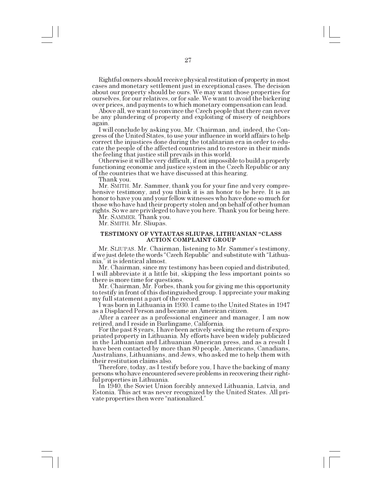Rightful owners should receive physical restitution of property in most cases and monetary settlement just in exceptional cases. The decision about our property should be ours. We may want those properties for ourselves, for our relatives, or for sale. We want to avoid the bickering over prices, and payments to which monetary compensation can lead.

Above all, we want to convince the Czech people that there can never be any plundering of property and exploiting of misery of neighbors again.<br>I will conclude by asking you, Mr. Chairman, and, indeed, the Con-

gress of the United States, to use your influence in world affairs to help correct the injustices done during the totalitarian era in order to educate the people of the affected countries and to restore in their minds the feeling that justice still prevails in this world.

Otherwise it will be very difficult, if not impossible to build a properly functioning economic and justice system in the Czech Republic or any of the countries that we have discussed at this hearing.

Thank you.

Mr. SMITH. Mr. Sammer, thank you for your fine and very comprehensive testimony, and you think it is an honor to be here. It is an honor to have you and your fellow witnesses who have done so much for those who have had their property stolen and on behalf of other human rights. So we are privileged to have you here. Thank you for being here.

Mr. SAMMER. Thank you.

Mr. SMITH. Mr. Sliupas.

#### **TESTIMONY OF VYTAUTAS SLIUPAS, LITHUANIAN "CLASS ACTION COMPLAINT GROUP**

Mr. SLIUPAS. Mr. Chairman, listening to Mr. Sammer's testimony, if we just delete the words "Czech Republic" and substitute with "Lithuania," it is identical almost.

Mr. Chairman, since my testimony has been copied and distributed, I will abbreviate it a little bit, skipping the less important points so there is more time for questions.<br>Mr. Chairman, Mr. Forbes, thank you for giving me this opportunity

to testify in front of this distinguished group. I appreciate your making my full statement a part of the record.

I was born in Lithuania in 1930. I came to the United States in 1947 as a Displaced Person and became an American citizen.

After a career as a professional engineer and manager, I am now retired, and I reside in Burlingame, California. For the past 8 years, I have been actively seeking the return of expro-

priated property in Lithuania. My efforts have been widely publicized in the Lithuanian and Lithuanian American press, and as a result I have been contacted by more than 80 people, Americans, Canadians, Australians, Lithuanians, and Jews, who asked me to help them with their restitution claims also.

Therefore, today, as I testify before you, I have the backing of many persons who have encountered severe problems in recovering their rightful properties in Lithuania.

In 1940, the Soviet Union forcibly annexed Lithuania, Latvia, and Estonia. This act was never recognized by the United States. All private properties then were "nationalized."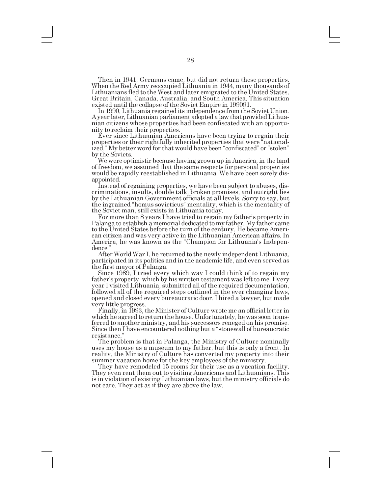Then in 1941, Germans came, but did not return these properties. When the Red Army reoccupied Lithuania in 1944, many thousands of Lithuanians fled to the West and later emigrated to the United States, Great Britain, Canada, Australia, and South America. This situation existed until the collapse of the Soviet Empire in 199091.

In 1990, Lithuania regained its independence from the Soviet Union. A year later, Lithuanian parliament adopted a law that provided Lithuanian citizens whose properties had been confiscated with an opportunity to reclaim their properties.

Ever since Lithuanian Americans have been trying to regain their properties or their rightfully inherited properties that were "nationalized." My better word for that would have been "confiscated" or "stolen" by the Soviets.

We were optimistic because having grown up in America, in the land of freedom, we assumed that the same respects for personal properties would be rapidly reestablished in Lithuania. We have been sorely disappointed.

Instead of regaining properties, we have been subject to abuses, discriminations, insults, double talk, broken promises, and outright lies by the Lithuanian Government officials at all levels. Sorry to say, but the ingrained "homus sovieticus" mentality, which is the mentality of the Soviet man, still exists in Lithuania today.

For more than 8 years I have tried to regain my father's property in Palanga to establish a memorial dedicated to my father. My father came to the United States before the turn of the century. He became American citizen and was very active in the Lithuanian American affairs. In America, he was known as the "Champion for Lithuania's Independence.

After World War I, he returned to the newly independent Lithuania, participated in its politics and in the academic life, and even served as the first mayor of Palanga.

Since 1989, I tried every which way I could think of to regain my father's property, which by his written testament was left to me. Every year I visited Lithuania, submitted all of the required documentation, followed all of the required steps outlined in the ever changing laws, opened and closed every bureaucratic door. I hired a lawyer, but made very little progress.

Finally, in 1993, the Minister of Culture wrote me an official letter in which he agreed to return the house. Unfortunately, he was soon transferred to another ministry, and his successors reneged on his promise. Since then I have encountered nothing but a "stonewall of bureaucratic resistance.

The problem is that in Palanga, the Ministry of Culture nominally uses my house as a museum to my father, but this is only a front. In reality, the Ministry of Culture has converted my property into their summer vacation home for the key employees of the ministry.

They have remodeled 15 rooms for their use as a vacation facility. They even rent them out to visiting Americans and Lithuanians. This is in violation of existing Lithuanian laws, but the ministry officials do not care. They act as if they are above the law.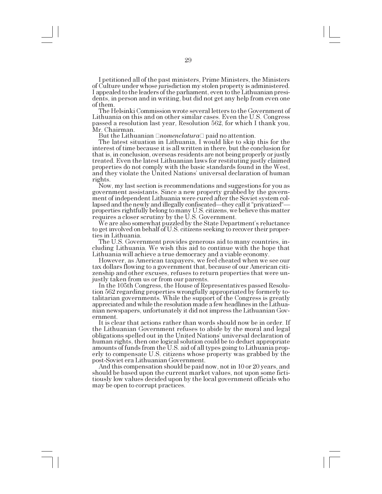I petitioned all of the past ministers, Prime Ministers, the Ministers of Culture under whose jurisdiction my stolen property is administered. I appealed to the leaders of the parliament, even to the Lithuanian presidents, in person and in writing, but did not get any help from even one of them.

The Helsinki Commission wrote several letters to the Government of Lithuania on this and on other similar cases. Even the U.S. Congress passed a resolution last year, Resolution 562, for which I thank you, Mr. Chairman.

But the Lithuanian *□nomenclatura* □ paid no attention.

The latest situation in Lithuania, I would like to skip this for the interest of time because it is all written in there, but the conclusion for that is, in conclusion, overseas residents are not being properly or justly treated. Even the latest Lithuanian laws for restituting justly claimed properties do not comply with the basic standards found in the West, and they violate the United Nations' universal declaration of human rights.

Now, my last section is recommendations and suggestions for you as government assistants. Since a new property grabbed by the government of independent Lithuania were cured after the Soviet system collapsed and the newly and illegally confiscated—they call it "privatized" properties rightfully belong to many U.S. citizens, we believe this matter requires a closer scrutiny by the U.S. Government.

We are also somewhat puzzled by the State Department's reluctance to get involved on behalf of U.S. citizens seeking to recover their properties in Lithuania.

The U.S. Government provides generous aid to many countries, including Lithuania. We wish this aid to continue with the hope that

Lithuania will achieve a true democracy and a viable economy. tax dollars flowing to a government that, because of our American citizenship and other excuses, refuses to return properties that were un-

justly taken from us or from our parents. In the 105th Congress, the House of Representatives passed Resolution 562 regarding properties wrongfully appropriated by formerly totalitarian governments. While the support of the Congress is greatly appreciated and while the resolution made a few headlines in the Lithuanian newspapers, unfortunately it did not impress the Lithuanian Government.

It is clear that actions rather than words should now be in order. If the Lithuanian Government refuses to abide by the moral and legal obligations spelled out in the United Nations' universal declaration of human rights, then one logical solution could be to deduct appropriate amounts of funds from the U.S. aid of all types going to Lithuania properly to compensate U.S. citizens whose property was grabbed by the post-Soviet era Lithuanian Government.

And this compensation should be paid now, not in 10 or 20 years, and should be based upon the current market values, not upon some fictitiously low values decided upon by the local government officials who may be open to corrupt practices.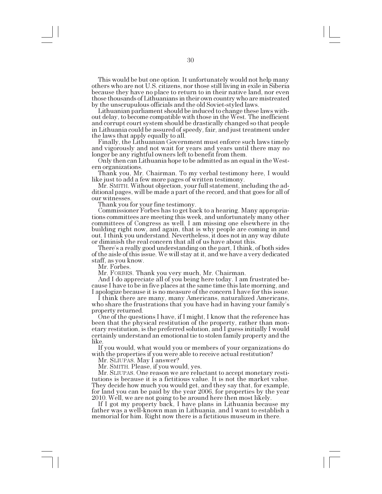This would be but one option. It unfortunately would not help many others who are not U.S. citizens, nor those still living in exile in Siberia because they have no place to return to in their native land, nor even those thousands of Lithuanians in their own country who are mistreated by the unscrupulous officials and the old Soviet-styled laws.

Lithuanian parliament should be induced to change these laws with- out delay, to become compatible with those in the West. The inefficient and corrupt court system should be drastically changed so that people in Lithuania could be assured of speedy, fair, and just treatment under the laws that apply equally to all.

Finally, the Lithuanian Government must enforce such laws timely and vigorously and not wait for years and years until there may no longer be any rightful owners left to benefit from them.

Only then can Lithuania hope to be admitted as an equal in the Western organizations.

Thank you, Mr. Chairman. To my verbal testimony here, I would like just to add a few more pages of written testimony.

Mr. SMITH. Without objection, your full statement, including the ad- ditional pages, will be made a part of the record, and that goes for all of our witnesses.

Thank you for your fine testimony.

Commissioner Forbes has to get back to a hearing. Many appropriations committees are meeting this week, and unfortunately many other committees of Congress as well. I am missing one elsewhere in the building right now, and again, that is why people are coming in and out. I think you understand. Nevertheless, it does not in any way dilute or diminish the real concern that all of us have about this.

There's a really good understanding on the part, I think, of both sides of the aisle of this issue. We will stay at it, and we have a very dedicated staff, as you know.

Mr. Forbes.

Mr. FORBES. Thank you very much, Mr. Chairman.<br>And I do appreciate all of you being here today. I am frustrated because I have to be in five places at the same time this late morning, and

I apologize because it is no measure of the concern I have for this issue. who share the frustrations that you have had in having your family's property returned.<br>One of the questions I have, if I might, I know that the reference has

been that the physical restitution of the property, rather than monetary restitution, is the preferred solution, and I guess initially I would certainly understand an emotional tie to stolen family property and the like.

If you would, what would you or members of your organizations do with the properties if you were able to receive actual restitution?

Mr. SLIUPAS. May I answer?

Mr. SMITH. Please, if you would, yes.

Mr. SLIUPAS. One reason we are reluctant to accept monetary resti- tutions is because it is a fictitious value. It is not the market value. They decide how much you would get, and they say that, for example, for land you can be paid by the year 2006, for properties by the year 2010. Well, we are not going to be around here then most likely.

If I got my property back, I have plans in Lithuania because my father was a well-known man in Lithuania, and I want to establish a memorial for him. Right now there is a fictitious museum in there.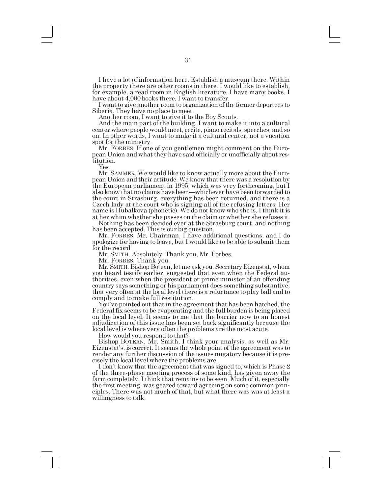I have a lot of information here. Establish a museum there. Within the property there are other rooms in there. I would like to establish, for example, a read room in English literature. I have many books. I have about 4,000 books there. I want to transfer.

I want to give another room to organization of the former deportees to Siberia. They have no place to meet.

Another room, I want to give it to the Boy Scouts.

And the main part of the building, I want to make it into a cultural center where people would meet, recite, piano recitals, speeches, and so on. In other words, I want to make it a cultural center, not a vacation spot for the ministry.<br>Mr. FORBES. If one of you gentlemen might comment on the Euro-

pean Union and what they have said officially or unofficially about restitution.

Yes.

Mr. SAMMER. We would like to know actually more about the European Union and their attitude. We know that there was a resolution by the European parliament in 1995, which was very forthcoming, but I also know that no claims have been—whichever have been forwarded to the court in Strasburg, everything has been returned, and there is a Czech lady at the court who is signing all of the refusing letters. Her name is Hubalkova (phonetic). We do not know who she is. I think it is at her whim whether she passes on the claim or whether she refuses it.

Nothing has been decided ever at the Strasburg court, and nothing has been accepted. This is our big question.

Mr. FORBES. Mr. Chairman, I have additional questions, and I do apologize for having to leave, but I would like to be able to submit them for the record.

Mr. SMITH. Absolutely. Thank you, Mr. Forbes.

Mr. FORBES. Thank you.

Mr. SMITH. Bishop Botean, let me ask you. Secretary Eizenstat, whom you heard testify earlier, suggested that even when the Federal authorities, even when the president or prime minister of an offending country says something or his parliament does something substantive, that very often at the local level there is a reluctance to play ball and to comply and to make full restitution.

You've pointed out that in the agreement that has been hatched, the Federal fix seems to be evaporating and the full burden is being placed on the local level. It seems to me that the barrier now to an honest adjudication of this issue has been set back significantly because the local level is where very often the problems are the most acute.

How would you respond to that?

Bishop BOTEAN. Mr. Smith, I think your analysis, as well as Mr. Eizenstat's, is correct. It seems the whole point of the agreement was to render any further discussion of the issues nugatory because it is precisely the local level where the problems are.

I don't know that the agreement that was signed to, which is Phase 2 of the three-phase meeting process of some kind, has given away the farm completely. I think that remains to be seen. Much of it, especially the first meeting, was geared toward agreeing on some common principles. There was not much of that, but what there was was at least a willingness to talk.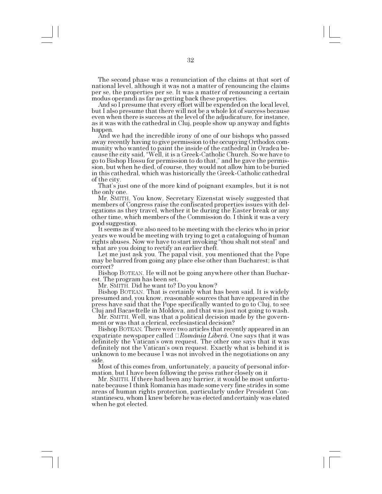The second phase was a renunciation of the claims at that sort of national level, although it was not a matter of renouncing the claims per se, the properties per se. It was a matter of renouncing a certain modus operandi as far as getting back these properties.

And so I presume that every effort will be expended on the local level, but I also presume that there will not be a whole lot of success because even when there is success at the level of the adjudicature, for instance, as it was with the cathedral in Cluj, people show up anyway and fights happen.

And we had the incredible irony of one of our bishops who passed away recently having to give permission to the occupying Orthodox community who wanted to paint the inside of the cathedral in Oradea because the city said, Well, it is a Greek-Catholic Church. So we have to go to Bishop Hossu for permission to do that," and he gave the permission, but when he died, of course, they would not allow him to be buried in this cathedral, which was historically the Greek-Catholic cathedral of the city.

That's just one of the more kind of poignant examples, but it is not the only one.

Mr. SMITH. You know, Secretary Eizenstat wisely suggested that members of Congress raise the confiscated properties issues with delegations as they travel, whether it be during the Easter break or any other time, which members of the Commission do. I think it was a very

It seems as if we also need to be meeting with the clerics who in prior years we would be meeting with trying to get a cataloguing of human rights abuses. Now we have to start invoking "thou shalt not steal" and what are you doing to rectify an earlier theft.

Let me just ask you. The papal visit, you mentioned that the Pope may be barred from going any place else other than Bucharest; is that correct?

Bishop BOTEAN. He will not be going anywhere other than Bucharest. The program has been set.

Mr. SMITH. Did he want to? Do you know?

Bishop BOTEAN. That is certainly what has been said. It is widely presumed and, you know, reasonable sources that have appeared in the press have said that the Pope specifically wanted to go to Cluj, to see Cluj and Baca«4telle in Moldova, and that was just not going to wash.

Mr. SMITH. Well, was that a political decision made by the government or was that a clerical, ecclesiastical decision?

Bishop BOTEAN. There were two articles that recently appeared in an expatriate newspaper called  $\Box Romania\,Liber\hat{a}$ . One says that it was definitely the Vatican's own request. The other one says that it was definitely not the Vatican's own request. Exactly what is behind it is unknown to me because I was not involved in the negotiations on any side.

Most of this comes from, unfortunately, a paucity of personal information, but I have been following the press rather closely on it

Mr. SMITH. If there had been any barrier, it would be most unfortunate because I think Romania has made some very fine strides in some areas of human rights protection, particularly under President Constantinescu, whom I knew before he was elected and certainly was elated when he got elected.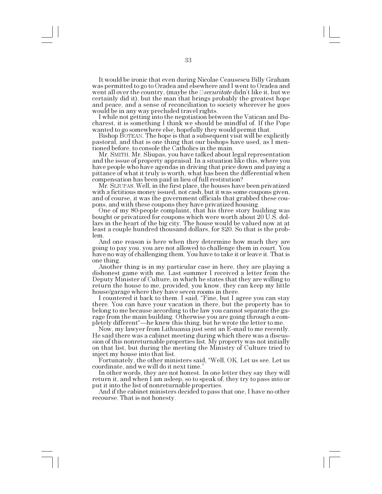It would be ironic that even during Nicolae Ceausescu Billy Graham was permitted to go to Oradea and elsewhere and I went to Oradea and went all over the country, (maybe the  $\Box$ *securitate* didn't like it, but we certainly did it), but the man that brings probably the greatest hope and peace, and a sense of reconciliation to society wherever he goes would be in any way precluded travel rights.

I while not getting into the negotiation between the Vatican and Bucharest, it is something I think we should be mindful of. If the Pope wanted to go somewhere else, hopefully they would permit that.

Bishop BOTEAN. The hope is that a subsequent visit will be explicitly pastoral, and that is one thing that our bishops have used, as I mentioned before, to console the Catholics in the main.

Mr. SMITH. Mr. Sliupas, you have talked about legal representation and the issue of property appraisal. In a situation like this, where you have people who have agendas in driving that price down and paying a pittance of what it truly is worth, what has been the differential when compensation has been paid in lieu of full restitution?

Mr. SLIUPAS. Well, in the first place, the houses have been privatized with a fictitious money issued, not cash, but it was some coupons given, and of course, it was the government officials that grabbed these cou-

One of my 80-people complaint, that his three story building was bought or privatized for coupons which were worth about 20 U.S. dollars in the heart of the big city. The house would be valued now at at least a couple hundred thousand dollars, for \$20. So that is the problem.

And one reason is here when they determine how much they are going to pay you, you are not allowed to challenge them in court. You have no way of challenging them. You have to take it or leave it. That is one thing.

Another thing is in my particular case in here, they are playing a dishonest game with me. Last summer I received a letter from the Deputy Minister of Culture, in which he states that they are willing to return the house to me, provided, you know, they can keep my little house/garage where they have seven rooms in there.

I countered it back to them. I said, "Fine, but I agree you can stay there. You can have your vacation in there, but the property has to belong to me because according to the law you cannot separate the garage from the main building. Otherwise you are going through a completely different –he knew this thing, but he wrote the letter to me.

Now, my lawyer from Lithuania just sent an E-mail to me recently. He said there was a cabinet meeting during which there was a discussion of this nonreturnable properties list. My property was not initially on that list, but during the meeting the Ministry of Culture tried to inject my house into that list.

Fortunately, the other ministers said, Well, OK. Let us see. Let us coordinate, and we will do it next time."<br>In other words, they are not honest. In one letter they say they will

return it, and when I am asleep, so to speak of, they try to pass into or put it into the list of nonreturnable properties.

And if the cabinet ministers decided to pass that one, I have no other recourse. That is not honesty.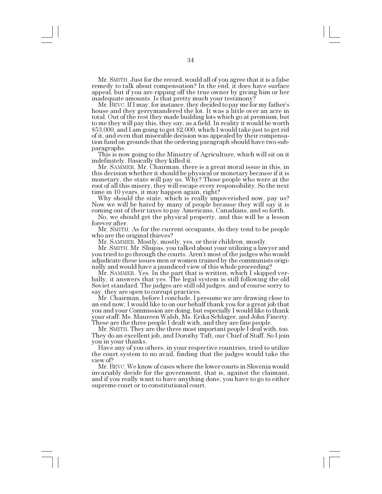Mr. SMITH. Just for the record, would all of you agree that it is a false remedy to talk about compensation? In the end, it does have surface appeal, but if you are ripping off the true owner by giving him or her inadequate amounts. Is that pretty much your testimony?

Mr. BEVC. If I may, for instance, they decided to pay me for my father's house and they gerrymandered the lot. It was a little over an acre in total. Out of the rest they made building lots which go at premium, but to me they will pay this, they say, as a field. In reality it would be worth \$53,000, and I am going to get \$2,000, which I would take just to get rid of it, and even that miserable decision was appealed by their compensation fund on grounds that the ordering paragraph should have two sub-

This is now going to the Ministry of Agriculture, which will sit on it indefinitely. Basically they killed it.

this decision whether it should be physical or monetary because if it is monetary, the state will pay us. Why? Those people who were at the root of all this misery, they will escape every responsibility. So the next time in 10 years, it may happen again, right?

Why should the state, which is really impoverished now, pay us? Now we will be hated by many of people because they will say it is coming out of their taxes to pay Americans, Canadians, and so forth.

No, we should get the physical property, and this will be a lesson forever after.

Mr. SMITH. As for the current occupants, do they tend to be people who are the original thieves?

Mr. SAMMER. Mostly, mostly, yes, or their children, mostly.

Mr. SMITH. Mr. Sliupas, you talked about your utilizing a lawyer and you tried to go through the courts. Aren't most of the judges who would adjudicate these issues men or women trained by the communists originally and would have a jaundiced view of this whole proceeding?

Mr. SAMMER. Yes. In the part that is written, which I skipped verbally, it answers that yes. The legal system is still following the old Soviet standard. The judges are still old judges, and of course sorry to say, they are open to corrupt practices.

Mr. Chairman, before I conclude, I presume we are drawing close to an end now; I would like to on our behalf thank you for a great job that you and your Commission are doing, but especially I would like to thank your staff: Ms. Maureen Walsh, Ms. Erika Schlager, and John Finerty. These are the three people I dealt with, and they are fine people.

Mr. SMITH. They are the three most important people I deal with, too. They do an excellent job, and Dorothy Taft, our Chief of Staff. So I join you in your thanks.

Have any of you others, in your respective countries, tried to utilize the court system to no avail, finding that the judges would take the view of?

Mr. BEVC. We know of cases where the lower courts in Slovenia would invariably decide for the government, that is, against the claimant, and if you really want to have anything done, you have to go to either supreme court or to constitutional court.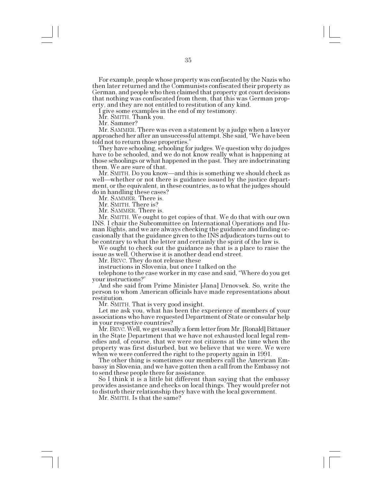For example, people whose property was confiscated by the Nazis who then later returned and the Communists confiscated their property as German, and people who then claimed that property got court decisions that nothing was confiscated from them, that this was German property, and they are not entitled to restitution of any kind.

I give some examples in the end of my testimony.

Mr. SMITH. Thank you.

Mr. Sammer?<br>Mr. SAMMER. There was even a statement by a judge when a lawyer approached her after an unsuccessful attempt. She said, "We have been told not to return those properties.

They have schooling, schooling for judges. We question why do judges have to be schooled, and we do not know really what is happening at those schoolings or what happened in the past. They are indoctrinating them. We are sure of that.

Mr. SMITH. Do you know—and this is something we should check as well—whether or not there is guidance issued by the justice department, or the equivalent, in these countries, as to what the judges should do in handling these cases?

Mr. SAMMER. There is.

Mr. SMITH. There is?

Mr. SAMMER. There is.

Mr. SMITH. We ought to get copies of that. We do that with our own INS. I chair the Subcommittee on International Operations and Human Rights, and we are always checking the guidance and finding occasionally that the guidance given to the INS adjudicators turns out to be contrary to what the letter and certainly the spirit of the law is.

We ought to check out the guidance as that is a place to raise the issue as well. Otherwise it is another dead end street.

Mr. BEVC. They do not release these

instructions in Slovenia, but once I talked on the

telephone to the case worker in my case and said, Where do you get

And she said from Prime Minister [Jana] Drnovsek. So, write the person to whom American officials have made representations about restitution.

Mr. SMITH. That is very good insight.

Let me ask you, what has been the experience of members of your associations who have requested Department of State or consular help in your respective countries?

Mr. BEVC. Well, we get usually a form letter from Mr. [Ronald] Bittauer in the State Department that we have not exhausted local legal remedies and, of course, that we were not citizens at the time when the property was first disturbed, but we believe that we were. We were when we were conferred the right to the property again in 1991.

The other thing is sometimes our members call the American Embassy in Slovenia, and we have gotten then a call from the Embassy not to send these people there for assistance.

So I think it is a little bit different than saying that the embassy provides assistance and checks on local things. They would prefer not to disturb their relationship they have with the local government.

Mr. SMITH. Is that the same?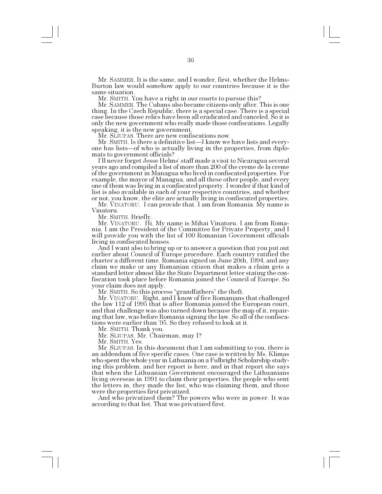Mr. SAMMER. It is the same, and I wonder, first, whether the Helms-Burton law would somehow apply to our countries because it is the same situation.

Mr. SMITH. You have a right in our courts to pursue this?

Mr. SAMMER. The Cubans also became citizens only after. This is one thing. In the Czech Republic, there is a special case. There is a special case because those relics have been all eradicated and canceled. So it is only the new government who really made those confiscations. Legally speaking, it is the new government.

Mr. SLIUPAS. There are new confiscations now.

Mr. SMITH. Is there a definitive list—I know we have lists and everyone has lists—of who is actually living in the properties, from diplomats to government officials?

I'll never forget Jesse Helms' staff made a visit to Nicaragua several years ago and compiled a list of more than 200 of the creme de la creme of the government in Managua who lived in confiscated properties. For example, the mayor of Managua, and all these other people, and every one of them was living in a confiscated property. I wonder if that kind of list is also available in each of your respective countries, and whether or not, you know, the elite are actually living in confiscated properties.

Mr. VINATORU. I can provide that. I am from Romania. My name is Vinatoru.

Mr. SMITH. Briefly.<br>Mr. VINATORU. Hi. My name is Mihai Vinatoru. I am from Romania. I am the President of the Committee for Private Property, and I will provide you with the list of 100 Romanian Government officials living in confiscated houses.

And I want also to bring up or to answer a question that you put out earlier about Council of Europe procedure. Each country ratified the charter a different time. Romania signed on June 20th, 1994, and any claim we make or any Romanian citizen that makes a claim gets a standard letter almost like the State Department letter stating the confiscation took place before Romania joined the Council of Europe. So your claim does not apply.

Mr. SMITH. So this process "grandfathers" the theft.<br>Mr. VINATORU. Right, and I know of five Romanians that challenged the law 112 of 1995 that is after Romania joined the European court, and that challenge was also turned down because the map of it, repairing that law, was before Romania signing the law. So all of the confiscations were earlier than 95. So they refused to look at it.

Mr. SMITH. Thank you.

Mr. SLIUPAS. Mr. Chairman, may I?

Mr. SMITH. Yes.

Mr. SLIUPAS. In this document that I am submitting to you, there is an addendum of five specific cases. One case is written by Ms. Klimas who spent the whole year in Lithuania on a Fulbright Scholarship studying this problem, and her report is here, and in that report she says that when the Lithuanian Government encouraged the Lithuanians living overseas in 1991 to claim their properties, the people who sent the letters in, they made the list, who was claiming them, and those were the properties first privatized.

And who privatized them? The powers who were in power. It was according to that list. That was privatized first.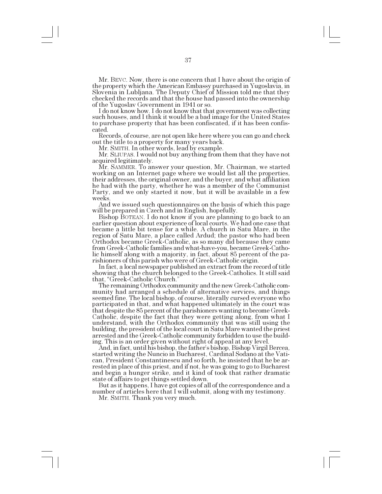Mr. BEVC. Now, there is one concern that I have about the origin of the property which the American Embassy purchased in Yugoslavia, in Slovenia in Lubljana. The Deputy Chief of Mission told me that they checked the records and that the house had passed into the ownership of the Yugoslav Government in 1941 or so.<br>I do not know how. I do not know that that government was collecting

such houses, and I think it would be a bad image for the United States to purchase property that has been confiscated, if it has been confiscated.

Records, of course, are not open like here where you can go and check out the title to a property for many years back.

Mr. SMITH. In other words, lead by example.

Mr. SLIUPAS. I would not buy anything from them that they have not acquired legitimately.

Mr. SAMMER. To answer your question, Mr. Chairman, we started working on an Internet page where we would list all the properties, their addresses, the original owner, and the buyer, and what affiliation he had with the party, whether he was a member of the Communist Party, and we only started it now, but it will be available in a few weeks.

And we issued such questionnaires on the basis of which this page will be prepared in Czech and in English, hopefully.

Bishop BOTEAN. I do not know if you are planning to go back to an earlier question about experience of local courts. We had one case that became a little bit tense for a while. A church in Satu Mare, in the region of Satu Mare, a place called Ardud; the pastor who had been Orthodox became Greek-Catholic, as so many did because they came from Greek-Catholic families and what-have-you, became Greek-Catholic himself along with a majority, in fact, about 85 percent of the pa-

In fact, a local newspaper published an extract from the record of title showing that the church belonged to the Greek-Catholics. It still said that, "Greek-Catholic Church."

The remaining Orthodox community and the new Greek-Catholic community had arranged a schedule of alternative services, and things seemed fine. The local bishop, of course, literally cursed everyone who participated in that, and what happened ultimately in the court was that despite the 85 percent of the parishioners wanting to become Greek-Catholic, despite the fact that they were getting along, from what I understand, with the Orthodox community that was still using the building, the president of the local court in Satu Mare wanted the priest arrested and the Greek-Catholic community forbidden to use the building. This is an order given without right of appeal at any level.

And, in fact, until his bishop, the father's bishop, Bishop Virgil Bercea, started writing the Nuncio in Bucharest, Cardinal Sodano at the Vatican, President Constantinescu and so forth, he insisted that he be arrested in place of this priest, and if not, he was going to go to Bucharest and begin a hunger strike, and it kind of took that rather dramatic state of affairs to get things settled down.

But as it happens, I have got copies of all of the correspondence and a number of articles here that I will submit, along with my testimony.

Mr. SMITH. Thank you very much.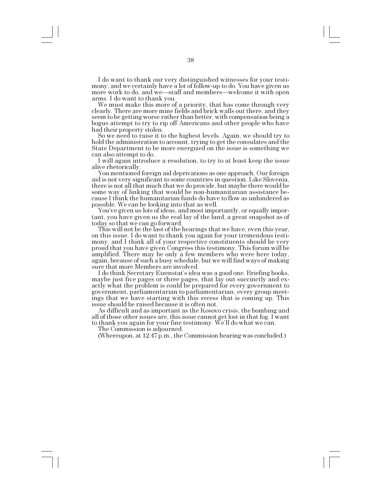I do want to thank our very distinguished witnesses for your testimony, and we certainly have a lot of follow-up to do. You have given us more work to do, and we—staff and members—welcome it with open arms. I do want to thank you.

We must make this more of a priority, that has come through very clearly. There are more mine fields and brick walls out there, and they seem to be getting worse rather than better, with compensation being a bogus attempt to try to rip off Americans and other people who have had their property stolen.

So we need to raise it to the highest levels. Again, we should try to hold the administration to account, trying to get the consulates and the State Department to be more energized on the issue is something we can also attempt to do.

I will again introduce a resolution, to try to at least keep the issue alive rhetorically. You mentioned foreign aid deprivations as one approach. Our foreign

aid is not very significant to some countries in question. Like Slovenia, there is not all that much that we do provide, but maybe there would be some way of linking that would be non-humanitarian assistance because I think the humanitarian funds do have to flow as unhindered as

You've given us lots of ideas, and most importantly, or equally important, you have given us the real lay of the land, a great snapshot as of

today so that we can go forward. This will not be the last of the hearings that we have, even this year, on this issue. I do want to thank you again for your tremendous testimony, and I think all of your respective constituents should be very proud that you have given Congress this testimony. This forum will be amplified. There may be only a few members who were here today, again, because of such a busy schedule, but we will find ways of making sure that more Members are involved.

I do think Secretary Eizenstat's idea was a good one. Briefing books, maybe just five pages or three pages, that lay out succinctly and exactly what the problem is could be prepared for every government to government, parliamentarian to parliamentarian, every group meetings that we have starting with this recess that is coming up. This issue should be raised because it is often not.

As difficult and as important as the Kosovo crisis, the bombing and all of those other issues are, this issue cannot get lost in that fog. I want to thank you again for your fine testimony. We'll do what we can.

The Commission is adjourned.

(Whereupon, at 12:47 p.m., the Commission hearing was concluded.)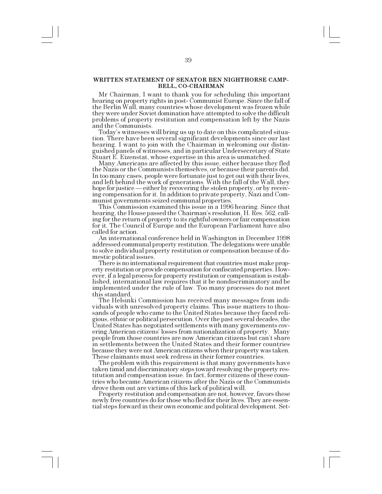#### **WRITTEN STATEMENT OF SENATOR BEN NIGHTHORSE CAMP-BELL, CO-CHAIRMAN**

Mr Chairman, I want to thank you for scheduling this important hearing on property rights in post- Communist Europe. Since the fall of the Berlin Wall, many countries whose development was frozen while they were under Soviet domination have attempted to solve the difficult problems of property restitution and compensation left by the Nazis and the Communists.

Todays witnesses will bring us up to date on this complicated situation. There have been several significant developments since our last hearing. I want to join with the Chairman in welcoming our distinguished panels of witnesses, and in particular Undersecretary of State Stuart E. Eizenstat, whose expertise in this area is unmatched.

Many Americans are affected by this issue, either because they fled the Nazis or the Communists themselves, or because their parents did. In too many cases, people were fortunate just to get out with their lives, and left behind the work of generations. With the fall of the Wall, they hope for justice — either by recovering the stolen property, or by receiving compensation for it. In addition to private property, Nazi and Communist governments seized communal properties.

This Commission examined this issue in a 1996 hearing. Since that hearing, the House passed the Chairman's resolution, H. Res. 562, calling for the return of property to its rightful owners or fair compensation for it. The Council of Europe and the European Parliament have also called for action.

An international conference held in Washington in December 1998 addressed communal property restitution. The delegations were unable to solve individual property restitution or compensation because of domestic political issues.

There is no international requirement that countries must make property restitution or provide compensation for confiscated properties. However, if a legal process for property restitution or compensation is established, international law requires that it be nondiscriminatory and be implemented under the rule of law. Too many processes do not meet this standard.

The Helsinki Commission has received many messages from individuals with unresolved property claims. This issue matters to thousands of people who came to the United States because they faced religious, ethnic or political persecution. Over the past several decades, the United States has negotiated settlements with many governments covering American citizens' losses from nationalization of property. Many people from those countries are now American citizens but can't share in settlements between the United States and their former countries because they were not American citizens when their property was taken. These claimants must seek redress in their former countries.

The problem with this requirement is that many governments have taken timid and discriminatory steps toward resolving the property restitution and compensation issue. In fact, former citizens of these countries who became American citizens after the Nazis or the Communists drove them out are victims of this lack of political will.

Property restitution and compensation are not, however, favors these newly free countries do for those who fled for their lives. They are essential steps forward in their own economic and political development. Set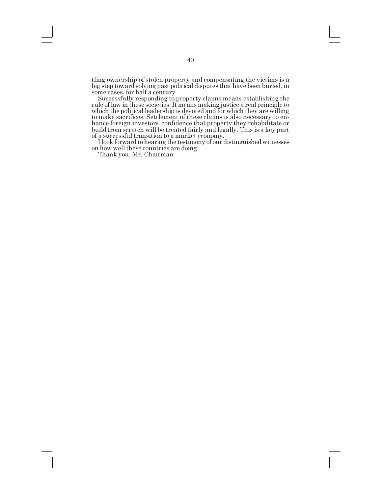tling ownership of stolen property and compensating the victims is a big step toward solving past political disputes that have been buried, in some cases, for half a century. Successfully responding to property claims means establishing the

rule of law in these societies. It means making justice a real principle to which the political leadership is devoted and for which they are willing to make sacrifices. Settlement of these claims is also necessary to enhance foreign investors' confidence that property they rehabilitate or build from scratch will be treated fairly and legally. This is a key part of a successful transition to a market economy.

I look forward to hearing the testimony of our distinguished witnesses on how well these countries are doing.

Thank you, Mr. Chairman.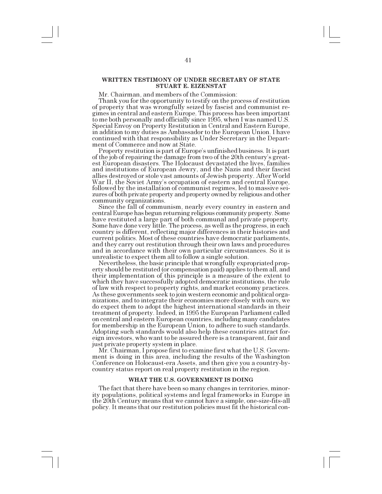# **WRITTEN TESTIMONY OF UNDER SECRETARY OF STATE STUART E. EIZENSTAT**

Mr. Chairman, and members of the Commission:

Thank you for the opportunity to testify on the process of restitution of property that was wrongfully seized by fascist and communist regimes in central and eastern Europe. This process has been important to me both personally and officially since 1995, when I was named U.S. Special Envoy on Property Restitution in Central and Eastern Europe, in addition to my duties as Ambassador to the European Union. I have continued with that responsibility as Under Secretary in the Department of Commerce and now at State.

Property restitution is part of Europe's unfinished business. It is part of the job of repairing the damage from two of the 20th centurys greatest European disasters. The Holocaust devastated the lives, families and institutions of European Jewry, and the Nazis and their fascist allies destroyed or stole vast amounts of Jewish property. After World War II, the Soviet Army's occupation of eastern and central Europe, followed by the installation of communist regimes, led to massive seizures of both private property and property owned by religious and other community organizations. Since the fall of communism, nearly every country in eastern and

central Europe has begun returning religious community property. Some have restituted a large part of both communal and private property. Some have done very little. The process, as well as the progress, in each country is different, reflecting major differences in their histories and current politics. Most of these countries have democratic parliaments, and they carry out restitution through their own laws and procedures and in accordance with their own particular circumstances. So it is

Nevertheless, the basic principle that wrongfully expropriated property should be restituted (or compensation paid) applies to them all, and their implementation of this principle is a measure of the extent to which they have successfully adopted democratic institutions, the rule of law with respect to property rights, and market economy practices. As these governments seek to join western economic and political organizations, and to integrate their economies more closely with ours, we do expect them to adopt the highest international standards in their treatment of property. Indeed, in 1995 the European Parliament called on central and eastern European countries, including many candidates for membership in the European Union, to adhere to such standards. Adopting such standards would also help these countries attract foreign investors, who want to be assured there is a transparent, fair and just private property system in place.

Mr. Chairman, I propose first to examine first what the U.S. Government is doing in this area, including the results of the Washington Conference on Holocaust-era Assets, and then give you a country-bycountry status report on real property restitution in the region.

#### **WHAT THE U.S. GOVERNMENT IS DOING**

The fact that there have been so many changes in territories, minority populations, political systems and legal frameworks in Europe in the 20th Century means that we cannot have a simple, one-size-fits-all policy. It means that our restitution policies must fit the historical con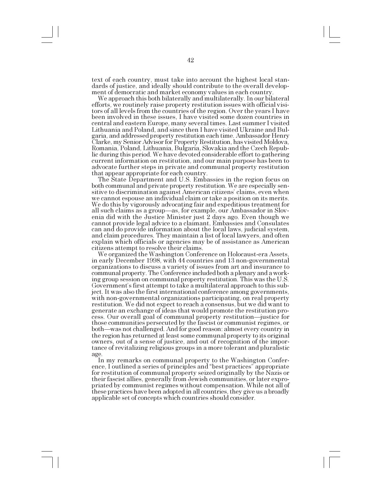text of each country, must take into account the highest local standards of justice, and ideally should contribute to the overall development of democratic and market economy values in each country.

We approach this both bilaterally and multilaterally. In our bilateral efforts, we routinely raise property restitution issues with official visitors of all levels from the countries of the region. Over the years I have been involved in these issues, I have visited some dozen countries in central and eastern Europe, many several times. Last summer I visited Lithuania and Poland, and since then I have visited Ukraine and Bulgaria, and addressed property restitution each time. Ambassador Henry Clarke, my Senior Advisor for Property Restitution, has visited Moldova, Romania, Poland, Lithuania, Bulgaria, Slovakia and the Czech Republic during this period. We have devoted considerable effort to gathering current information on restitution, and our main purpose has been to advocate further steps in private and communal property restitution that appear appropriate for each country.

The State Department and U.S. Embassies in the region focus on both communal and private property restitution. We are especially sensitive to discrimination against American citizens' claims, even when we cannot espouse an individual claim or take a position on its merits. We do this by vigorously advocating fair and expeditious treatment for all such claims as a group—as, for example, our Ambassador in Slovenia did with the Justice Minister just 2 days ago. Even though we cannot provide legal advice to a claimant, Embassies and Consulates can and do provide information about the local laws, judicial system, and claim procedures. They maintain a list of local lawyers, and often explain which officials or agencies may be of assistance as American citizens attempt to resolve their claims.

We organized the Washington Conference on Holocaust-era Assets, in early December 1998, with 44 countries and 13 non-governmental organizations to discuss a variety of issues from art and insurance to communal property. The Conference included both a plenary and a working group session on communal property restitution. This was the U.S. Government's first attempt to take a multilateral approach to this subject. It was also the first international conference among governments, with non-governmental organizations participating, on real property restitution. We did not expect to reach a consensus, but we did want to generate an exchange of ideas that would promote the restitution process. Our overall goal of communal property restitution-justice for those communities persecuted by the fascist or communist regimes, or both—was not challenged. And for good reason: almost every country in the region has returned at least some communal property to its original owners, out of a sense of justice, and out of recognition of the importance of revitalizing religious groups in a more tolerant and pluralistic

age. In my remarks on communal property to the Washington Conference, I outlined a series of principles and "best practices" appropriate for restitution of communal property seized originally by the Nazis or their fascist allies, generally from Jewish communities, or later expropriated by communist regimes without compensation. While not all of these practices have been adopted in all countries, they give us a broadly applicable set of concepts which countries should consider.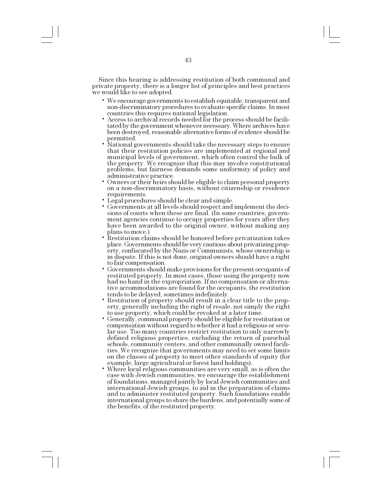Since this hearing is addressing restitution of both communal and private property, there is a longer list of principles and best practices we would like to see adopted.

- We encourage governments to establish equitable, transparent and non-discriminatory procedures to evaluate specific claims. In most countries this requires national legislation.
- Access to archival records needed for the process should be facilitated by the government whenever necessary. Where archives have been destroyed, reasonable alternative forms of evidence should be permitted.
- National governments should take the necessary steps to ensure that their restitution policies are implemented at regional and municipal levels of government, which often control the bulk of the property. We recognize that this may involve constitutional problems, but fairness demands some uniformity of policy and administrative practice.
- Owners or their heirs should be eligible to claim personal property on a non-discriminatory basis, without citizenship or residence requirements.<br>Legal procedures should be clear and simple.
- 
- Governments at all levels should respect and implement the deci-sions of courts when these are final. (In some countries, government agencies continue to occupy properties for years after they have been awarded to the original owner, without making any plans to move.)
- Restitution claims should be honored before privatization takes place. Governments should be very cautious about privatizing property, confiscated by the Nazis or Communists, whose ownership is in dispute. If this is not done, original owners should have a right to fair compensation.
- Governments should make provisions for the present occupants of restituted property. In most cases, those using the property now had no hand in the expropriation. If no compensation or alternative accommodations are found for the occupants, the restitution
- Restitution of property should result in a clear title to the property, generally including the right of resale, not simply the right
- Generally, communal property should be eligible for restitution or compensation without regard to whether it had a religious or secular use. Too many countries restrict restitution to only narrowly defined religious properties, excluding the return of parochial schools, community centers, and other communally owned facilities. We recognize that governments may need to set some limits on the classes of property to meet other standards of equity (for example, large agricultural or forest land holdings).
- Where local religious communities are very small, as is often the case with Jewish communities, we encourage the establishment of foundations, managed jointly by local Jewish communities and international Jewish groups, to aid in the preparation of claims and to administer restituted property. Such foundations enable international groups to share the burdens, and potentially some of the benefits, of the restituted property.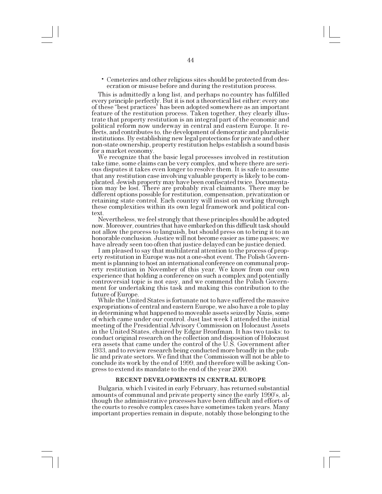Cemeteries and other religious sites should be protected from desecration or misuse before and during the restitution process.

This is admittedly a long list, and perhaps no country has fulfilled every principle perfectly. But it is not a theoretical list either: every one of these "best practices" has been adopted somewhere as an important feature of the restitution process. Taken together, they clearly illustrate that property restitution is an integral part of the economic and political reform now underway in central and eastern Europe. It reflects, and contributes to, the development of democratic and pluralistic institutions. By establishing new legal protections for private and other non-state ownership, property restitution helps establish a sound basis for a market economy.

We recognize that the basic legal processes involved in restitution take time, some claims can be very complex, and where there are serious disputes it takes even longer to resolve them. It is safe to assume that any restitution case involving valuable property is likely to be complicated. Jewish property may have been confiscated twice. Documentation may be lost. There are probably rival claimants. There may be different options possible for restitution, compensation, privatization or retaining state control. Each country will insist on working through these complexities within its own legal framework and political con-

text.<br>Nevertheless, we feel strongly that these principles should be adopted now. Moreover, countries that have embarked on this difficult task should not allow the process to languish, but should press on to bring it to an honorable conclusion. Justice will not become easier as time passes; we have already seen too often that justice delayed can be justice denied.

I am pleased to say that multilateral attention to the process of property restitution in Europe was not a one-shot event. The Polish Government is planning to host an international conference on communal property restitution in November of this year. We know from our own experience that holding a conference on such a complex and potentially controversial topic is not easy, and we commend the Polish Government for undertaking this task and making this contribution to the future of Europe.

While the United States is fortunate not to have suffered the massive expropriations of central and eastern Europe, we also have a role to play in determining what happened to moveable assets seized by Nazis, some of which came under our control. Just last week I attended the initial meeting of the Presidential Advisory Commission on Holocaust Assets in the United States, chaired by Edgar Bronfman. It has two tasks: to conduct original research on the collection and disposition of Holocaust era assets that came under the control of the U.S. Government after 1933, and to review research being conducted more broadly in the public and private sectors. We find that the Commission will not be able to conclude its work by the end of 1999, and therefore will be asking Congress to extend its mandate to the end of the year 2000.

#### **RECENT DEVELOPMENTS IN CENTRAL EUROPE**

Bulgaria, which I visited in early February, has returned substantial amounts of communal and private property since the early 1990's, although the administrative processes have been difficult and efforts of the courts to resolve complex cases have sometimes taken years. Many important properties remain in dispute, notably those belonging to the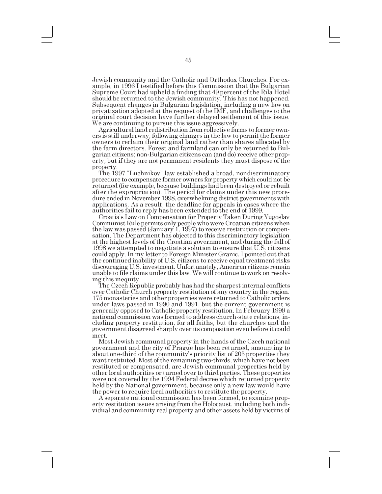Jewish community and the Catholic and Orthodox Churches. For example, in 1996 I testified before this Commission that the Bulgarian Supreme Court had upheld a finding that 49 percent of the Rila Hotel should be returned to the Jewish community. This has not happened. Subsequent changes in Bulgarian legislation, including a new law on privatization adopted at the request of the IMF, and challenges to the original court decision have further delayed settlement of this issue. We are continuing to pursue this issue aggressively.<br>Agricultural land redistribution from collective farms to former own-

ers is still underway, following changes in the law to permit the former owners to reclaim their original land rather than shares allocated by the farm directors. Forest and farmland can only be returned to Bulgarian citizens; non-Bulgarian citizens can (and do) receive other property, but if they are not permanent residents they must dispose of the property.

The 1997 "Luchnikov" law established a broad, nondiscriminatory procedure to compensate former owners for property which could not be returned (for example, because buildings had been destroyed or rebuilt after the expropriation). The period for claims under this new procedure ended in November 1998, overwhelming district governments with applications. As a result, the deadline for appeals in cases where the authorities fail to reply has been extended to the end of 1999.

Croatias Law on Compensation for Property Taken During Yugoslav Communist Rule permits only people who were Croatian citizens when the law was passed (January 1, 1997) to receive restitution or compensation. The Department has objected to this discriminatory legislation at the highest levels of the Croatian government, and during the fall of 1998 we attempted to negotiate a solution to ensure that U.S. citizens could apply. In my letter to Foreign Minister Granic, I pointed out that the continued inability of U.S. citizens to receive equal treatment risks discouraging U.S. investment. Unfortunately, American citizens remain unable to file claims under this law. We will continue to work on resolving this inequity. The Czech Republic probably has had the sharpest internal conflicts

over Catholic Church property restitution of any country in the region. 175 monasteries and other properties were returned to Catholic orders under laws passed in 1990 and 1991, but the current government is generally opposed to Catholic property restitution. In February 1999 a national commission was formed to address church-state relations, including property restitution, for all faiths, but the churches and the government disagreed sharply over its composition even before it could meet.

Most Jewish communal property in the hands of the Czech national government and the city of Prague has been returned, amounting to about one-third of the community's priority list of 205 properties they want restituted. Most of the remaining two-thirds, which have not been restituted or compensated, are Jewish communal properties held by other local authorities or turned over to third parties. These properties were not covered by the 1994 Federal decree which returned property held by the National government, because only a new law would have the power to require local authorities to restitute the property.

A separate national commission has been formed, to examine property restitution issues arising from the Holocaust, including both individual and community real property and other assets held by victims of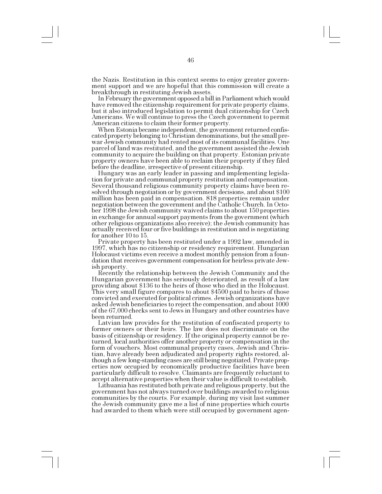the Nazis. Restitution in this context seems to enjoy greater government support and we are hopeful that this commission will create a breakthrough in restituting Jewish assets.

In February the government opposed a bill in Parliament which would have removed the citizenship requirement for private property claims, but it also introduced legislation to permit dual citizenship for Czech Americans. We will continue to press the Czech government to permit American citizens to claim their former property.

When Estonia became independent, the government returned confiscated property belonging to Christian denominations, but the small prewar Jewish community had rented most of its communal facilities. One parcel of land was restituted, and the government assisted the Jewish community to acquire the building on that property. Estonian private property owners have been able to reclaim their property if they filed before the deadline, irrespective of present citizenship.

Hungary was an early leader in passing and implementing legislation for private and communal property restitution and compensation. Several thousand religious community property claims have been resolved through negotiation or by government decisions, and about \$100 million has been paid in compensation. 818 properties remain under negotiation between the government and the Catholic Church. In October 1998 the Jewish community waived claims to about 150 properties in exchange for annual support payments from the government (which other religious organizations also receive); the Jewish community has actually received four or five buildings in restitution and is negotiating for another 10 to 15.

Private property has been restituted under a 1992 law, amended in 1997, which has no citizenship or residency requirement. Hungarian Holocaust victims even receive a modest monthly pension from a foundation that receives government compensation for heirless private Jewish property.

Recently the relationship between the Jewish Community and the Hungarian government has seriously deteriorated, as result of a law providing about \$136 to the heirs of those who died in the Holocaust. This very small figure compares to about \$4500 paid to heirs of those convicted and executed for political crimes. Jewish organizations have asked Jewish beneficiaries to reject the compensation, and about 1000 of the 67,000 checks sent to Jews in Hungary and other countries have been returned.

Latvian law provides for the restitution of confiscated property to former owners or their heirs. The law does not discriminate on the basis of citizenship or residency. If the original property cannot be returned, local authorities offer another property or compensation in the form of vouchers. Most communal property cases, Jewish and Christian, have already been adjudicated and property rights restored, although a few long-standing cases are still being negotiated. Private properties now occupied by economically productive facilities have been particularly difficult to resolve. Claimants are frequently reluctant to accept alternative properties when their value is difficult to establish.

Lithuania has restituted both private and religious property, but the government has not always turned over buildings awarded to religious communities by the courts. For example, during my visit last summer the Jewish community gave me a list of nine properties which courts had awarded to them which were still occupied by government agen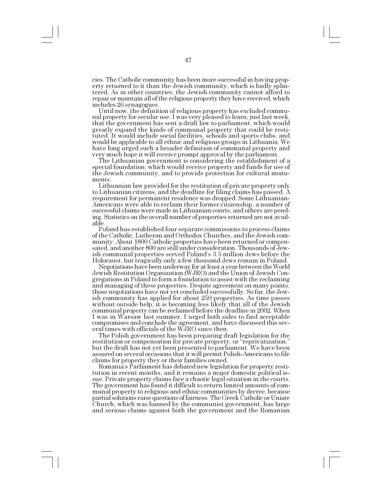cies. The Catholic community has been more successful in having property returned to it than the Jewish community, which is badly splintered. As in other countries, the Jewish community cannot afford to repair or maintain all of the religious property they have received, which includes 26 synagogues.<br>Until now, the definition of religious property has excluded commu-

nal property for secular use. I was very pleased to learn, just last week, that the government has sent a draft law to parliament, which would greatly expand the kinds of communal property that could be restituted. It would include social facilities, schools and sports clubs, and would be applicable to all ethnic and religious groups in Lithuania. We have long urged such a broader definition of communal property and very much hope it will receive prompt approval by the parliament.

The Lithuanian government is considering the establishment of a special foundation, which would receive property and funds for use of the Jewish community, and to provide protection for cultural monuments.<br>Lithuanian law provided for the restitution of private property only

to Lithuanian citizens, and the deadline for filing claims has passed. A requirement for permanent residence was dropped. Some Lithuanian-Americans were able to reclaim their former citizenship, a number of successful claims were made in Lithuanian courts, and others are pending. Statistics on the overall number of properties returned are not available.

Poland has established four separate commissions to process claims of the Catholic, Lutheran and Orthodox Churches, and the Jewish community. About 1800 Catholic properties have been returned or compensated, and another 800 are still under consideration. Thousands of Jewish communal properties served Poland's 3.5 million Jews before the Holocaust, but tragically only a few thousand Jews remain in Poland.

Negotiations have been underway for at least a year between the World Jewish Restitution Organization (WJRO) and the Union of Jewish Congregations in Poland to form a foundation to assist with the reclaiming and managing of these properties. Despite agreement on many points, those negotiations have not yet concluded successfully. So far, the Jewish community has applied for about 250 properties. As time passes without outside help, it is becoming less likely that all of the Jewish communal property can be reclaimed before the deadline in 2002. When I was in Warsaw last summer, I urged both sides to find acceptable compromises and conclude the agreement, and have discussed this several times with officials of the WJRO since then.

The Polish government has been preparing draft legislation for the restitution or compensation for private property, or "reprivatization," but the draft has not yet been presented to parliament. We have been assured on several occasions that it will permit Polish-Americans to file claims for property they or their families owned.

Romania's Parliament has debated new legislation for property restitution in recent months, and it remains a major domestic political issue. Private property claims face a chaotic legal situation in the courts. The government has found it difficult to return limited amounts of communal property to religious and ethnic communities by decree, because partial solutions raise questions of fairness. The Greek Catholic or Uniate Church, which was banned by the communist government, has large and serious claims against both the government and the Romanian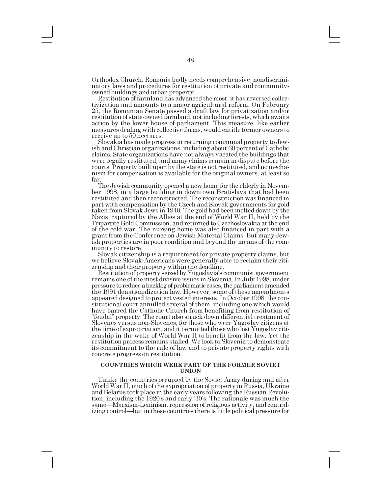Orthodox Church. Romania badly needs comprehensive, nondiscriminatory laws and procedures for restitution of private and community-

Restitution of farmland has advanced the most: it has reversed collectivization and amounts to a major agricultural reform. On February 25, the Romanian Senate passed a draft law for privatization and/or restitution of state-owned farmland, not including forests, which awaits action by the lower house of parliament. This measure, like earlier measures dealing with collective farms, would entitle former owners to receive up to 50 hectares.

Slovakia has made progress in returning communal property to Jewish and Christian organizations, including about 60 percent of Catholic claims. State organizations have not always vacated the buildings that were legally restituted, and many claims remain in dispute before the courts. Property built upon by the state is not restituted, and no mechanism for compensation is available for the original owners, at least so far.

The Jewish community opened a new home for the elderly in November 1998, in a large building in downtown Bratislava that had been restituted and then reconstructed. The reconstruction was financed in part with compensation by the Czech and Slovak governments for gold taken from Slovak Jews in 1940. The gold had been melted down by the Nazis, captured by the Allies at the end of World War II, held by the Tripartite Gold Commission, and returned to Czechoslovakia at the end of the cold war. The nursing home was also financed in part with a grant from the Conference on Jewish Material Claims. But many Jewish properties are in poor condition and beyond the means of the community to restore.

Slovak citizenship is a requirement for private property claims, but we believe Slovak-Americans were generally able to reclaim their citizenship and their property within the deadline.

Restitution of property seized by Yugoslavia's communist government remains one of the most divisive issues in Slovenia. In July 1998, under pressure to reduce a backlog of problematic cases, the parliament amended the 1991 denationalization law. However, some of these amendments appeared designed to protect vested interests. In October 1998, the constitutional court annulled several of them, including one which would have barred the Catholic Church from benefiting from restitution of "feudal" property. The court also struck down differential treatment of Slovenes versus non-Slovenes, for those who were Yugoslav citizens at the time of expropriation, and it permitted those who lost Yugoslav citizenship in the wake of World War II to benefit from the law. Yet the restitution process remains stalled. We look to Slovenia to demonstrate its commitment to the rule of law and to private property rights with concrete progress on restitution.

# **COUNTRIES WHICH WERE PART OF THE FORMER SOVIET UNION**

Unlike the countries occupied by the Soviet Army during and after World War II, much of the expropriation of property in Russia, Ukraine and Belarus took place in the early years following the Russian Revolution, including the 1920's and early '30's. The rationale was much the same—Marxism-Leninism, repression of religious activity, and centralizing control—but in these countries there is little political pressure for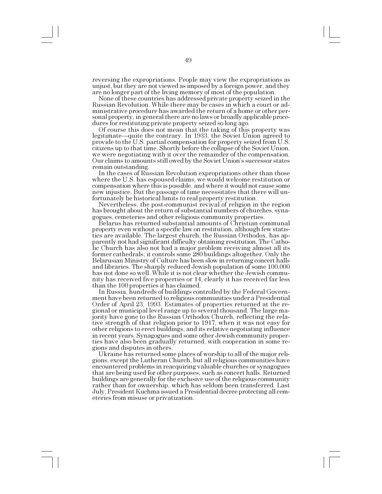reversing the expropriations. People may view the expropriations as unjust, but they are not viewed as imposed by a foreign power, and they

None of these countries has addressed private property seized in the Russian Revolution. While there may be cases in which a court or administrative procedure has awarded the return of a home or other personal property, in general there are no laws or broadly applicable procedures for restituting private property seized so long ago.

Of course this does not mean that the taking of this property was legitimate—quite the contrary. In 1933, the Soviet Union agreed to provide to the U.S. partial compensation for property seized from U.S. citizens up to that time. Shortly before the collapse of the Soviet Union, we were negotiating with it over the remainder of the compensation. Our claims to amounts still owed by the Soviet Union's successor states remain outstanding. In the cases of Russian Revolution expropriations other than those

where the U.S. has espoused claims, we would welcome restitution or compensation where this is possible, and where it would not cause some new injustice. But the passage of time necessitates that there will unfortunately be historical limits to real property restitution.<br>Nevertheless, the post-communist revival of religion in the region

has brought about the return of substantial numbers of churches, synagogues, cemeteries and other religious community properties.

Belarus has returned substantial amounts of Christian communal property even without a specific law on restitution, although few statistics are available. The largest church, the Russian Orthodox, has apparently not had significant difficulty obtaining restitution. The Catholic Church has also not had a major problem receiving almost all its former cathedrals; it controls some 280 buildings altogether. Only the Belarusian Ministry of Culture has been slow in returning concert halls and libraries. The sharply reduced Jewish population of some 100,000 has not done so well. While it is not clear whether the Jewish community has received five properties or 14, clearly it has received far less than the 100 properties it has claimed.

In Russia, hundreds of buildings controlled by the Federal Government have been returned to religious communities under a Presidential Order of April 23, 1993. Estimates of properties returned at the regional or municipal level range up to several thousand. The large majority have gone to the Russian Orthodox Church, reflecting the relative strength of that religion prior to 1917, when it was not easy for other religions to erect buildings, and its relative negotiating influence in recent years. Synagogues and some other Jewish community properties have also been gradually returned, with cooperation in some regions and disputes in others.

Ukraine has returned some places of worship to all of the major religions, except the Lutheran Church, but all religious communities have encountered problems in reacquiring valuable churches or synagogues that are being used for other purposes, such as concert halls. Returned buildings are generally for the exclusive use of the religious community rather than for ownership, which has seldom been transferred. Last July, President Kuchma issued a Presidential decree protecting all cemeteries from misuse or privatization.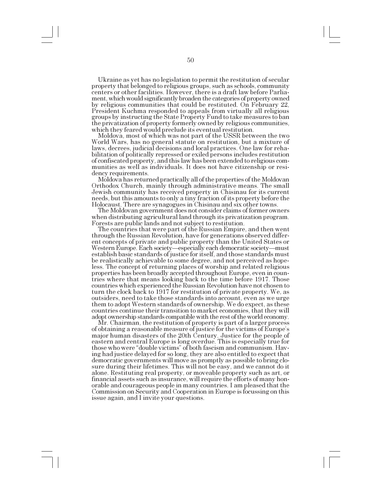Ukraine as yet has no legislation to permit the restitution of secular property that belonged to religious groups, such as schools, community centers or other facilities. However, there is a draft law before Parliament, which would significantly broaden the categories of property owned by religious communities that could be restituted. On February 22, President Kuchma responded to appeals from virtually all religious groups by instructing the State Property Fund to take measures to ban the privatization of property formerly owned by religious communities,

Moldova, most of which was not part of the USSR between the two World Wars, has no general statute on restitution, but a mixture of laws, decrees, judicial decisions and local practices. One law for rehabilitation of politically repressed or exiled persons includes restitution of confiscated property, and this law has been extended to religious communities as well as individuals. It does not have citizenship or residency requirements.

Moldova has returned practically all of the properties of the Moldovan Orthodox Church, mainly through administrative means. The small Jewish community has received property in Chisinau for its current needs, but this amounts to only a tiny fraction of its property before the<br>Holocaust. There are synagogues in Chisinau and six other towns.

The Moldovan government does not consider claims of former owners. when distributing agricultural land through its privatization program.

Forests are public lands and not subject to restitution. The countries that were part of the Russian Empire, and then went through the Russian Revolution, have for generations observed different concepts of private and public property than the United States or Western Europe. Each society—especially each democratic society—must establish basic standards of justice for itself, and those standards must be realistically achievable to some degree, and not perceived as hopeless. The concept of returning places of worship and related religious properties has been broadly accepted throughout Europe, even in countries where that means looking back to the time before 1917. Those countries which experienced the Russian Revolution have not chosen to turn the clock back to 1917 for restitution of private property. We, as outsiders, need to take those standards into account, even as we urge them to adopt Western standards of ownership. We do expect, as these countries continue their transition to market economies, that they will adopt ownership standards compatible with the rest of the world economy. Mr. Chairman, the restitution of property is part of a larger process

of obtaining a reasonable measure of justice for the victims of Europe's major human disasters of the 20th Century. Justice for the people of eastern and central Europe is long overdue. This is especially true for those who were "double victims" of both fascism and communism. Having had justice delayed for so long, they are also entitled to expect that democratic governments will move as promptly as possible to bring closure during their lifetimes. This will not be easy, and we cannot do it alone. Restituting real property, or moveable property such as art, or financial assets such as insurance, will require the efforts of many honorable and courageous people in many countries. I am pleased that the Commission on Security and Cooperation in Europe is focussing on this issue again, and I invite your questions.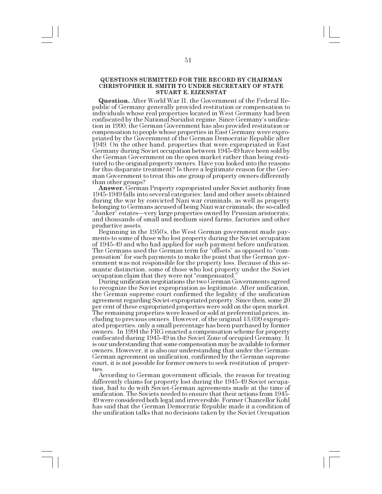# **QUESTIONS SUBMITTED FOR THE RECORD BY CHAIRMAN CHRISTOPHER H. SMITH TO UNDER SECRETARY OF STATE STUART E. EIZENSTAT**

**Question.** After World War II, the Government of the Federal Republic of Germany generally provided restitution or compensation to individuals whose real properties located in West Germany had been confiscated by the National Socialist regime. Since Germanys unification in 1990, the German Government has also provided restitution or compensation to people whose properties in East Germany were expropriated by the Government of the German Democratic Republic after 1949. On the other hand, properties that were expropriated in East Germany during Soviet occupation between 1945-49 have been sold by the German Government on the open market rather than being restituted to the original property owners. Have you looked into the reasons for this disparate treatment? Is there a legitimate reason for the German Government to treat this one group of property owners differently than other groups?

**Answer.** German Property expropriated under Soviet authority from 1945-1949 falls into several categories: land and other assets obtained during the war by convicted Nazi war criminals, as well as property belonging to Germans accused of being Nazi war criminals; the so-called "Junker" estates—very large properties owned by Prussian aristocrats; and thousands of small and medium sized farms, factories and other productive assets.

Beginning in the 1950s, the West German government made payments to some of those who lost property during the Soviet occupation of 1945-49 and who had applied for such payment before unification. The Germans used the German term for "offsets" as opposed to "compensation" for such payments to make the point that the German government was not responsible for the property loss. Because of this semantic distinction, some of those who lost property under the Soviet occupation claim that they were not "compensated."

During unification negotiations the two German Governments agreed. to recognize the Soviet expropriation as legitimate. After unification, the German supreme court confirmed the legality of the unification agreement regarding Soviet-expropriated property. Since then, some 20 per cent of these expropriated properties were sold on the open market. The remaining properties were leased or sold at preferential prices, including to previous owners. However, of the original 13,699 expropriated properties, only a small percentage has been purchased by former owners. In 1994 the FRG enacted a compensation scheme for property confiscated during 1945-49 in the Soviet Zone of occupied Germany. It is our understanding that some compensation may be available to former owners. However, it is also our understanding that under the German-German agreement on unification, confirmed by the German supreme court, it is not possible for former owners to seek restitution of properties

According to German government officials, the reason for treating differently claims for property lost during the 1945-49 Soviet occupation, had to do with Soviet-German agreements made at the time of unification. The Soviets needed to ensure that their actions from 1945- 49 were considered both legal and irreversible. Former Chancellor Kohl has said that the German Democratic Republic made it a condition of the unification talks that no decisions taken by the Soviet Occupation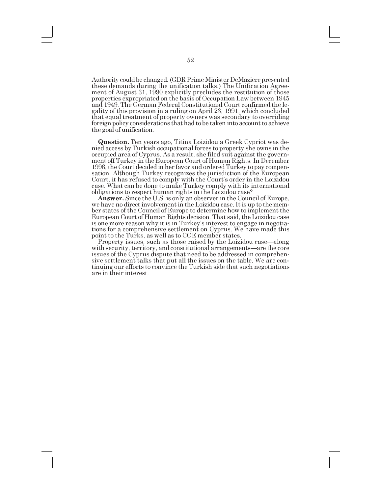Authority could be changed. (GDR Prime Minister DeMaziere presented these demands during the unification talks.) The Unification Agreement of August 31, 1990 explicitly precludes the restitution of those properties expropriated on the basis of Occupation Law between 1945 and 1949. The German Federal Constitutional Court confirmed the legality of this provision in a ruling on April 23, 1991, which concluded that equal treatment of property owners was secondary to overriding foreign policy considerations that had to be taken into account to achieve the goal of unification.

**Question.** Ten years ago, Titina Loizidou a Greek Cypriot was denied access by Turkish occupational forces to property she owns in the occupied area of Cyprus. As a result, she filed suit against the government off Turkey in the European Court of Human Rights. In December 1996, the Court decided in her favor and ordered Turkey to pay compensation. Although Turkey recognizes the jurisdiction of the European Court, it has refused to comply with the Court's order in the Loizidou case. What can be done to make Turkey comply with its international obligations to respect human rights in the Loizidou case?

**Answer.** Since the U.S. is only an observer in the Council of Europe, we have no direct involvement in the Loizidou case. It is up to the member states of the Council of Europe to determine how to implement the European Court of Human Rights decision. That said, the Loizidou case is one more reason why it is in Turkey's interest to engage in negotiations for a comprehensive settlement on Cyprus. We have made this point to the Turks, as well as to COE member states.

Property issues, such as those raised by the Loizidou case—along with security, territory, and constitutional arrangements—are the core issues of the Cyprus dispute that need to be addressed in comprehensive settlement talks that put all the issues on the table. We are continuing our efforts to convince the Turkish side that such negotiations are in their interest.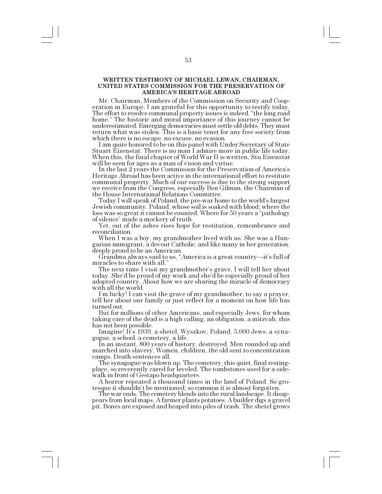# **WRITTEN TESTIMONY OF MICHAEL LEWAN, CHAIRMAN, UNITED STATES COMMISSION FOR THE PRESERVATION OF AMERICAS HERITAGE ABROAD**

Mr. Chairman, Members of the Commission on Security and Cooperation in Europe, I am grateful for this opportunity to testify today. The effort to resolve communal property issues is indeed, "the long road home." The historic and moral importance of this journey cannot be underestimated. Emerging democracies must settle old debts. They must return what was stolen. This is a basic tenet for any free society from

which there is no escape, no excuse, no evasion.<br>I am quite honored to be on this panel with Under Secretary of State Stuart Eizenstat. There is no man I admire more in public life today. When this, the final chapter of World War II is written, Stu Eizenstat will be seen for ages as a man of vision and virtue.

In the last 2 years the Commission for the Preservation of America's Heritage Abroad has been active in the international effort to restitute communal property. Much of our success is due to the strong support we receive from the Congress, especially Ben Gilman, the Chairman of the House International Relations Committee.

Today I will speak of Poland, the pre-war home to the world's largest Jewish community. Poland, whose soil is soaked with blood; where the loss was so great it cannot be counted. Where for 50 years a "pathology of silence" made a mockery of truth.

Yet, out of the ashes rises hope for restitution, remembrance and reconciliation.

When I was a boy, my grandmother lived with us. She was a Hungarian immigrant, a devout Catholic, and like many in her generation, deeply proud to be an American.

Grandma always said to us, "America is a great country—it's full of miracles to share with all.

The next time I visit my grandmother's grave, I will tell her about today. She'd be proud of my work and she'd be especially proud of her adopted country. About how we are sharing the miracle of democracy with all the world.<br>I'm lucky! I can visit the grave of my grandmother, to say a prayer,

tell her about our family or just reflect for a moment on how life has turned out.

But for millions of other Americans, and especially Jews, for whom taking care of the dead is a high calling, an obligation, a mitzvah, this has not been possible.

Imagine! It's 1939, a shetel, Wyszkov, Poland, 5,000 Jews, a syna-gogue, a school, a cemetery, a life.

In an instant, 800 years of history, destroyed. Men rounded up and marched into slavery. Women, children, the old sent to concentration camps. Death sentences all.

The synagogue was blown up. The cemetery, this quiet, final restingplace, so reverently cared for leveled. The tombstones used for a sidewalk in front of Gestapo headquarters.

A horror repeated a thousand times in the land of Poland. So grotesque it shouldn't be mentioned; so common it is almost forgotten.

The war ends. The cemetery blends into the rural landscape. It disappears from local maps. A farmer plants potatoes. A builder digs a gravel pit. Bones are exposed and heaped into piles of trash. The shetel grows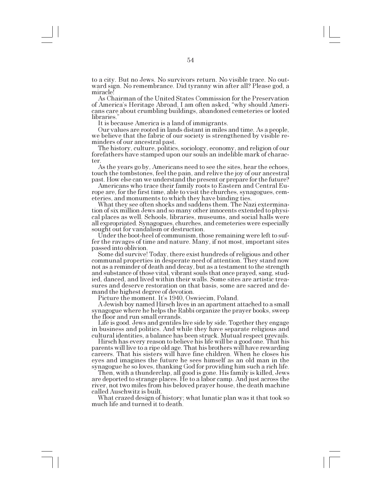to a city. But no Jews. No survivors return. No visible trace. No outward sign. No remembrance. Did tyranny win after all? Please god, a miracle!

As Chairman of the United States Commission for the Preservation of America's Heritage Abroad, I am often asked, "why should Americans care about crumbling buildings, abandoned cemeteries or looted libraries.

It is because America is a land of immigrants.

Our values are rooted in lands distant in miles and time. As a people, we believe that the fabric of our society is strengthened by visible reminders of our ancestral past.<br>The history, culture, politics, sociology, economy, and religion of our

forefathers have stamped upon our souls an indelible mark of character.

As the years go by, Americans need to see the sites, hear the echoes, touch the tombstones, feel the pain, and relive the joy of our ancestral past. How else can we understand the present or prepare for the future?

rope are, for the first time, able to visit the churches, synagogues, cemeteries, and monuments to which they have binding ties.

What they see often shocks and saddens them. The Nazi extermina- tion of six million Jews and so many other innocents extended to physical places as well. Schools, libraries, museums, and social halls were all expropriated. Synagogues, churches, and cemeteries were especially sought out for vandalism or destruction.

Under the boot-heel of communism, those remaining were left to suffer the ravages of time and nature. Many, if not most, important sites passed into oblivion.

Some did survive! Today, there exist hundreds of religious and other communal properties in desperate need of attention. They stand now not as a reminder of death and decay, but as a testament to the strength and substance of those vital, vibrant souls that once prayed, sang, studied, danced, and lived within their walls. Some sites are artistic treasures and deserve restoration on that basis, some are sacred and demand the highest degree of devotion.

Picture the moment. It's 1940, Oswiecim, Poland.

A Jewish boy named Hirsch lives in an apartment attached to a small synagogue where he helps the Rabbi organize the prayer books, sweep the floor and run small errands.

Life is good. Jews and gentiles live side by side. Together they engage in business and politics. And while they have separate religious and cultural identities, a balance has been struck. Mutual respect prevails.

Hirsch has every reason to believe his life will be a good one. That his parents will live to a ripe old age. That his brothers will have rewarding careers. That his sisters will have fine children. When he closes his eyes and imagines the future he sees himself as an old man in the synagogue he so loves, thanking God for providing him such a rich life.

Then, with a thunderclap, all good is gone. His family is killed, Jews are deported to strange places. He to a labor camp. And just across the river, not two miles from his beloved prayer house, the death machine called Auschwitz is built.

What crazed design of history; what lunatic plan was it that took so much life and turned it to death.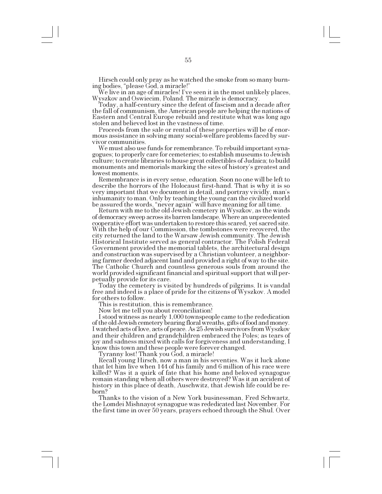Hirsch could only pray as he watched the smoke from so many burning bodies, "please God, a miracle!"

We live in an age of miracles! Ive seen it in the most unlikely places, Wyszkov and Oswiecim, Poland. The miracle is democracy.

Today, a half-century since the defeat of fascism and a decade after the fall of communism, the American people are helping the nations of Eastern and Central Europe rebuild and restitute what was long ago stolen and believed lost in the vastness of time.

Proceeds from the sale or rental of these properties will be of enormous assistance in solving many social-welfare problems faced by sur-

vivor communities.<br>We must also use funds for remembrance. To rebuild important synagogues; to properly care for cemeteries; to establish museums to Jewish culture; to create libraries to house great collectibles of Judaica; to build monuments and memorials marking the sites of history's greatest and lowest moments.

Remembrance is in every sense, education. Soon no one will be left to describe the horrors of the Holocaust first-hand. That is why it is so very important that we document in detail, and portray vividly, man's inhumanity to man. Only by teaching the young can the civilized world be assured the words, "never again" will have meaning for all time.

Return with me to the old Jewish cemetery in Wyszkov, as the winds of democracy sweep across its barren landscape. Where an unprecedented cooperative effort was undertaken to restore this scared, yet sacred site. With the help of our Commission, the tombstones were recovered, the city returned the land to the Warsaw Jewish community. The Jewish Historical Institute served as general contractor. The Polish Federal Government provided the memorial tablets, the architectural design and construction was supervised by a Christian volunteer, a neighboring farmer deeded adjacent land and provided a right of way to the site. The Catholic Church and countless generous souls from around the world provided significant financial and spiritual support that will perpetually provide for its care. Today the cemetery is visited by hundreds of pilgrims. It is vandal

free and indeed is a place of pride for the citizens of Wyszkov. A model for others to follow.

This is restitution, this is remembrance.

Now let me tell you about reconciliation!

I stood witness as nearly 1,000 townspeople came to the rededication of the old Jewish cemetery bearing floral wreaths, gifts of food and money. I watched acts of love, acts of peace. As 25 Jewish survivors from Wyszkov and their children and grandchildren embraced the Poles; as tears of joy and sadness mixed with calls for forgiveness and understanding, I know this town and these people were forever changed.

Tyranny lost! Thank you God, a miracle!

Recall young Hirsch, now a man in his seventies. Was it luck alone that let him live when 144 of his family and 6 million of his race were killed? Was it a quirk of fate that his home and beloved synagogue remain standing when all others were destroyed? Was it an accident of history in this place of death, Auschwitz, that Jewish life could be reborn?

Thanks to the vision of a New York businessman, Fred Schwartz, the Lomdei Mishnayot synagogue was rededicated last November. For the first time in over 50 years, prayers echoed through the Shul. Over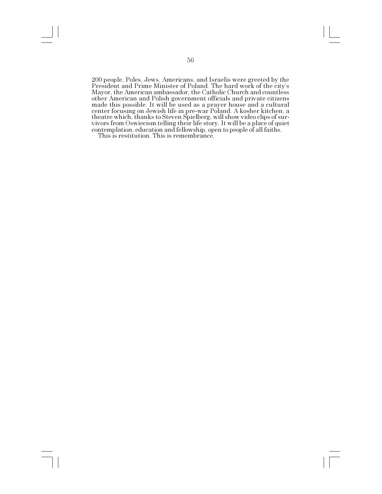200 people, Poles, Jews, Americans, and Israelis were greeted by the President and Prime Minister of Poland. The hard work of the city's Mayor, the American ambassador, the Catholic Church and countless other American and Polish government officials and private citizens made this possible. It will be used as a prayer house and a cultural center focusing on Jewish life in pre-war Poland. A kosher kitchen, a theatre which, thanks to Steven Spielberg, will show video clips of survivors from Oswiecism telling their life story. It will be a place of quiet contemplation, education and fellowship, open to people of all faiths.

This is restitution. This is remembrance.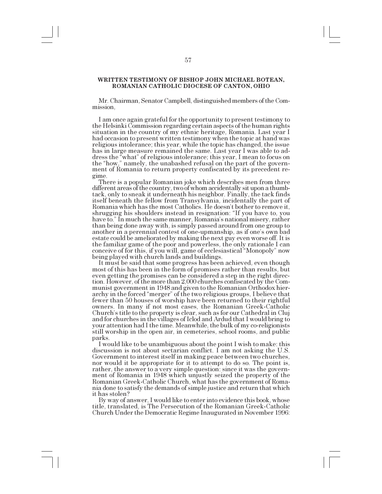### **WRITTEN TESTIMONY OF BISHOP JOHN MICHAEL BOTEAN, ROMANIAN CATHOLIC DIOCESE OF CANTON, OHIO**

Mr. Chairman, Senator Campbell, distinguished members of the Commission,

I am once again grateful for the opportunity to present testimony to the Helsinki Commission regarding certain aspects of the human rights situation in the country of my ethnic heritage, Romania. Last year I had occasion to present written testimony when the topic at hand was religious intolerance; this year, while the topic has changed, the issue has in large measure remained the same. Last year I was able to address the "what" of religious intolerance; this year, I mean to focus on the "how," namely, the unabashed refusal on the part of the government of Romania to return property confiscated by its precedent regime.

There is a popular Romanian joke which describes men from three different areas of the country, two of whom accidentally sit upon a thumbtack, only to sneak it underneath his neighbor. Finally, the tack finds itself beneath the fellow from Transylvania, incidentally the part of Romania which has the most Catholics. He doesn't bother to remove it, shrugging his shoulders instead in resignation: "If you have to, you have to." In much the same manner, Romania's national misery, rather than being done away with, is simply passed around from one group to another in a perennial contest of one-upmanship, as if one's own bad estate could be ameliorated by making the next guy even worse off. It is the familiar game of the poor and powerless, the only rationale I can conceive of for this, if you will, game of ecclesiastical "Monopoly" now being played with church lands and buildings.

It must be said that some progress has been achieved, even though most of this has been in the form of promises rather than results, but even getting the promises can be considered a step in the right direction. However, of the more than 2,000 churches confiscated by the Communist government in 1948 and given to the Romanian Orthodox hierarchy in the forced "merger" of the two religious groups, I believe that fewer than 50 houses of worship have been returned to their rightful owners. In many if not most cases, the Romanian Greek-Catholic Church's title to the property is clear, such as for our Cathedral in Cluj and for churches in the villages of Iclod and Ardud that I would bring to your attention had I the time. Meanwhile, the bulk of my co-religionists still worship in the open air, in cemeteries, school rooms, and public parks.

I would like to be unambiguous about the point I wish to make: this discussion is not about sectarian conflict. I am not asking the U.S. Government to interest itself in making peace between two churches, nor would it be appropriate for it to attempt to do so. The point is, rather, the answer to a very simple question: since it was the government of Romania in 1948 which unjustly seized the property of the Romanian Greek-Catholic Church, what has the government of Romania done to satisfy the demands of simple justice and return that which it has stolen?

By way of answer, I would like to enter into evidence this book, whose title, translated, is The Persecution of the Romanian Greek-Catholic Church Under the Democratic Regime Inaugurated in November 1996: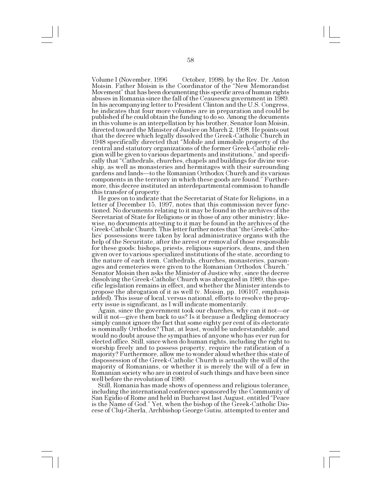Volume I (November, 1996 October, 1998), by the Rev. Dr. Anton Moisin. Father Moisin is the Coordinator of the "New Memorandist Movement" that has been documenting this specific area of human rights abuses in Romania since the fall of the Ceausescu government in 1989. In his accompanying letter to President Clinton and the U.S. Congress, he indicates that four more volumes are in preparation and could be published if he could obtain the funding to do so. Among the documents in this volume is an interpellation by his brother, Senator Ioan Moisin, directed toward the Minister of Justice on March 2, 1998. He points out that the decree which legally dissolved the Greek-Catholic Church in 1948 specifically directed that "Mobile and immobile property of the central and statutory organizations of the former Greek-Catholic religion will be given to various departments and institutions," and specifically that Cathedrals, churches, chapels and buildings for divine worship, as well as monasteries and hermitages with their surrounding gardens and lands—to the Romanian Orthodox Church and its various components in the territory in which these goods are found." Furthermore, this decree instituted an interdepartmental commision to handle this transfer of property.

He goes on to indicate that the Secretariat of State for Religions, in a letter of December 15, 1997, notes that this commission never functioned. No documents relating to it may be found in the archives of the Secretariat of State for Religions or in those of any other ministry; likewise, no documents attesting to it may be found in the archives of the Greek-Catholic Church. This letter further notes that "the Greek-Catholics' possessions were taken by local administrative organs with the help of the Securitate, after the arrest or removal of those responsible for these goods: bishops, priests, religious superiors, deans, and then given over to various specialized institutions of the state, according to the nature of each item. Cathedrals, churches, monasteries, parsonages and cemeteries were given to the Romanian Orthodox Church. Senator Moisin then asks the Minister of Justice why, since the decree dissolving the Greek-Catholic Church was abrogated in 1989, this specific legislation remains in effect, and whether the Minister intends to propose the abrogation of it as well (v. Moisin, pp. 106107, emphasis added). This issue of local, versus national, efforts to resolve the property issue is significant, as I will indicate momentarily.

Again, since the government took our churches, why can it not—or will it not—give them back to us? Is it because a fledgling democracy simply cannot ignore the fact that some eighty per cent of its electorate is nominally Orthodox? That, at least, would be understandable, and would no doubt arouse the sympathies of anyone who has ever run for elected office. Still, since when do human rights, including the right to worship freely and to possess property, require the ratification of a majority? Furthermore, allow me to wonder aloud whether this state of dispossession of the Greek-Catholic Church is actually the will of the majority of Romanians, or whether it is merely the will of a few in Romanian society who are in control of such things and have been since well before the revolution of 1989.

Still, Romania has made shows of openness and religious tolerance, including the international conference sponsored by the Community of San Egidio of Rome and held in Bucharest last August, entitled "Peace is the Name of God. Yet, when the bishop of the Greek-Catholic Diocese of Cluj-Gherla, Archbishop George Gutiu, attempted to enter and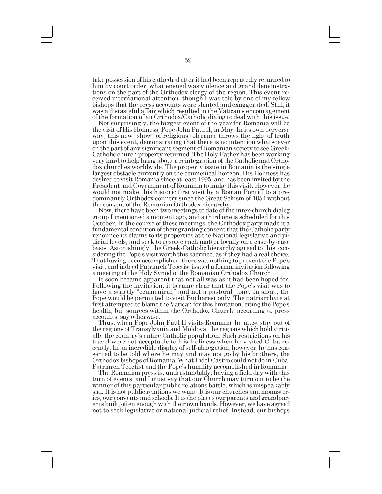take possession of his cathedral after it had been repeatedly returned to him by court order, what ensued was violence and grand demonstrations on the part of the Orthodox clergy of the region. This event received international attention, though I was told by one of my fellow bishops that the press accounts were slanted and exaggerated. Still, it was a distasteful affair which resulted in the Vatican's encouragement of the formation of an Orthodox/Catholic dialog to deal with this issue.

Not surprisingly, the biggest event of the year for Romania will be the visit of His Holiness, Pope John Paul II, in May. In its own perverse way, this new "show" of religious tolerance throws the light of truth upon this event, demonstrating that there is no intention whatsoever on the part of any significant segment of Romanian society to see Greek-Catholic church property returned. The Holy Father has been working very hard to help bring about a reintegration of the Catholic and Orthodox churches worldwide. The property issue in Romania is the single largest obstacle currently on the ecumenical horizon. His Holiness has desired to visit Romania since at least 1995, and has been invited by the President and Government of Romania to make this visit. However, he would not make this historic first visit by a Roman Pontiff to a predominantly Orthodox country since the Great Schism of 1054 without the consent of the Romanian Orthodox hierarchy.

Now, there have been two meetings to date of the inter-church dialog group I mentioned a moment ago, and a third one is scheduled for this October. In the course of these meetings, the Orthodox party made it a fundamental condition of their granting consent that the Catholic party renounce its claims to its properties at the National legislative and judicial levels, and seek to resolve each matter locally on a case-by-case basis. Astonishingly, the Greek-Catholic hierarchy agreed to this, considering the Pope's visit worth this sacrifice, as if they had a real choice. That having been accomplished, there was nothing to prevent the Pope's visit, and indeed Patriarch Teoctist issued a formal invitation following a meeting of the Holy Synod of the Romanian Orthodox Church.

It soon became apparent that not all was as it had been hoped for. Following the invitation, it became clear that the Pope's visit was to have a strictly "ecumenical," and not a pastoral, tone. In short, the Pope would be permitted to visit Bucharest only. The patriarchate at first attempted to blame the Vatican for this limitation, citing the Pope's health, but sources within the Orthodox Church, according to press accounts, say otherwise. Thus, when Pope John Paul II visits Romania, he must stay out of

the regions of Transylvania and Moldova, the regions which hold virtually the country's entire Catholic population. Such restrictions on his travel were not acceptable to His Holiness when he visited Cuba recently. In an incredible display of self-abnegation, however, he has consented to be told where he may and may not go by his brothers, the Orthodox bishops of Romania. What Fidel Castro could not do in Cuba,

Patriarch Teoctist and the Pope's humility accomplished in Romania.<br>The Romanian press is, understandably, having a field day with this turn of events, and I must say that our Church may turn out to be the winner of this particular public relations battle, which is unspeakably sad. It is not public relations we want. It is our churches and monasteries, our convents and schools. It is the places our parents and grandparents built, often enough with their own hands. However, we have agreed not to seek legislative or national judicial relief. Instead, our bishops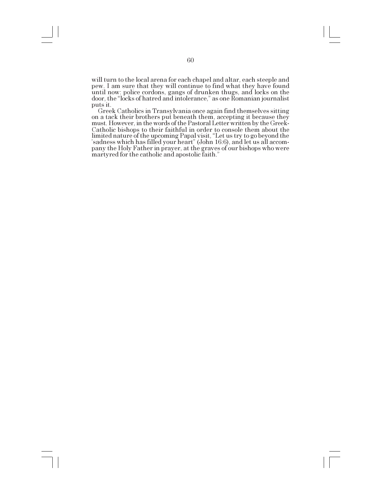will turn to the local arena for each chapel and altar, each steeple and pew. I am sure that they will continue to find what they have found until now: police cordons, gangs of drunken thugs, and locks on the door, the "locks of hatred and intolerance," as one Romanian journalist puts it.

Greek Catholics in Transylvania once again find themselves sitting on a tack their brothers put beneath them, accepting it because they must. However, in the words of the Pastoral Letter written by the Greek-Catholic bishops to their faithful in order to console them about the limited nature of the upcoming Papal visit, "Let us try to go beyond the sadness which has filled your heart" (John 16:6), and let us all accompany the Holy Father in prayer, at the graves of our bishops who were martyred for the catholic and apostolic faith.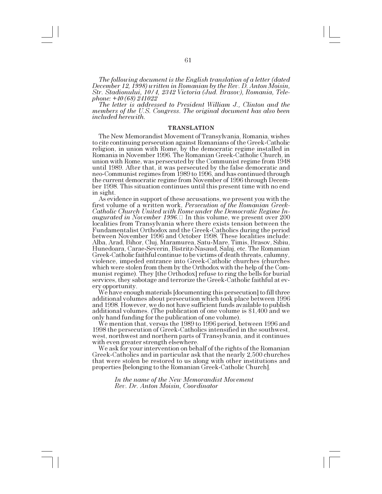*The following document is the English translation of a letter (dated December 12, 1998) written in Romanian by the Rev. D. Anton Moisin, Str. Stadionului, 10/4, 2342 Victoria (Jud. Brasov), Romania, Telephone: +40 (68) 241022*

*The letter is addressed to President William J., Clinton and the members of the U.S. Congress. The original document has also been included herewith.*

#### **TRANSLATION**

The New Memorandist Movement of Transylvania, Romania, wishes to cite continuing persecution against Romanians of the Greek-Catholic religion, in union with Rome, by the democratic regime installed in Romania in November 1996. The Romanian Greek-Catholic Church, in union with Rome, was persecuted by the Communist regime from 1948 until 1989. After that, it was persecuted by the false democratic and neo-Communist regimes from 1989 to 1996, and has continued through the current democratic regime from November of 1996 through December 1998. This situation continues until this present time with no end in sight. As evidence in support of these accusations, we present you with the

first volume of a written work, *Persecution of the Romanian Greek-Catholic Church United with Rome under the Democratic Regime Inaugurated in November 1996*. In this volume, we present over 200 localities from Transylvania where there exists tension between the Fundamentalist Orthodox and the Greek-Catholics during the period between November 1996 and October 1998. These localities include: Alba, Arad, Bihor, Cluj, Maramurea, Satu-Mare, Timis, Brasov, Sibiu, Hunedoara, Carae-Severin, Bistritz-Nasaud, Salaj, etc. The Romanian Greek-Catholic faithful continue to be victims of death threats, calumny, violence, impeded entrance into Greek-Catholic churches (churches which were stolen from them by the Orthodox with the help of the Communist regime). They [the Orthodox] refuse to ring the bells for burial services, they sabotage and terrorize the Greek-Catholic faithful at every opportunity. We have enough materials [documenting this persecution] to fill three

additional volumes about persecution which took place between 1996 and 1998. However, we do not have sufficient funds available to publish additional volumes. (The publication of one volume is \$1,400 and we only hand funding for the publication of one volume).

We mention that, versus the 1989 to 1996 period, between 1996 and 1998 the persecution of Greek-Catholics intensified in the southwest, west, northwest and northern parts of Transylvania, and it continues

We ask for your intervention on behalf of the rights of the Romanian Greek-Catholics and in particular ask that the nearly 2,500 churches that were stolen be restored to us along with other institutions and properties [belonging to the Romanian Greek-Catholic Church].

> *In the name of the New Memorandist Movement Rev. Dr. Anton Moisin, Coordinator*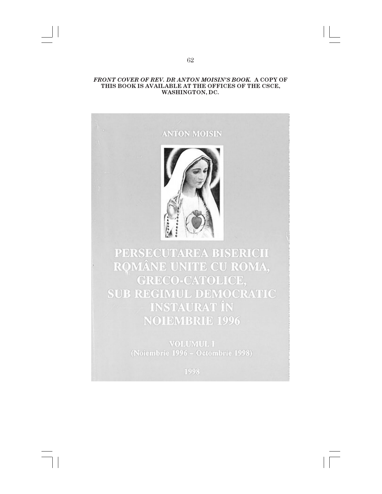# *FRONT COVER OF REV. DR ANTON MOISINS BOOK.* **A COPY OF THIS BOOK IS AVAILABLE AT THE OFFICES OF THE CSCE, WASHINGTON, DC.**

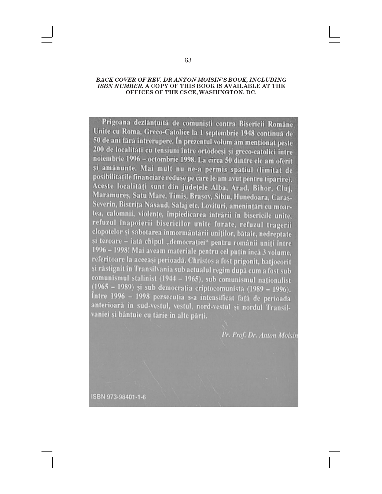# *BACK COVER OF REV. DR ANTON MOISINS BOOK, INCLUDING ISBN NUMBER.* **A COPY OF THIS BOOK IS AVAILABLE AT THE OFFICES OF THE CSCE, WASHINGTON, DC.**

Prigoana dezlanțuită de comuniști contra Bisericii Române Unite cu Roma, Greco-Catolice la 1 septembrie 1948 continuă de 50 de ani fără întrerupere. În prezentul volum am menționat peste 200 de localități cu tensiuni între ortodocși și greco-catolici între noiembrie 1996 - octombrie 1998. La circa 50 dintre ele am oferit și amânunte. Mai mult nu ne-a permis spațiul (limitat de posibilitatile financiare reduse pe care le-am avut pentru tipărire). Aceste localități sunt din județele Alba, Arad, Bihor, Cluj, Maramures, Satu Mare, Timis, Brasov, Sibiu, Hunedoara, Caras-Severin, Bistrița Năsăud, Sălaj etc. Lovituri, amenințări cu moartea, calomnii, violențe, împiedicarea intrării în bisericile unite, refuzul înapoierii bisericilor unite furate, refuzul tragerii clopotelor și sabotarea înmormântării uniților, bătaie, nedreptate și teroare - iată chipul "democrației" pentru românii uniți între 1996 – 1998! Mai aveam materiale pentru cel puțin încă 3 volume, referitoare la aceeași perioadă. Christos a fost prigonit, batjocorit și răstignit în Transilvania sub actualul regim după cum a fost sub comunismul stalinist  $(1944 - 1965)$ , sub comunismul nationalist (1965 – 1989) și sub democrația criptocomunistă (1989 – 1996). Între 1996 - 1998 persecuția s-a intensificat față de perioada anterioară în sud-vestul, vestul, nord-vestul și nordul Transilvaniei și bântuie cu tărie în alte părți.

Pr. Prof. Dr. Anton Moisin

ISBN 973-98401-1-6

63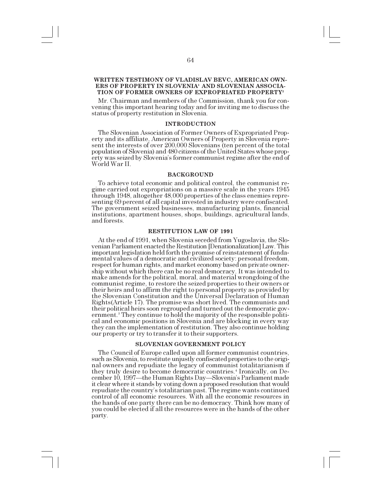# **WRITTEN TESTIMONY OF VLADISLAV BEVC, AMERICAN OWN-ERS OF PROPERTY IN SLOVENIA1 AND SLOVENIAN ASSOCIA-TION OF FORMER OWNERS OF EXPROPRIATED PROPERTY<sup>2</sup>**

Mr. Chairman and members of the Commission, thank you for convening this important hearing today and for inviting me to discuss the status of property restitution in Slovenia.

### **INTRODUCTION**

The Slovenian Association of Former Owners of Expropriated Property and its affiliate, American Owners of Property in Slovenia represent the interests of over 200,000 Slovenians (ten percent of the total population of Slovenia) and 480 citizens of the United States whose property was seized by Slovenia's former communist regime after the end of World War II.

#### **BACKGROUND**

To achieve total economic and political control, the communist regime carried out expropriations on a massive scale in the years 1945 through 1948, altogether 48,000 properties of the class enemies representing 69 percent of all capital invested in industry were confiscated. The government seized businesses, manufacturing plants, financial institutions, apartment houses, shops, buildings, agricultural lands, and forests.

#### **RESTITUTION LAW OF 1991**

At the end of 1991, when Slovenia seceded from Yugoslavia, the Slovenian Parliament enacted the Restitution [Denationalization] Law. This important legislation held forth the promise of reinstatement of fundamental values of a democratic and civilized society: personal freedom, respect for human rights, and market economy based on private ownership without which there can be no real democracy. It was intended to make amends for the political, moral, and material wrongdoing of the communist regime, to restore the seized properties to their owners or their heirs and to affirm the right to personal property as provided by the Slovenian Constitution and the Universal Declaration of Human Rights(Article 17). The promise was short lived. The communists and their political heirs soon regrouped and turned out the democratic government.<sup>3</sup> They continue to hold the majority of the responsible political and economic positions in Slovenia and are blocking in every way they can the implementation of restitution. They also continue holding our property or try to transfer it to their supporters.

#### **SLOVENIAN GOVERNMENT POLICY**

The Council of Europe called upon all former communist countries, such as Slovenia, to restitute unjustly confiscated properties to the original owners and repudiate the legacy of communist totalitarianism if they truly desire to become democratic countries.<sup>4</sup> Ironically, on December 10, 1997-the Human Rights Day-Slovenia's Parliament made it clear where it stands by voting down a proposed resolution that would repudiate the country's totalitarian past. The regime wants continued control of all economic resources. With all the economic resources in the hands of one party there can be no democracy. Think how many of you could be elected if all the resources were in the hands of the other party.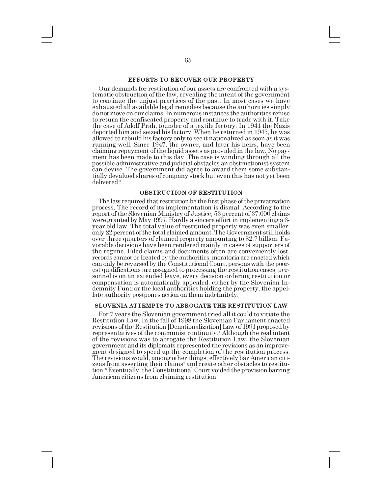# **EFFORTS TO RECOVER OUR PROPERTY**

Our demands for restitution of our assets are confronted with a sys- tematic obstruction of the law, revealing the intent of the government to continue the unjust practices of the past. In most cases we have exhausted all available legal remedies because the authorities simply do not move on our claims. In numerous instances the authorities refuse to return the confiscated property and continue to trade with it. Take the case of Adolf Prah, founder of a textile factory. In 1941 the Nazis deported him and seized his factory. When he returned in 1945, he was allowed to rebuild his factory only to see it nationalized as soon as it was running well. Since 1947, the owner, and later his heirs, have been claiming repayment of the liquid assets as provided in the law. No payment has been made to this day. The case is winding through all the possible administrative and judicial obstacles an obstructionist system can devise. The government did agree to award them some substantially devalued shares of company stock but even this has not yet been delivered.<sup>5</sup>

### **OBSTRUCTION OF RESTITUTION**

The law required that restitution be the first phase of the privatization process. The record of its implementation is dismal. According to the report of the Slovenian Ministry of Justice, 53 percent of 37,000 claims were granted by May 1997. Hardly a sincere effort in implementing a 6 year old law. The total value of restituted property was even smaller: only 22 percent of the total claimed amount. The Government still holds over three quarters of claimed property amounting to \$2.7 billion. Favorable decisions have been rendered mainly in cases of supporters of the regime. Filed claims and documents often are conveniently lost, records cannot be located by the authorities, moratoria are enacted which can only be reversed by the Constitutional Court, persons with the poorest qualifications are assigned to processing the restitution cases, personnel is on an extended leave, every decision ordering restitution or compensation is automatically appealed, either by the Slovenian Indemnity Fund or the local authorities holding the property, the appellate authority postpones action on them indefinitely.

#### **SLOVENIA ATTEMPTS TO ABROGATE THE RESTITUTION LAW**

For 7 years the Slovenian government tried all it could to vitiate the Restitution Law. In the fall of 1998 the Slovenian Parliament enacted revisions of the Restitution [Denationalization] Law of 1991 proposed by representatives of the communist continuity.<sup>6</sup> Although the real intent of the revisions was to abrogate the Restitution Law, the Slovenian government and its diplomats represented the revisions as an improvement designed to speed up the completion of the restitution process. The revisions would, among other things, effectively bar American citizens from asserting their claims<sup>7</sup> and create other obstacles to restitution.<sup>8</sup> Eventually, the Constitutional Court voided the provision barring American citizens from claiming restitution.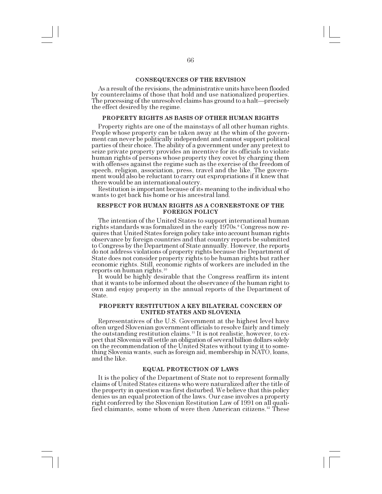### **CONSEQUENCES OF THE REVISION**

As a result of the revisions, the administrative units have been flooded by counterclaims of those that hold and use nationalized properties. The processing of the unresolved claims has ground to a halt—precisely the effect desired by the regime.

# **PROPERTY RIGHTS AS BASIS OF OTHER HUMAN RIGHTS**

Property rights are one of the mainstays of all other human rights. People whose property can be taken away at the whim of the government can never be politically independent and cannot support political parties of their choice. The ability of a government under any pretext to seize private property provides an incentive for its officials to violate human rights of persons whose property they covet by charging them with offenses against the regime such as the exercise of the freedom of speech, religion, association, press, travel and the like. The government would also be reluctant to carry out expropriations if it knew that there would be an international outcry.

Restitution is important because of its meaning to the individual who wants to get back his home or his ancestral land.

### **RESPECT FOR HUMAN RIGHTS AS A CORNERSTONE OF THE FOREIGN POLICY**

The intention of the United States to support international human rights standards was formalized in the early 1970s.<sup>9</sup> Congress now requires that United States foreign policy take into account human rights observance by foreign countries and that country reports be submitted to Congress by the Department of State annually. However, the reports do not address violations of property rights because the Department of State does not consider property rights to be human rights but rather economic rights. Still, economic rights of workers are included in the reports on human rights.<sup>10</sup>

It would be highly desirable that the Congress reaffirm its intent that it wants to be informed about the observance of the human right to own and enjoy property in the annual reports of the Department of State.

### **PROPERTY RESTITUTION A KEY BILATERAL CONCERN OF UNITED STATES AND SLOVENIA**

Representatives of the U.S. Government at the highest level have often urged Slovenian government officials to resolve fairly and timely the outstanding restitution claims.11 It is not realistic, however, to expect that Slovenia will settle an obligation of several billion dollars solely on the recommendation of the United States without tying it to something Slovenia wants, such as foreign aid, membership in NATO, loans, and the like.

#### **EQUAL PROTECTION OF LAWS**

It is the policy of the Department of State not to represent formally claims of United States citizens who were naturalized after the title of the property in question was first disturbed. We believe that this policy denies us an equal protection of the laws. Our case involves a property right conferred by the Slovenian Restitution Law of 1991 on all qualified claimants, some whom of were then American citizens.<sup>12</sup> These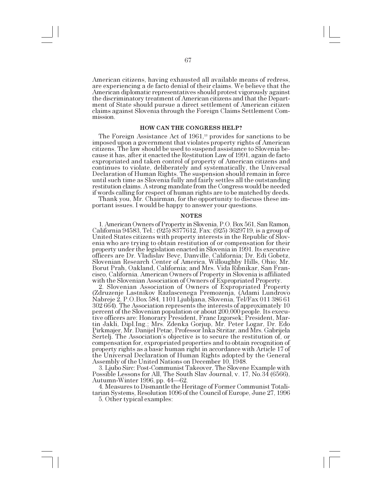American citizens, having exhausted all available means of redress, are experiencing a de facto denial of their claims. We believe that the American diplomatic representatives should protest vigorously against the discriminatory treatment of American citizens and that the Department of State should pursue a direct settlement of American citizen claims against Slovenia through the Foreign Claims Settlement Commission.

#### **HOW CAN THE CONGRESS HELP?**

The Foreign Assistance Act of 1961,<sup>13</sup> provides for sanctions to be imposed upon a government that violates property rights of American citizens. The law should be used to suspend assistance to Slovenia because it has, after it enacted the Restitution Law of 1991, again de facto expropriated and taken control of property of American citizens and continues to violate, deliberately and systematically, the Universal Declaration of Human Rights. The suspension should remain in force until such time as Slovenia fully and fairly settles all the outstanding restitution claims. A strong mandate from the Congress would be needed if words calling for respect of human rights are to be matched by deeds. Thank you, Mr. Chairman, for the opportunity to discuss these im-

portant issues. I would be happy to answer your questions.

#### **NOTES**

1. American Owners of Property in Slovenia, P.O. Box 561, San Ramon, California 94583, Tel.: (925) 8377612, Fax: (925) 3629719, is a group of United States citizens with property interests in the Republic of Slovenia who are trying to obtain restitution of or compensation for their property under the legislation enacted in Slovenia in 1991. Its executive officers are Dr. Vladislav Bevc, Danville, California; Dr. Edi Gobetz, Slovenian Research Center of America, Willoughby Hills, Ohio; Mr. Borut Prah, Oakland, California; and Mrs. Vida Ribnikar, San Francisco, California. American Owners of Property in Slovenia is affiliated with the Slovenian Association of Owners of Expropriated Property.

2. Slovenian Association of Owners of Expropriated Property (Zdruzenje Lastnikov Razlascenega Premozenja, (Adami Lundrovo Nabreje 2, P.O.Box 584, 1101 Ljubljana, Slovenia, Tel/Fax 011 386 61 302 664). The Association represents the interests of approximately 10 percent of the Slovenian population or about 200,000 people. Its executive officers are: Honorary President, Franc Izgorsek; President, Martin Jakli, Dipl.Ing.; Mrs. Zdenka Gorjup, Mr. Peter Logar, Dr. Edo Pirkmajer, Mr. Danijel Petac, Professor Inka Stritar, and Mrs. Gabrijela Sertelj. The Association's objective is to secure the restitution of, or compensation for, expropriated properties and to obtain recognition of property rights as a basic human right in accordance with Article 17 of the Universal Declaration of Human Rights adopted by the General Assembly of the United Nations on December 10, 1948.

3. Ljubo Sirc: Post-Communist Takeover, The Slovene Example with Possible Lessons for All, The South Slav Journal, v. 17, No. 34 (6566), Autumn-Winter 1996, pp. 44-62.

4. Measures to Dismantle the Heritage of Former Communist Totalitarian Systems, Resolution 1096 of the Council of Europe, June 27, 1996

5. Other typical examples: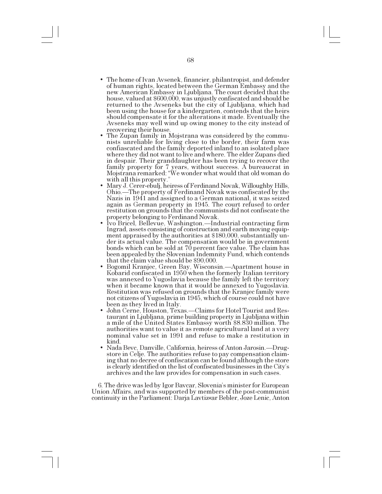- The home of Ivan Avsenek, financier, philantropist, and defender of human rights, located between the German Embassy and the new American Embassy in Ljubljana. The court decided that the house, valued at \$600,000, was unjustly confiscated and should be returned to the Avseneks but the city of Ljubljana, which had been using the house for a kindergarten, contends that the heirs should compensate it for the alterations it made. Eventually the Avseneks may well wind up owing money to the city instead of
- The Zupan family in Mojstrana was considered by the communists unreliable for living close to the border, their farm was confiascated and the family deported inland to an isolated place where they did not want to live and where. The elder Zupans died in despair. Their granddaughter has been trying to recover the family property for 7 years, without success. A bureaucrat in Mojstrana remarked: We wonder what would that old woman do with all this property.
- Mary J. Cerer-ebulj, heiress of Ferdinand Novak, Willoughby Hills, Ohio.—The property of Ferdinand Novak was confiscated by the Nazis in 1941 and assigned to a German national, it was seized again as German property in 1945. The court refused to order restitution on grounds that the communists did not confiscate the property belonging to Ferdinand Novak.
- Ivo Bricel, Bellevue, Washington.—Industrial contracting firm Ingrad, assets consisting of construction and earth moving equipment appraised by the authorities at \$180,000, substantially under its actual value. The compensation would be in government bonds which can be sold at 70 percent face value. The claim has been appealed by the Slovenian Indemnity Fund, which contends<br>that the claim value should be \$90,000.
- Bogomil Kranjec, Green Bay, Wisconsin. Apartment house in Kobarid confiscated in 1950 when the formerly Italian territory was annexed to Yugoslavia because the family left the territory when it became known that it would be annexed to Yugoslavia. Restitution was refused on grounds that the Kranjec family were not citizens of Yugoslavia in 1945, which of course could not have been as they lived in Italy.
- John Cerne, Houston, Texas.—Claims for Hotel Tourist and Restaurant in Ljubljana, prime building property in Ljubljana within a mile of the United States Embassy worth \$8.830 million. The authorities want to value it as remote agricultural land at a very nominal value set in 1991 and refuse to make a restitution in kind.
- Nada Bevc, Danville, California, heiress of Anton Jarosin.—Drugstore in Celje. The authorities refuse to pay compensation claiming that no decree of confiscation can be found although the store is clearly identified on the list of confiscated businesses in the City's archives and the law provides for compensation in such cases.

6. The drive was led by Igor Baycar, Slovenia's minister for European Union Affairs, and was supported by members of the post-communist continuity in the Parliament: Darja Lavtiz«ar Bebler, Joze Lenic, Anton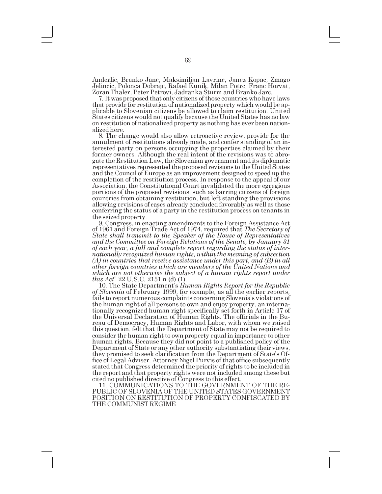Anderlic, Branko Janc, Maksimiljan Lavrinc, Janez Kopac, Zmago Jelincic, Polonca Dobrajc, Rafael Kunik, Milan Potrc, Franc Horvat, Zoran Thaler, Peter Petrovi, Jadranka Sturm and Branko Jarc.

7. It was proposed that only citizens of those countries who have laws that provide for restitution of nationalized property which would be applicable to Slovenian citizens be allowed to claim restitution. United States citizens would not qualify because the United States has no law on restitution of nationalized property as nothing has ever been nationalized here.

8. The change would also allow retroactive review, provide for the annulment of restitutions already made, and confer standing of an interested party on persons occupying the properties claimed by their former owners. Although the real intent of the revisions was to abrogate the Restitution Law, the Slovenian government and its diplomatic representatives represented the proposed revisions to the United States and the Council of Europe as an improvement designed to speed up the completion of the restitution process. In response to the appeal of our Association, the Constitutional Court invalidated the more egregious portions of the proposed revisions, such as barring citizens of foreign countries from obtaining restitution, but left standing the provisions allowing revisions of cases already concluded favorably as well as those conferring the status of a party in the restitution process on tenants in the seized property.<br>9. Congress, in enacting amendments to the Foreign Assistance Act

9. Congress, in enacting amendments to the Foreign Assistance Act of 1961 and Foreign Trade Act of 1974, required that *The Secretary of State shall transmit to the Speaker of the House of Representatives and the Committee on Foreign Relations of the Senate, by January 31 of each year, a full and complete report regarding the status of internationally recognized human rights, within the meaning of subsection (A) in countries that receive assistance under this part, and (B) in all other foreign countries which are members of the United Nations and which are not otherwise the subject of a human rights report under this Act*" 22 U.S.C. 2151 n (d) (1).

10. The State Department's *Human Rights Report for the Republic of Slovenia* of February 1999, for example, as all the earlier reports, fails to report numerous complaints concerning Slovenia's violations of the human right of all persons to own and enjoy property, an internationally recognized human right specifically set forth in Article 17 of the Universal Declaration of Human Rights. The officials in the Bureau of Democracy, Human Rights and Labor, with whom we raised this question, felt that the Department of State may not be required to consider the human right to own property equal in importance to other human rights. Because they did not point to a published policy of the Department of State or any other authority substantiating their views, they promised to seek clarification from the Department of State's Office of Legal Adviser. Attorney Nigel Purvis of that office subsequently stated that Congress determined the priority of rights to be included in the report and that property rights were not included among these but cited no published directive of Congress to this effect.

11. COMMUNICATIONS TO THE GOVERNMENT OF THE RE-PUBLIC OF SLOVENIA OF THE UNITED STATES GOVERNMENT POSITION ON RESTITUTION OF PROPERTY CONFISCATED BY THE COMMUNIST REGIME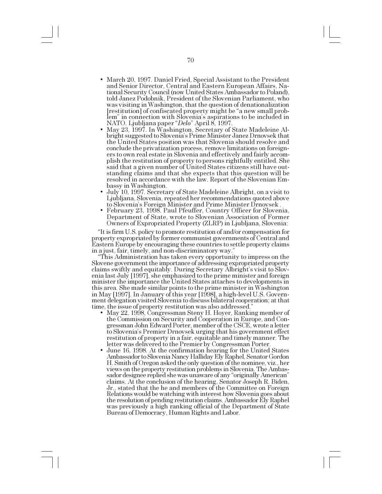- March 20, 1997. Daniel Fried, Special Assistant to the President and Senior Director, Central and Eastern European Affairs, National Security Council (now United States Ambassador to Poland), told Janez Podobnik, President of the Slovenian Parliament, who was visiting in Washington, that the question of denationalization [restitution] of confiscated property might be "a new small problem" in connection with Slovenia's aspirations to be included in NATO. Ljubljana paper *Delo* April 8, 1997.
- May 23, 1997. In Washington, Secretary of State Madeleine Albright suggested to Slovenia's Prime Minister Janez Drnovsek that the United States position was that Slovenia should resolve and conclude the privatization process, remove limitations on foreigners to own real estate in Slovenia and effectively and fairly accomplish the restitution of property to persons rightfully entitled. She said that a given number of United States citizens still have outstanding claims and that she expects that this question will be resolved in accordance with the law. Report of the Slovenian Em-
- July 10, 1997. Secretary of State Madeleine Albright, on a visit to Ljubljana, Slovenia, repeated her recommendations quoted above to Slovenia's Foreign Minister and Prime Minister Drnovsek .<br> February 23, 1998. Paul Pfeuffer, Country Officer for Slovenia,
- Department of State, wrote to Slovenian Association of Former Owners of Expropriated Property (ZLRP) in Ljubljana, Slovenia:

It is firm U.S. policy to promote restitution of and/or compensation for property expropriated by former communist governments of Central and Eastern Europe by encouraging these countries to settle property claims

in a just, fair, timely, and non-discriminatory way. Slovene government the importance of addressing expropriated property claims swiftly and equitably. During Secretary Albright's visit to Slovenia last July [1997], she emphasized to the prime minister and foreign minister the importance the United States attaches to developments in this area. She made similar points to the prime minister in Washington in May [1997]. In January of this year [1998], a high-level U.S. Government delegation visited Slovenia to discuss bilateral cooperation; at that time, the issue of property restitution was also addressed.

- May 22, 1998, Congressman Steny H. Hoyer, Ranking member of the Commission on Security and Cooperation in Europe, and Congressman John Edward Porter, member of the CSCE, wrote a letter to Slovenia's Premier Drnovsek urging that his government effect restitution of property in a fair, equitable and timely manner. The letter was delivered to the Premier by Congressman Porter.
- June 16, 1998. At the confirmation hearing for the United States Ambassador to Slovenia Nancy Halliday Ely Raphel, Senator Gordon H. Smith of Oregon asked the only question of the nominee, viz., her views on the property restitution problems in Slovenia. The Ambassador designee replied she was unaware of any "originally American" claims. At the conclusion of the hearing, Senator Joseph R. Biden, Jr., stated that the he and members of the Committee on Foreign Relations would be watching with interest how Slovenia goes about the resolution of pending restitution claims. Ambassador Ely Raphel was previously a high ranking official of the Department of State Bureau of Democracy, Human Rights and Labor.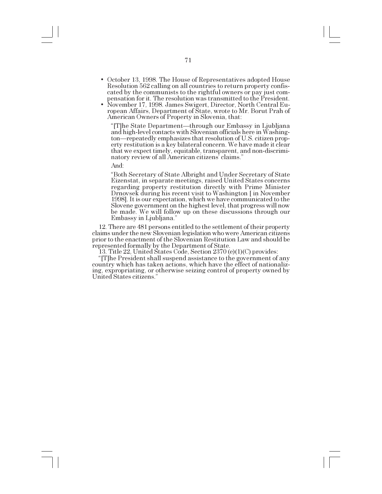- October 13, 1998. The House of Representatives adopted House Resolution 562 calling on all countries to return property confiscated by the communists to the rightful owners or pay just compensation for it. The resolution was transmitted to the President.
- November 17, 1998. James Swigert, Director, North Central European Affairs, Department of State, wrote to Mr. Borut Prah of American Owners of Property in Slovenia, that:

"[T]he State Department—through our Embassy in Ljubljana and high-level contacts with Slovenian officials here in Washington—repeatedly emphasizes that resolution of U.S. citizen property restitution is a key bilateral concern. We have made it clear that we expect timely, equitable, transparent, and non-discriminatory review of all American citizens' claims."

And:

Both Secretary of State Albright and Under Secretary of State Eizenstat, in separate meetings, raised United States concerns regarding property restitution directly with Prime Minister Drnovsek during his recent visit to Washington [ in November 1998]. It is our expectation, which we have communicated to the Slovene government on the highest level, that progress will now be made. We will follow up on these discussions through our Embassy in Ljubljana.

12. There are 481 persons entitled to the settlement of their property claims under the new Slovenian legislation who were American citizens prior to the enactment of the Slovenian Restitution Law and should be represented formally by the Department of State.

13. Title 22, United States Code, Section 2370 (e)(1)(C) provides:

[T]he President shall suspend assistance to the government of any country which has taken actions, which have the effect of nationalizing, expropriating, or otherwise seizing control of property owned by United States citizens.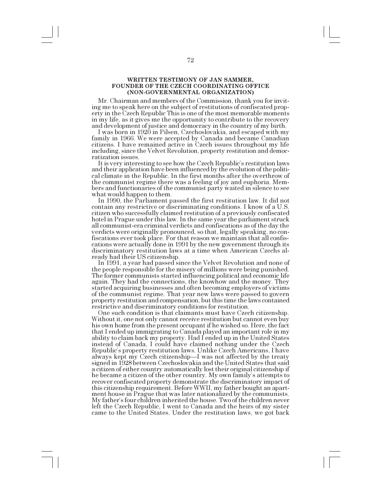# **WRITTEN TESTIMONY OF JAN SAMMER, FOUNDER OF THE CZECH COORDINATING OFFICE (NON-GOVERNMENTAL ORGANIZATION)**

Mr. Chairman and members of the Commission, thank you for inviting me to speak here on the subject of restitutions of confiscated property in the Czech Republic This is one of the most memorable moments in my life, as it gives me the opportunity to contribute to the recovery and development of justice and democracy in the country of my birth.

I was born in 1920 in Pilsen, Czechoslovakia, and escaped with my family in 1966. We were accepted by Canada and became Canadian citizens. I have remained active in Czech issues throughout my life including, since the Velvet Revolution, property restitution and democratization issues.

It is very interesting to see how the Czech Republic's restitution laws and their application have been influenced by the evolution of the political climate in the Republic. In the first months after the overthrow of the communist regime there was a feeling of joy and euphoria. Members and functionaries of the communist party waited in silence to see what would happen to them.

In 1990, the Parliament passed the first restitution law. It did not contain any restrictive or discriminating conditions. I know of a U.S. citizen who successfully claimed restitution of a previously confiscated hotel in Prague under this law. In the same year the parliament struck all communist-era criminal verdicts and confiscations as of the day the verdicts were originally pronounced, so that, legally speaking, no confiscations ever took place. For that reason we maintain that all confiscations were actually done in 1991 by the new government through its discriminatory restitution laws at a time when American Czechs already had their US citizenship.

In 1991, a year had passed since the Velvet Revolution and none of the people responsible for the misery of millions were being punished. The former communists started influencing political and economic life again. They had the connections, the knowhow and the money. They started acquiring businesses and often becoming employers of victims of the communist regime. That year new laws were passed to govern property restitution and compensation, but this time the laws contained restrictive and discriminatory conditions for restitution.

One such condition is that claimants must have Czech citizenship. Without it, one not only cannot receive restitution but cannot even buy his own home from the present occupant if he wished so. Here, the fact that I ended up immigrating to Canada played an important role in my ability to claim back my property. Had I ended up in the United States instead of Canada, I could have claimed nothing under the Czech Republic's property restitution laws. Unlike Czech Americans, I have always kept my Czech citizenship—I was not affected by the treaty signed in 1928 between Czechoslovakia and the United States that said a citizen of either country automatically lost their original citizenship if he became a citizen of the other country. My own family's attempts to recover confiscated property demonstrate the discriminatory impact of this citizenship requirement. Before WWII, my father bought an apartment house in Prague that was later nationalized by the communists. My father's four children inherited the house. Two of the children never left the Czech Republic, I went to Canada and the heirs of my sister came to the United States. Under the restitution laws, we got back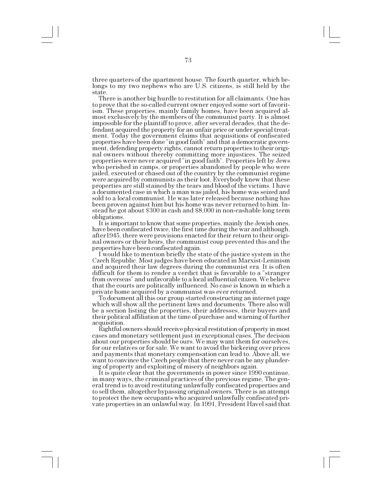three quarters of the apartment house. The fourth quarter, which belongs to my two nephews who are U.S. citizens, is still held by the state.

There is another big hurdle to restitution for all claimants. One has to prove that the so-called current owner enjoyed some sort of favoritism. These properties, mainly family homes, have been acquired almost exclusively by the members of the communist party. It is almost impossible for the plaintiff to prove, after several decades, that the defendant acquired the property for an unfair price or under special treatment. Today the government claims that acquisitions of confiscated properties have been done "in good faith" and that a democratic government, defending property rights, cannot return properties to their original owners without thereby committing more injustices. The seized properties were never acquired "in good faith". Properties left by Jews who perished in camps, or properties abandoned by people who were jailed, executed or chased out of the country by the communist regime were acquired by communists as their loot. Everybody knew that these properties are still stained by the tears and blood of the victims. I have a documented case in which a man was jailed, his home was seized and sold to a local communist. He was later released because nothing has been proven against him but his home was never returned to him. Instead he got about \$300 in cash and \$8,000 in non-cashable long term obligations.

It is important to know that some properties, mainly the Jewish ones, have been confiscated twice, the first time during the war and although, after1945, there were provisions enacted for their return to their original owners or their heirs, the communist coup prevented this and the properties have been confiscated again.

I would like to mention briefly the state of the justice system in the Czech Republic. Most judges have been educated in Marxist-Leninism and acquired their law degrees during the communist era. It is often difficult for them to render a verdict that is favorable to a "stranger" from overseas and unfavorable to a local influential citizen. We believe that the courts are politically influenced. No case is known in which a private home acquired by a communist was ever returned.

To document all this our group started constructing an internet page which will show all the pertinent laws and documents. There also will be a section listing the properties, their addresses, their buyers and their political affiliation at the time of purchase and warning of further acquisition.

Rightful owners should receive physical restitution of property in most cases and monetary settlement just in exceptional cases. The decision about our properties should be ours. We may want them for ourselves, for our relatives or for sale. We want to avoid the bickering over prices and payments that monetary compensation can lead to. Above all, we want to convince the Czech people that there never can be any plundering of property and exploiting of misery of neighbors again.

in many ways, the criminal practices of the previous regime. The general trend is to avoid restituting unlawfully confiscated properties and to sell them, altogether bypassing original owners. There is an attempt to protect the new occupants who acquired unlawfully confiscated private properties in an unlawful way. In 1991, President Havel said that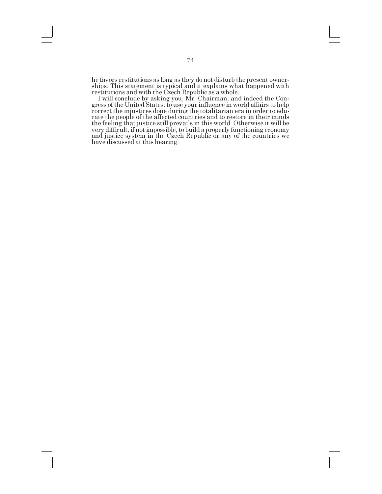he favors restitutions as long as they do not disturb the present ownerships. This statement is typical and it explains what happened with restitutions and with the Czech Republic as a whole.

I will conclude by asking you, Mr. Chairman, and indeed the Congress of the United States, to use your influence in world affairs to help correct the injustices done during the totalitarian era in order to educate the people of the affected countries and to restore in their minds the feeling that justice still prevails in this world. Otherwise it will be very difficult, if not impossible, to build a properly functioning economy and justice system in the Czech Republic or any of the countries we have discussed at this hearing.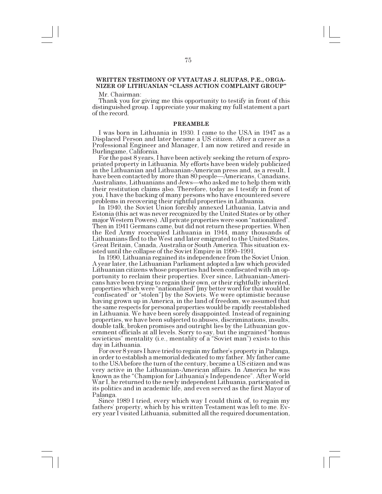# **WRITTEN TESTIMONY OF VYTAUTAS J. SLIUPAS, P.E., ORGA-NIZER OF LITHUANIAN "CLASS ACTION COMPLAINT GROUP"**

Mr. Chairman:

Thank you for giving me this opportunity to testify in front of this distinguished group. I appreciate your making my full statement a part of the record.

#### **PREAMBLE**

I was born in Lithuania in 1930. I came to the USA in 1947 as a Displaced Person and later became a US citizen. After a career as a Professional Engineer and Manager, I am now retired and reside in

For the past 8 years, I have been actively seeking the return of expropriated property in Lithuania. My efforts have been widely publicized in the Lithuanian and Lithuanian-American press and, as a result, I have been contacted by more than 80 people—Americans, Canadians, Australians, Lithuanians and Jews—who asked me to help them with their restitution claims also. Therefore, today as I testify in front of you, I have the backing of many persons who have encountered severe problems in recovering their rightful properties in Lithuania.

In 1940, the Soviet Union forcibly annexed Lithuania, Latvia and Estonia (this act was never recognized by the United States or by other major Western Powers). All private properties were soon "nationalized". Then in 1941 Germans came, but did not return these properties. When the Red Army reoccupied Lithuania in 1944, many thousands of Lithuanians fled to the West and later emigrated to the United States, Great Britain, Canada, Australia or South America. This situation existed until the collapse of the Soviet Empire in 1990–1991.

In 1990, Lithuania regained its independence from the Soviet Union. A year later, the Lithuanian Parliament adopted a law which provided Lithuanian citizens whose properties had been confiscated with an opportunity to reclaim their properties. Ever since, Lithuanian-Americans have been trying to regain their own, or their rightfully inherited, properties which were "nationalized" [my better word for that would be 'confiscated" or "stolen"] by the Soviets. We were optimistic because having grown up in America, in the land of freedom, we assumed that the same respects for personal properties would be rapidly reestablished in Lithuania. We have been sorely disappointed. Instead of regaining properties, we have been subjected to abuses, discriminations, insults, double talk, broken promises and outright lies by the Lithuanian government officials at all levels. Sorry to say, but the ingrained "homus sovieticus" mentality (i.e., mentality of a "Soviet man") exists to this day in Lithuania.

For over 8 years I have tried to regain my father's property in Palanga, in order to establish a memorial dedicated to my father. My father came to the USA before the turn of the century, became a US citizen and was very active in the Lithuanian-American affairs. In America he was known as the "Champion for Lithuania's Independence". After World War I, he returned to the newly independent Lithuania, participated in its politics and in academic life, and even served as the first Mayor of Palanga. Since 1989 I tried, every which way I could think of, to regain my

fathers' property, which by his written Testament was left to me. Every year I visited Lithuania, submitted all the required documentation,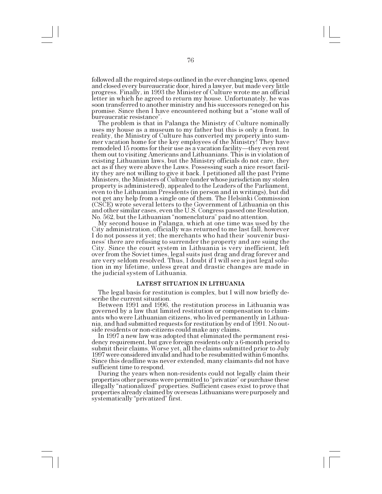followed all the required steps outlined in the ever changing laws, opened and closed every bureaucratic door, hired a lawyer, but made very little progress. Finally, in 1993 the Minister of Culture wrote me an official letter in which he agreed to return my house. Unfortunately, he was soon transferred to another ministry and his successors reneged on his promise. Since then I have encountered nothing but a "stone wall of bureaucratic resistance".

The problem is that in Palanga the Ministry of Culture nominally uses my house as a museum to my father but this is only a front. In reality, the Ministry of Culture has converted my property into summer vacation home for the key employees of the Ministry! They have remodeled 15 rooms for their use as a vacation facility—they even rent them out to visiting Americans and Lithuanians. This is in violation of existing Lithuanian laws, but the Ministry officials do not care, they act as if they were above the Laws. Possessing such a nice resort facility they are not willing to give it back. I petitioned all the past Prime Ministers, the Ministers of Culture (under whose jurisdiction my stolen property is administered), appealed to the Leaders of the Parliament, even to the Lithuanian Presidents (in person and in writings), but did not get any help from a single one of them. The Helsinki Commission (CSCE) wrote several letters to the Government of Lithuania on this and other similar cases, even the U.S. Congress passed one Resolution, No. 562, but the Lithuanian "nomenclatura" paid no attention.

My second house in Palanga, which at one time was used by the City administration, officially was returned to me last fall, however I do not possess it yet; the merchants who had their 'souvenir business' there are refusing to surrender the property and are suing the City. Since the court system in Lithuania is very inefficient, left over from the Soviet times, legal suits just drag and drag forever and are very seldom resolved. Thus, I doubt if I will see a just legal solution in my lifetime, unless great and drastic changes are made in the judicial system of Lithuania.

### **LATEST SITUATION IN LITHUANIA**

The legal basis for restitution is complex, but I will now briefly describe the current situation.

Between 1991 and 1996, the restitution process in Lithuania was governed by a law that limited restitution or compensation to claimants who were Lithuanian citizens, who lived permanently in Lithuania, and had submitted requests for restitution by end of 1991. No outside residents or non-citizens could make any claims.

In 1997 a new law was adopted that eliminated the permanent residency requirement, but gave foreign residents only a 6-month period to submit their claims. Worse yet, all the claims submitted prior to July 1997 were considered invalid and had to be resubmitted within 6 months. Since this deadline was never extended, many claimants did not have sufficient time to respond.

During the years when non-residents could not legally claim their properties other persons were permitted to "privatize" or purchase these illegally "nationalized" properties. Sufficient cases exist to prove that properties already claimed by overseas Lithuanians were purposely and systematically "privatized" first.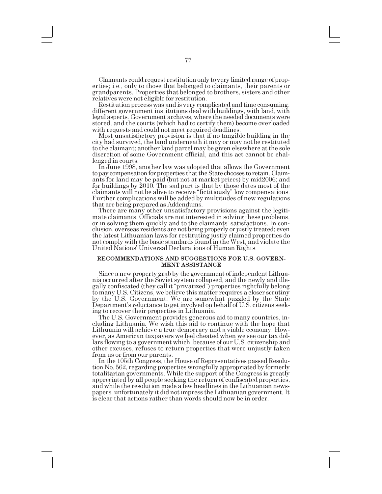Claimants could request restitution only to very limited range of properties; i.e., only to those that belonged to claimants, their parents or grandparents. Properties that belonged to brothers, sisters and other relatives were not eligible for restitution.

Restitution process was and is very complicated and time consuming: different government institutions deal with buildings, with land, with legal aspects. Government archives, where the needed documents were stored, and the courts (which had to certify them) become overloaded with requests and could not meet required deadlines.

Most unsatisfactory provision is that if no tangible building in the city had survived, the land underneath it may or may not be restituted to the claimant; another land parcel may be given elsewhere at the sole discretion of some Government official, and this act cannot be challenged in courts.

In June 1998, another law was adopted that allows the Government to pay compensation for properties that the State chooses to retain. Claimants for land may be paid (but not at market prices) by mid2006; and for buildings by 2010. The sad part is that by those dates most of the claimants will not be alive to receive "fictitiously" low compensations. Further complications will be added by multitudes of new regulations

There are many other unsatisfactory provisions against the legitimate claimants. Officials are not interested in solving these problems, or in solving them quickly and to the claimants' satisfactions. In conclusion, overseas residents are not being properly or justly treated; even the latest Lithuanian laws for restituting justly claimed properties do not comply with the basic standards found in the West, and violate the United Nations Universal Declarations of Human Rights.

### **RECOMMENDATIONS AND SUGGESTIONS FOR U.S. GOVERN-MENT ASSISTANCE**

Since a new property grab by the government of independent Lithuania occurred after the Soviet system collapsed, and the newly and illegally confiscated (they call it "privatized") properties rightfully belong to many U.S. Citizens, we believe this matter requires a closer scrutiny by the U.S. Government. We are somewhat puzzled by the State Department's reluctance to get involved on behalf of U.S. citizens seeking to recover their properties in Lithuania.

The U.S. Government provides generous aid to many countries, including Lithuania. We wish this aid to continue with the hope that Lithuania will achieve a true democracy and a viable economy. However, as American taxpayers we feel cheated when we see our tax dollars flowing to a government which, because of our U.S. citizenship and other excuses, refuses to return properties that were unjustly taken

from us or from our parents.<br>In the 105th Congress, the House of Representatives passed Resolution No. 562, regarding properties wrongfully appropriated by formerly totalitarian governments. While the support of the Congress is greatly appreciated by all people seeking the return of confiscated properties, and while the resolution made a few headlines in the Lithuanian newspapers, unfortunately it did not impress the Lithuanian government. It is clear that actions rather than words should now be in order.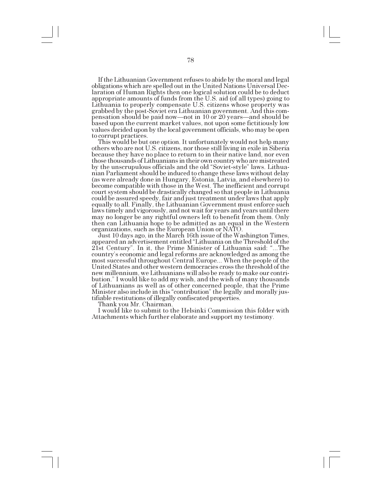If the Lithuanian Government refuses to abide by the moral and legal obligations which are spelled out in the United Nations Universal Declaration of Human Rights then one logical solution could be to deduct appropriate amounts of funds from the U.S. aid (of all types) going to Lithuania to properly compensate U.S. citizens whose property was grabbed by the post-Soviet era Lithuanian government. And this compensation should be paid now—not in 10 or 20 years—and should be based upon the current market values, not upon some fictitiously low values decided upon by the local government officials, who may be open to corrupt practices.

This would be but one option. It unfortunately would not help many others who are not U.S. citizens, nor those still living in exile in Siberia because they have no place to return to in their native land, nor even those thousands of Lithuanians in their own country who are mistreated by the unscrupulous officials and the old "Soviet-style" laws. Lithuanian Parliament should be induced to change these laws without delay (as were already done in Hungary, Estonia, Latvia, and elsewhere) to become compatible with those in the West. The inefficient and corrupt court system should be drastically changed so that people in Lithuania could be assured speedy, fair and just treatment under laws that apply equally to all. Finally, the Lithuanian Government must enforce such laws timely and vigorously, and not wait for years and years until there may no longer be any rightful owners left to benefit from them. Only then can Lithuania hope to be admitted as an equal in the Western organizations, such as the European Union or NATO.

Just 10 days ago, in the March 16th issue of the Washington Times, appeared an advertisement entitled "Lithuania on the Threshold of the 21st Century". In it, the Prime Minister of Lithuania said: "...The country's economic and legal reforms are acknowledged as among the most successful throughout Central Europe... When the people of the United States and other western democracies cross the threshold of the new millennium, we Lithuanians will also be ready to make our contribution." I would like to add my wish, and the wish of many thousands of Lithuanians as well as of other concerned people, that the Prime Minister also include in this "contribution" the legally and morally justifiable restitutions of illegally confiscated properties.

Thank you Mr. Chairman.

I would like to submit to the Helsinki Commission this folder with Attachments which further elaborate and support my testimony.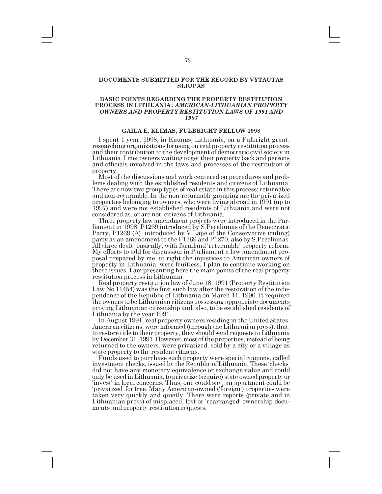# **DOCUMENTS SUBMITTED FOR THE RECORD BY VYTAUTAS SLIUPAS**

# **BASIC POINTS REGARDING THE PROPERTY RESTITUTION PROCESS IN LITHUANIA :** *AMERICAN-LITHUANIAN PROPERTY OWNERS AND PROPERTY RESTITUTION LAWS OF 1991 AND 1997*

## **GAILA E. KLIMAS, FULBRIGHT FELLOW 1998**

I spent 1 year, 1998, in Kaunas, Lithuania, on a Fulbright grant, researching organizations focusing on real property restitution process and their contribution to the development of democratic civil society in Lithuania. I met owners waiting to get their property back and persons and officials involved in the laws and processes of the restitution of property. Most of the discussions and work centered on procedures and prob-

lems dealing with the established residents and citizens of Lithuania. There are now two group types of real estate in this process: returnable and non-returnable. In the non-returnable grouping are the privatized properties belonging to owners, who were living abroad in 1991 (up to 1997) and were not established residents of Lithuania and were not considered as, or are not, citizens of Lithuania.

Three property law amendment projects were introduced in the Parliament in 1998: P1269 introduced by S.Peceliunas of the Democratic Party, P1269 (A), introduced by V.Lape of the Conservative (ruling) party as an amendment to the P1269 and P1270, also by S.Peceliunas. All three dealt, basically, with farmland 'returnable' property reform. My efforts to add for discussion in Parliament a law amendment proposal prepared by me, to right the injustices to American owners of property in Lithuania, were fruitless. I plan to continue working on these issues. I am presenting here the main points of the real property restitution process in Lithuania.

Law No 11454) was the first such law after the restoration of the independence of the Republic of Lithuania on March 11, 1990. It required the owners to be Lithuanian citizens possessing appropriate documents proving Lithuanian citizenship and, also, to be established residents of Lithuania by the year 1991.

In August 1991, real property owners residing in the United States, American citizens, were informed (through the Lithuanian press), that, to restore title to their property, they should send requests to Lithuania by December 31, 1991. However, most of the properties, instead of being returned to the owners, were privatized, sold by a city or a village as state property to the resident citizens.

Funds used to purchase such property were special coupons, called investment checks, issued by the Republic of Lithuania. These 'checks' did not have any monetary equivalence or exchange value and could only be used in Lithuania, to privatize (acquire) state owned property or 'invest' in local concerns. Thus, one could say, an apartment could be privatized for free. Many American-owned (foreign) properties were taken very quickly and quietly. There were reports (private and in Lithuanian press) of misplaced, lost or 'rearranged' ownership documents and property restitution requests.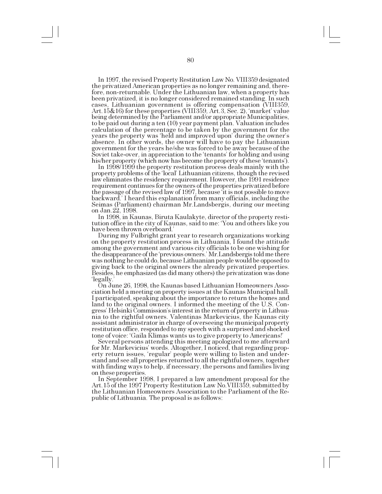In 1997, the revised Property Restitution Law No. VIII359 designated the privatized American properties as no longer remaining and, therefore, non-returnable. Under the Lithuanian law, when a property has been privatized, it is no longer considered remained standing. In such cases, Lithuanian government is offering compensation (VIII359, Art. 15&16) for these properties (VIII359, Art. 3, Sec. 2), 'market' value being determined by the Parliament and/or appropriate Municipalities, to be paid out during a ten (10) year payment plan. Valuation includes calculation of the percentage to be taken by the government for the years the property was 'held and improved upon' during the owner's absence. In other words, the owner will have to pay the Lithuanian government for the years he/she was forced to be away because of the Soviet take-over, in appreciation to the 'tenants' for holding and using his/her property (which now has become the property of these 'tenants').

In 1998/1999 the property restitution process deals mainly with the property problems of the local Lithuanian citizens, though the revised law eliminates the residency requirement. However, the 1991 residence requirement continues for the owners of the properties privatized before the passage of the revised law of 1997, because it is not possible to move backward. I heard this explanation from many officials, including the Seimas (Parliament) chairman Mr.Landsbergis, during our meeting on Jan.22, 1998.

In 1998, in Kaunas, Biruta Kaulakyte, director of the property restitution office in the city of Kaunas, said to me: You and others like you have been thrown overboard.

During my Fulbright grant year to research organizations working on the property restitution process in Lithuania, I found the attitude among the government and various city officials to be one wishing for the disappearance of the 'previous owners.' Mr.Landsbergis told me there was nothing he could do, because Lithuanian people would be opposed to giving back to the original owners the already privatized properties. Besides, he emphasized (as did many others) the privatization was done legally.

On June 26, 1998, the Kaunas based Lithuanian Homeowners Association held a meeting on property issues at the Kaunas Municipal hall. I participated, speaking about the importance to return the homes and land to the original owners. I informed the meeting of the U.S. Congress' Helsinki Commission's interest in the return of property in Lithuania to the rightful owners. Valentinas Markevicius, the Kaunas city assistant administrator in charge of overseeing the municipal property restitution office, responded to my speech with a surprised and shocked

Several persons attending this meeting apologized to me afterward for Mr. Markevicius' words. Altogether, I noticed, that regarding property return issues, 'regular' people were willing to listen and understand and see all properties returned to all the rightful owners, together with finding ways to help, if necessary, the persons and families living on these properties.

In September 1998, I prepared a law amendment proposal for the Art.15 of the 1997 Property Restitution Law No.VIII359, submitted by the Lithuanian Homeowners Association to the Parliament of the Republic of Lithuania. The proposal is as follows: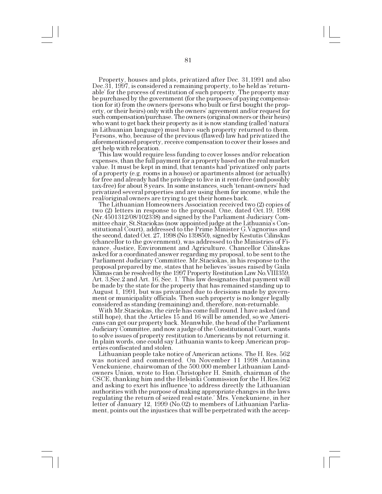Property, houses and plots, privatized after Dec. 31,1991 and also Dec.  $31, 1997$ , is considered a remaining property, to be held as 'returnable' for the process of restitution of such property. The property may be purchased by the government (for the purposes of paying compensation for it) from the owners (persons who built or first bought the property, or their heirs) only with the owners agreement and/or request for such compensation/purchase. The owners (original owners or their heirs) who want to get back their property as it is now standing (called 'natura' in Lithuanian language) must have such property returned to them. Persons, who, because of the previous (flawed) law had privatized the aforementioned property, receive compensation to cover their losses and get help with relocation.

This law would require less funding to cover losses and/or relocation expenses, than the full payment for a property based on the real market value. It must be kept in mind, that tenants had 'privatized' only parts of a property (e.g. rooms in a house) or apartments almost (or actually) for free and already had the privilege to live in it rent-free (and possibly tax-free) for about 8 years. In some instances, such tenant-owners had privatized several properties and are using them for income, while the real/original owners are trying to get their homes back.

The Lithuanian Homeowners Association received two (2) copies of two (2) letters in response to the proposal. One, dated Oct.19, 1998 (Nr.4501312/08/102338) and signed by the Parliament Judiciary Committee chair, St.Staciokas (now appointed judge at the Lithuania's Constitutional Court), addressed to the Prime Minister G.Vagnorius and the second, dated Oct. 27, 1998 (No 139850), signed by Kestutis Cilinskas (chancellor to the government), was addressed to the Ministries of Finance, Justice, Environment and Agriculture. Chancellor Cilinskas asked for a coordinated answer regarding my proposal, to be sent to the Parliament Judiciary Committee. Mr.Staciokas, in his response to the proposal prepared by me, states that he believes 'issues raised by Gaila Klimas can be resolved by the 1997 Property Restitution Law No.VIII359, Art. 3,Sec.2 and Art. 16, Sec. 1. This law designates that payment will be made by the state for the property that has remained standing up to August 1, 1991, but was privatized due to decisions made by government or municipality officials. Then such property is no longer legally considered as standing (remaining) and, therefore, non-returnable.

With Mr.Staciokas, the circle has come full round. I have asked (and still hope), that the Articles 15 and 16 will be amended, so we Americans can get our property back. Meanwhile, the head of the Parliament Judiciary Committee, and now a judge of the Constitutional Court, wants to solve issues of property restitution to Americans by not returning it. In plain words, one could say Lithuania wants to keep American properties confiscated and stolen.

Lithuanian people take notice of American actions. The H. Res. 562 was noticed and commented. On November 11 1998 Antanina Venckuniene, chairwoman of the 500.000 member Lithuanian Landowners Union, wrote to Hon.Christopher H. Smith, chairman of the CSCE, thanking him and the Helsinki Commission for the H.Res.562 and asking to exert his influence 'to address directly the Lithuanian authorities with the purpose of making appropriate changes in the laws regulating the return of seized real estate. Mrs. Venckuniene, in her letter of January 12, 1999 (No.02) to members of Lithuanian Parliament, points out the injustices that will be perpetrated with the accep-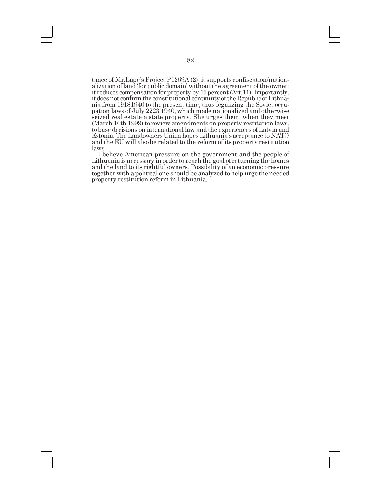tance of Mr. Lape's Project P1269A (2): it supports confiscation/nationalization of land for public domain' without the agreement of the owner; it reduces compensation for property by 15 percent (Art.11). Importantly, it does not confirm the constitutional continuity of the Republic of Lithuania from 19181940 to the present time, thus legalizing the Soviet occupation laws of July 2223 1940, which made nationalized and otherwise seized real estate a state property. She urges them, when they meet (March 16th 1999) to review amendments on property restitution laws, to base decisions on international law and the experiences of Latvia and Estonia. The Landowners Union hopes Lithuania's acceptance to NATO and the EU will also be related to the reform of its property restitution laws.

I believe American pressure on the government and the people of Lithuania is necessary in order to reach the goal of returning the homes and the land to its rightful owners. Possibility of an economic pressure together with a political one should be analyzed to help urge the needed property restitution reform in Lithuania.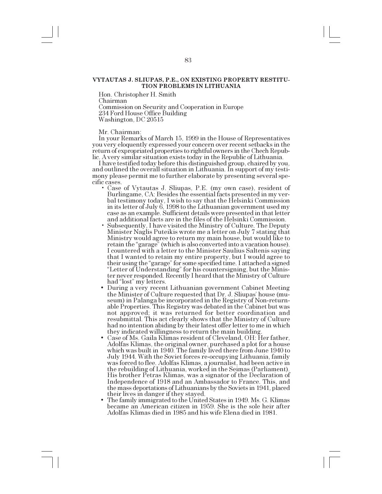# **VYTAUTAS J. SLIUPAS, P.E., ON EXISTING PROPERTY RESTITU-TION PROBLEMS IN LITHUANIA**

Hon. Christopher H. Smith

Chairman

Commission on Security and Cooperation in Europe 234 Ford House Office Building Washington, DC 20515

#### Mr. Chairman:

In your Remarks of March 15, 1999 in the House of Representatives you very eloquently expressed your concern over recent setbacks in the return of expropriated properties to rightful owners in the Chech Republic. A very similar situation exists today in the Republic of Lithuania.

I have testified today before this distinguished group, chaired by you, and outlined the overall situation in Lithuania. In support of my testimony please permit me to further elaborate by presenting several specific cases.

- Case of Vytautas J. Sliupas, P.E. (my own case), resident of Burlingame, CA: Besides the essential facts presented in my verbal testimony today, I wish to say that the Helsinki Commission in its letter of July 6, 1998 to the Lithuanian government used my case as an example. Sufficient details were presented in that letter and additional facts are in the files of the Helsinki Commission.
- Subsequently, I have visited the Ministry of Culture. The Deputy Minister Naglis Puteikis wrote me a letter on July 7 stating that Ministry would agree to return my main house, but would like to retain the "garage" (which is also converted into a vacation house). I countered with a letter to the Minister Saulius Saltenis saying that I wanted to retain my entire property, but I would agree to their using the "garage" for some specified time. I attached a signed "Letter of Understanding" for his countersigning, but the Minister never responded. Recently I heard that the Ministry of Culture had "lost" my letters.
- During a very recent Lithuanian government Cabinet Meeting the Minister of Culture requested that Dr. J. Sliupas' house (museum) in Palanga be incorporated in the Registry of Non-returnable Properties. This Registry was debated in the Cabinet but was not approved; it was returned for better coordination and resubmittal. This act clearly shows that the Ministry of Culture had no intention abiding by their latest offer letter to me in which<br>they indicated willingness to return the main building.
- Case of Ms. Gaila Klimas resident of Cleveland, OH: Her father, Adolfas Klimas, the original owner, purchased a plot for a house which was built in 1940. The family lived there from June 1940 to July 1944. With the Soviet forces re-occupying Lithuania, family was forced to flee. Adolfas Klimas, a journalist, had been active in the rebuilding of Lithuania, worked in the Seimas (Parliament). His brother Petras Klimas, was a signator of the Declaration of Independence of 1918 and an Ambassador to France. This, and the mass deportations of Lithuanians by the Soviets in 1941, placed their lives in danger if they stayed.
- The family immigrated to the United States in 1949. Ms. G. Klimas became an American citizen in 1959. She is the sole heir after Adolfas Klimas died in 1985 and his wife Elena died in 1981.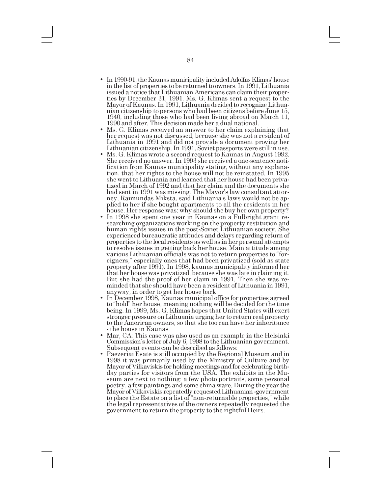- In 1990-91, the Kaunas municipality included Adolfas Klimas' house in the list of properties to be returned to owners. In 1991, Lithuania issued a notice that Lithuanian Americans can claim their properties by December 31, 1991. Ms. G. Klimas sent a request to the Mayor of Kaunas. In 1991, Lithuania decided to recognize Lithuanian citizenship to persons who had been citizens before June 15, 1940, including those who had been living abroad on March 11, 1990 and after. This decision made her a dual national.
- Ms. G. Klimas received an answer to her claim explaining that her request was not discussed, because she was not a resident of Lithuania in 1991 and did not provide a document proving her
- Ms. G. Klimas wrote a second request to Kaunas in August 1992. She received no answer. In 1993 she received a one-sentence notification from Kaunas municipality stating, without any explanation, that her rights to the house will not be reinstated. In 1995 she went to Lithuania and learned that her house had been privatized in March of 1992 and that her claim and the documents she had sent in 1991 was missing. The Mayor's law consultant attorney, Raimundas Miksta, said Lithuania's laws would not be applied to her if she bought apartments to all the residents in her house. Her response was: why should she buy her own property?
- In 1998 she spent one year in Kaunas on a Fulbright grant researching organizations working on the property restitution and human rights issues in the post-Soviet Lithuanian society. She experienced bureaucratic attitudes and delays regarding return of properties to the local residents as well as in her personal attempts to resolve issues in getting back her house. Main attitude among various Lithuanian officials was not to return properties to "foreigners," especially ones that had been privatized (sold as state property after 1991). In 1998, kaunas municipality informed her that her house was privatized, because she was late in claiming it. But she had the proof of her claim in 1991. Then she was reminded that she should have been a resident of Lithuania in 1991, anyway, in order to get her house back.
- In December 1998, Kaunas municipal office for properties agreed to "hold" her house, meaning nothing will be decided for the time being. In 1999, Ms. G. Klimas hopes that United States will exert stronger pressure on Lithuania urging her to return real property to the American owners, so that she too can have her inheritance - the house in Kaunas.
- Mar, CA: This case was also used as an example in the Helsinki Commission's letter of July 6, 1998 to the Lithuanian government. Subsequent events can be described as follows:
- Paezeriai Esate is still occupied by the Regional Museum and in 1998 it was primarily used by the Ministry of Culture and by Mayor of Vilkaviskis for holding meetings and for celebrating birthday parties for visitors from the USA. The exhibits in the Museum are next to nothing: a few photo portraits, some personal poetry, a few paintings and some china ware. During the year the Mayor of Vilkaviskis repeatedly requested Lithuanian -government to place the Estate on a list of "non-returnable properties," while the legal representatives of the owners repeatedly requested the government to return the property to the rightful Heirs.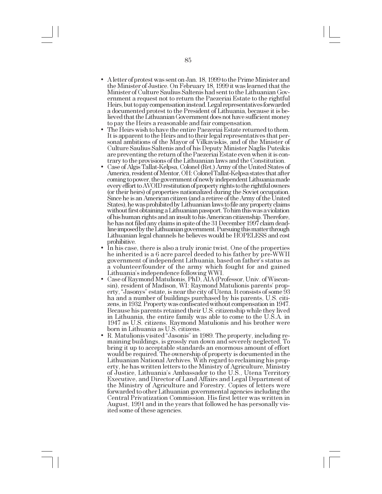- A letter of protest was sent on Jan. 18, 1999 to the Prime Minister and the Minister of Justice. On February 18, 1999 it was learned that the Minister of Culture Saulius Saltenis had sent to the Lithuanian Government a request not to return the Paezeriai Estate to the rightful Heirs, but to pay compensation instead. Legal representatives forwarded a documented protest to the President of Lithuania, because it is believed that the Lithuanian Government does not have sufficient money to pay the Heirs a reasonable and fair compensation.
- The Heirs wish to have the entire Paezeriai Estate returned to them. It is apparent to the Heirs and to their legal representatives that personal ambitions of the Mayor of Vilkaviskis, and of the Minister of Culture Saulius Saltenis and of his Deputy Minister Naglis Puteikis are preventing the return of the Paezeriai Estate even when it is contrary to the provisions of the Lithuanian laws and the Constitution.
- Case of Algis Tallat-Kelpsa, Colonel (Ret.) Army of the United States of America, resident of Mentor, OH: Colonel Tallat-Kelpsa states that after coming to power, the government of newly independent Lithuania made every effort to AVOID restitution of property rights to the rightful owners (or their heirs) of properties nationalized during the Soviet occupation. Since he is an American citizen (and a retiree of the Army of the United States), he was prohibited by Lithuanian laws to file any property claims without first obtaining a Lithuanian passport. To him this was a violation of his human rights and an insult to his American citizenship. Therefore, he has not filed any claims in spite of the 31 December 1997 claim deadline imposed by the Lithuanian government. Pursuing this matter through Lithuanian legal channels he believes would be HOPELESS and cost
- In his case, there is also a truly ironic twist. One of the properties he inherited is a 6 acre parcel deeded to his father by pre-WWII government of independent Lithuania, based on father's status as a volunteer/founder of the army which fought for and gained Lithuania's independence following WWI.
- Case of Raymond Matulionis, PhD, AIA (Professor, Univ. of Wisconsin), resident of Madison, WI: Raymond Matulionis parents' property, "Jasonys" estate, is near the city of Utena. It consists of some 93 ha and a number of buildings purchased by his parents, U.S. citizens, in 1932. Property was confiscated without compensation in 1947. Because his parents retained their U.S. citizenship while they lived in Lithuania, the entire family was able to come to the U.S.A. in 1947 as U.S. citizens. Raymond Matulionis and his brother were born in Lithuania as U.S. citizens.
- R. Matulionis visited "Jasonis" in 1989. The property, including remaining buildings, is grossly run down and severely neglected. To bring it up to acceptable standards an enormous amount of effort would be required. The ownership of property is documented in the Lithuanian National Archives. With regard to reclaiming his property, he has written letters to the Ministry of Agriculture, Ministry of Justice, Lithuania's Ambassador to the U.S., Utena Territory Executive, and Director of Land Affairs and Legal Department of the Ministry of Agriculture and Forestry. Copies of letters were forwarded to other Lithuanian governmental agencies including the Central Privatization Commission. His first letter was written in August, 1991 and in the years that followed he has personally visited some of these agencies.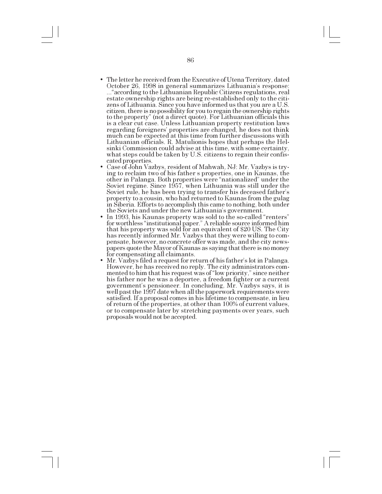- The letter he received from the Executive of Utena Territory, dated October 26, 1998 in general summarizes Lithuania's response: ..."according to the Lithuanian Republic Citizens regulations, real estate ownership rights are being re-established only to the citizens of Lithuania. Since you have informed us that you are a U.S. citizen, there is no possibility for you to regain the ownership rights to the property" (not a direct quote). For Lithuanian officials this is a clear cut case. Unless Lithuanian property restitution laws regarding foreigners' properties are changed, he does not think much can be expected at this time from further discussions with Lithuanian officials. R. Matulionis hopes that perhaps the Helsinki Commission could advise at this time, with some certainty, what steps could be taken by U.S. citizens to regain their confiscated properties.
- Case of John Vazbys, resident of Mahwah, NJ: Mr. Vazbys is trying to reclaim two of his father s properties, one in Kaunas, the other in Palanga. Both properties were "nationalized" under the Soviet regime. Since 1957, when Lithuania was still under the Soviet rule, he has been trying to transfer his deceased father's property to a cousin, who had returned to Kaunas from the gulag in Siberia. Efforts to accomplish this came to nothing, both under the Soviets and under the new Lithuania's government.
- In 1993, his Kaunas property was sold to the so-called "renters" for worthless "institutional paper." A reliable source informed him that his property was sold for an equivalent of \$20 US. The City has recently informed Mr. Vazbys that they were willing to compensate, however, no concrete offer was made, and the city newspapers quote the Mayor of Kaunas as saying that there is no money for compensating all claimants.
- Mr. Vazbys filed a request for return of his father's lot in Palanga. However, he has received no reply. The city administrators commented to him that his request was of "low priority," since neither his father nor he was a deportee, a freedom fighter or a current government's pensioneer. In concluding, Mr. Vazbys says, it is well past the 1997 date when all the paperwork requirements were satisfied. If a proposal comes in his lifetime to compensate, in lieu of return of the properties, at other than 100% of current values, or to compensate later by stretching payments over years, such proposals would not be accepted.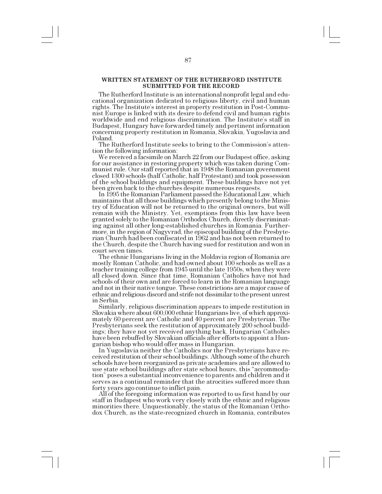## **WRITTEN STATEMENT OF THE RUTHERFORD INSTITUTE SUBMITTED FOR THE RECORD**

The Rutherford Institute is an international nonprofit legal and educational organization dedicated to religious liberty, civil and human rights. The Institute's interest in property restitution in Post-Communist Europe is linked with its desire to defend civil and human rights worldwide and end religious discrimination. The Institute's staff in Budapest, Hungary have forwarded timely and pertinent information concerning property restitution in Romania, Slovakia, Yugoslavia and Poland.

The Rutherford Institute seeks to bring to the Commission's attention the following information:

We received a facsimile on March 22 from our Budapest office, asking for our assistance in restoring property which was taken during Communist rule. Our staff reported that in 1948 the Romanian government closed 1300 schools (half Catholic, half Protestant) and took possession of the school buildings and equipment. These buildings have not yet been given back to the churches despite numerous requests.

In 1995 the Romanian Parliament passed the Educational Law, which maintains that all those buildings which presently belong to the Ministry of Education will not be returned to the original owners, but will remain with the Ministry. Yet, exemptions from this law have been granted solely to the Romanian Orthodox Church, directly discriminating against all other long-established churches in Romania. Furthermore, in the region of Nagyvrad, the episcopal building of the Presbyterian Church had been confiscated in 1962 and has not been returned to the Church, despite the Church having sued for restitution and won in court seven times.

The ethnic Hungarians living in the Moldavia region of Romania are mostly Roman Catholic, and had owned about 100 schools as well as a teacher training college from 1945 until the late 1950s, when they were all closed down. Since that time, Romanian Catholics have not had schools of their own and are forced to learn in the Romanian language and not in their native tongue. These constrictions are a major cause of ethnic and religious discord and strife not dissimilar to the present unrest in Serbia.

Similarly, religious discrimination appears to impede restitution in Slovakia where about 600,000 ethnic Hungarians live, of which approximately 60 percent are Catholic and 40 percent are Presbyterian. The Presbyterians seek the restitution of approximately 200 school buildings; they have not yet received anything back. Hungarian Catholics have been rebuffed by Slovakian officials after efforts to appoint a Hungarian bishop who would offer mass in Hungarian.

ceived restitution of their school buildings. Although some of the church schools have been reorganized as private academies and are allowed to use state school buildings after state school hours, this "accommodation" poses a substantial inconvenience to parents and children and it serves as a continual reminder that the atrocities suffered more than

forty years ago continue to inflict pain. All of the foregoing information was reported to us first hand by our staff in Budapest who work very closely with the ethnic and religious minorities there. Unquestionably, the status of the Romanian Orthodox Church, as the state-recognized church in Romania, contributes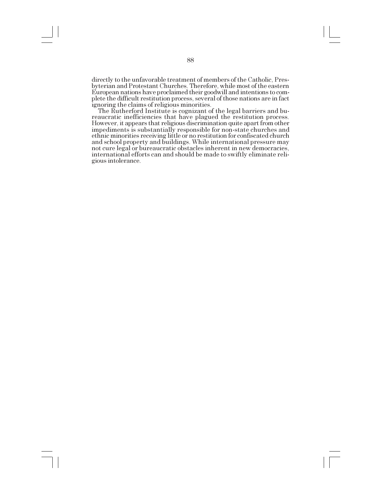directly to the unfavorable treatment of members of the Catholic, Presbyterian and Protestant Churches. Therefore, while most of the eastern European nations have proclaimed their goodwill and intentions to complete the difficult restitution process, several of those nations are in fact ignoring the claims of religious minorities.<br>The Rutherford Institute is cognizant of the legal barriers and bu-

reaucratic inefficiencies that have plagued the restitution process. However, it appears that religious discrimination quite apart from other impediments is substantially responsible for non-state churches and ethnic minorities receiving little or no restitution for confiscated church and school property and buildings. While international pressure may not cure legal or bureaucratic obstacles inherent in new democracies, international efforts can and should be made to swiftly eliminate religious intolerance.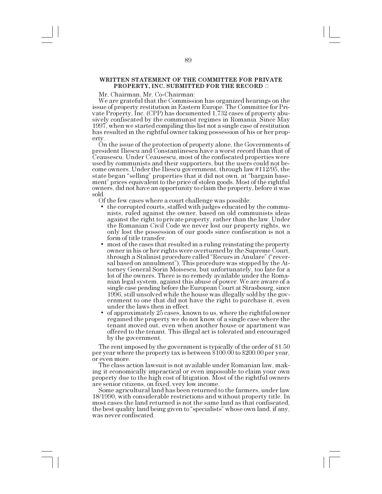# **WRITTEN STATEMENT OF THE COMMITTEE FOR PRIVATE PROPERTY, INC. SUBMITTED FOR THE RECORD**

Mr. Chairman, Mr. Co-Chairman:

We are grateful that the Commission has organized hearings on the issue of property restitution in Eastern Europe. The Committee for Private Property, Inc. (CPP) has documented 1,732 cases of property abusively confiscated by the communist regimes in Romania. Since May 1997, when we started compiling this list not a single case of restitution has resulted in the rightful owner taking possession of his or her prop-

erty.<br>On the issue of the protection of property alone, the Governments of president Iliescu and Constantinescu have a worst record than that of Ceausescu. Under Ceausescu, most of the confiscated properties were used by communists and their supporters, but the users could not become owners. Under the Iliescu government, through law #112/95, the state began "selling" properties that it did not own, at "bargain basement" prices equivalent to the price of stolen goods. Most of the rightful owners, did not have an opportunity to claim the property, before it was sold.

Of the few cases where a court challenge was possible:

- the corrupted courts, staffed with judges educated by the communists, ruled against the owner, based on old communists ideas against the right to private property, rather than the law. Under the Romanian Civil Code we never lost our property rights, we only lost the possession of our goods since confiscation is not a
- form of title transfer.<br>
most of the cases that resulted in a ruling reinstating the property owner in his or her rights were overturned by the Supreme Court, through a Stalinist procedure called "Recurs in Anulare" ("reversal based on annulment"). This procedure was stopped by the Attorney General Sorin Moisescu, but unfortunately, too late for a lot of the owners. There is no remedy available under the Romanian legal system, against this abuse of power. We are aware of a single case pending before the European Court at Strasbourg, since 1996, still unsolved while the house was illegally sold by the government to one that did not have the right to purchase it, even under the laws then in effect.
- of approximately 25 cases, known to us, where the rightful owner regained the property we do not know of a single case where the tenant moved out, even when another house or apartment was offered to the tenant. This illegal act is tolerated and encouraged by the government.

The rent imposed by the government is typically of the order of \$1.50 per year where the property tax is between \$100.00 to \$200.00 per year, or even more.

The class action lawsuit is not available under Romanian law, making it economically impractical or even impossible to claim your own property due to the high cost of litigation. Most of the rightful owners

Some agricultural land has been returned to the farmers, under law 18/1990, with considerable restrictions and without property title. In most cases the land returned is not the same land as that confiscated, the best quality land being given to "specialists" whose own land, if any, was never confiscated.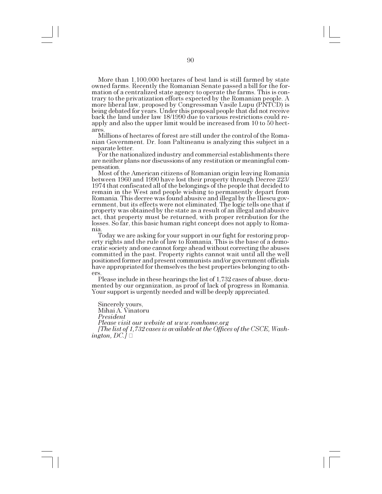More than 1,100,000 hectares of best land is still farmed by state owned farms. Recently the Romanian Senate passed a bill for the formation of a centralized state agency to operate the farms. This is contrary to the privatization efforts expected by the Romanian people. A more liberal law, proposed by Congressman Vasile Lupu (PNTCD) is being debated for years. Under this proposal people that did not receive back the land under law 18/1990 due to various restrictions could reapply and also the upper limit would be increased from 10 to 50 hectares.

Millions of hectares of forest are still under the control of the Romanian Government. Dr. Ioan Paltineanu is analyzing this subject in a separate letter.

For the nationalized industry and commercial establishments there are neither plans nor discussions of any restitution or meaningful compensation.

Most of the American citizens of Romanian origin leaving Romania between 1960 and 1990 have lost their property through Decree 223/ 1974 that confiscated all of the belongings of the people that decided to remain in the West and people wishing to permanently depart from Romania. This decree was found abusive and illegal by the Iliescu government, but its effects were not eliminated. The logic tells one that if property was obtained by the state as a result of an illegal and abusive act, that property must be returned, with proper retribution for the losses. So far, this basic human right concept does not apply to Romania.

Today we are asking for your support in our fight for restoring property rights and the rule of law to Romania. This is the base of a democratic society and one cannot forge ahead without correcting the abuses committed in the past. Property rights cannot wait until all the well positioned former and present communists and/or government officials have appropriated for themselves the best properties belonging to others.<br>Please include in these hearings the list of 1,732 cases of abuse, docu-

mented by our organization, as proof of lack of progress in Romania. Your support is urgently needed and will be deeply appreciated.

Sincerely yours, Mihai A. Vinatoru

*President*

*Please visit our website at www.romhome.org*

*[The list of 1,732 cases is available at the Offices of the CSCE, Washington, DC.]*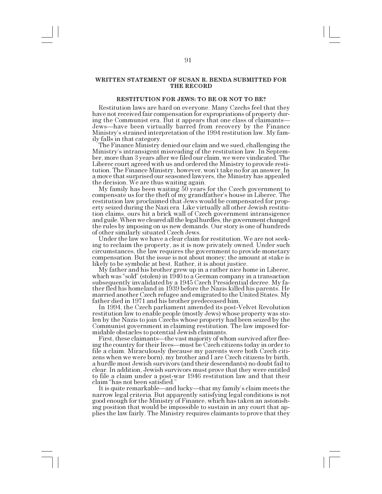## **WRITTEN STATEMENT OF SUSAN R. BENDA SUBMITTED FOR THE RECORD**

# **RESTITUTION FOR JEWS: TO BE OR NOT TO BE?**

Restitution laws are hard on everyone. Many Czechs feel that they have not received fair compensation for expropriations of property during the Communist era. But it appears that one class of claimants Jews—have been virtually barred from recovery by the Finance Ministry's strained interpretation of the 1994 restitution law. My family falls in that category.

The Finance Ministry denied our claim and we sued, challenging the Ministrys intransigent misreading of the restitution law. In September, more than 3 years after we filed our claim, we were vindicated. The Liberec court agreed with us and ordered the Ministry to provide restitution. The Finance Ministry, however, won't take no for an answer. In a move that surprised our seasoned lawyers, the Ministry has appealed the decision. We are thus waiting again.<br>My family has been waiting 50 years for the Czech government to

compensate us for the theft of my grandfather's house in Liberec. The restitution law proclaimed that Jews would be compensated for property seized during the Nazi era. Like virtually all other Jewish restitution claims, ours hit a brick wall of Czech government intransigence and guile. When we cleared all the legal hurdles, the government changed the rules by imposing on us new demands. Our story is one of hundreds of other similarly situated Czech Jews.

Under the law we have a clear claim for restitution. We are not seeking to reclaim the property, as it is now privately owned. Under such circumstances, the law requires the government to provide monetary compensation. But the issue is not about money; the amount at stake is

My father and his brother grew up in a rather nice home in Liberec, which was "sold" (stolen) in  $1940$  to a German company in a transaction subsequently invalidated by a 1945 Czech Presidential decree. My father fled his homeland in 1939 before the Nazis killed his parents. He married another Czech refugee and emigrated to the United States. My father died in 1971 and his brother predeceased him.

In 1994, the Czech parliament amended its post-Velvet Revolution restitution law to enable people (mostly Jews) whose property was stolen by the Nazis to join Czechs whose property had been seized by the Communist government in claiming restitution. The law imposed for-

midable obstacles to potential Jewish claimants.<br>First, these claimants—the vast majority of whom survived after fleeing the country for their lives—must be Czech citizens today in order to file a claim. Miraculously (because my parents were both Czech citizens when we were born), my brother and I are Czech citizens by birth, a hurdle most Jewish survivors (and their descendants) no doubt fail to clear. In addition, Jewish survivors must prove that they were entitled to file a claim under a post-war 1946 restitution law and that their claim "has not been satisfied."

It is quite remarkable—and lucky—that my family's claim meets the narrow legal criteria. But apparently satisfying legal conditions is not good enough for the Ministry of Finance, which has taken an astonishing position that would be impossible to sustain in any court that applies the law fairly. The Ministry requires claimants to prove that they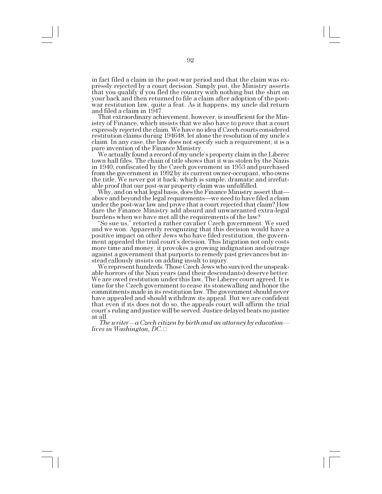in fact filed a claim in the post-war period and that the claim was expressly rejected by a court decision. Simply put, the Ministry asserts that you qualify if you fled the country with nothing but the shirt on your back and then returned to file a claim after adoption of the postwar restitution law, quite a feat. As it happens, my uncle did return and filed a claim in 1947.

That extraordinary achievement, however, is insufficient for the Ministry of Finance, which insists that we also have to prove that a court expressly rejected the claim. We have no idea if Czech courts considered restitution claims during 194648, let alone the resolution of my uncle's claim. In any case, the law does not specify such a requirement; it is a<br>pure invention of the Finance Ministry.

We actually found a record of my uncle's property claim in the Liberec town hall files. The chain of title shows that it was stolen by the Nazis in 1940, confiscated by the Czech government in 1953 and purchased from the government in 1992 by its current owner-occupant, who owns the title. We never got it back, which is simple, dramatic and irrefutable proof that our post-war property claim was unfulfilled.

Why, and on what legal basis, does the Finance Ministry assert that above and beyond the legal requirements—we need to have filed a claim under the post-war law and prove that a court rejected that claim? How dare the Finance Ministry add absurd and unwarranted extra-legal burdens when we have met all the requirements of the law?

"So sue us," retorted a rather cavalier Czech government. We sued and we won. Apparently recognizing that this decision would have a positive impact on other Jews who have filed restitution, the government appealed the trial court's decision. This litigation not only costs more time and money, it provokes a growing indignation and outrage against a government that purports to remedy past grievances but instead callously insists on adding insult to injury.

We represent hundreds. Those Czech Jews who survived the unspeakable horrors of the Nazi years (and their descendants) deserve better. We are owed restitution under this law. The Liberec court agreed. It is time for the Czech government to cease its stonewalling and honor the commitments made in its restitution law. The government should never have appealed and should withdraw its appeal. But we are confident that even if its does not do so, the appeals court will affirm the trial court's ruling and justice will be served. Justice delayed beats no justice at all.

*The writer—a Czech citizen by birth and an attorney by education lives in Washington, DC.*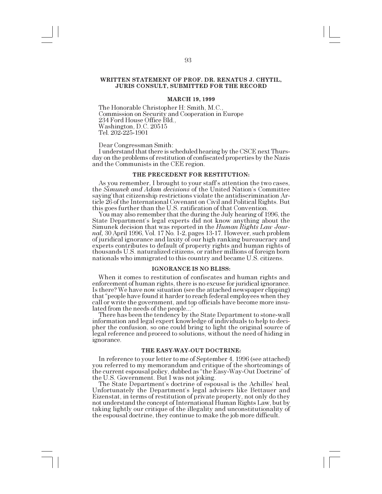# **WRITTEN STATEMENT OF PROF. DR. RENATUS J. CHYTIL, JURIS CONSULT, SUBMITTED FOR THE RECORD**

## **MARCH 19, 1999**

The Honorable Christopher H: Smith, M.C., Commission on Security and Cooperation in Europe 234 Ford House Office Bld., Washington, D.C. 20515 Tel. 202-225-1901

Dear Congressman Smith:<br>I understand that there is scheduled hearing by the CSCE next Thursday on the problems of restitution of confiscated properties by the Nazis and the Communists in the CEE region.

# **THE PRECEDENT FOR RESTITUTION:**

As you remember, I brought to your staff's attention the two cases, the *Simunek and Adam decisions* of the United Nation's Committee saying' that citizenship restrictions violate the antidiscrimination Article 26 of the International Covenant on Civil and Political Rights. But

You may also remember that the during the July hearing of 1996, the State Department's legal experts did not know anything about the Simunek decision that was reported in the *Human Rights Law Journal,* 30 April 1996, Vol. 17 No. 1-2, pages 13-17. However, such problem of juridical ignorance and laxity of our high ranking bureaucracy and experts contributes to default of property rights and human rights of thousands U.S. naturalized citizens, or rather millions of foreign born nationals who immigrated to this country and became U.S. citizens.

#### **IGNORANCE IS NO BLISS:**

When it comes to restitution of confiscates and human rights and enforcement of human rights, there is no excuse for juridical ignorance. Is there? We have now situation (see the attached newspaper clipping) that "people have found it harder to reach federal employees when they call or write the government, and top officials have become more insulated from the needs of the people...

There has been the tendency by the State Department to stone-wall information and legal expert knowledge of individuals to help to decipher the confusion, so one could bring to light the original source of legal reference and proceed to solutions, without the need of hiding in ignorance.

#### **THE EASY-WAY-OUT DOCTRINE:**

In reference to your letter to me of September 4, 1996 (see attached) you referred to my memorandum and critique of the shortcomings of the current espousal policy, dubbed as "the Easy-Way-Out Doctrine" of the U.S. Government. But I was not joking.

The State Department's doctrine of espousal is the Achilles' heal. Unfortunately the Department's legal advisers like Bettauer and Eizenstat, in terms of restitution of private property, not only do they not understand the concept of International Human Rights Law, but by taking lightly our critique of the illegality and unconstitutionality of the espousal doctrine, they continue to make the job more difficult.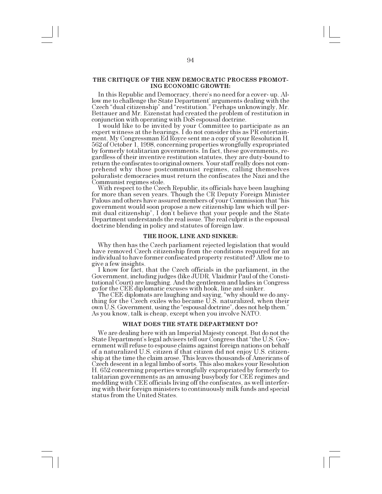## **THE CRITIQUE OF THE NEW DEMOCRATIC PROCESS PROMOT-ING ECONOMIC GROWTH:**

In this Republic and Democracy, there's no need for a cover- up. Allow me to challenge the State Department' arguments dealing with the Czech "dual citizenship" and "restitution." Perhaps unknowingly, Mr. Bettauer and Mr. Eizenstat had created the problem of restitution in conjunction with operating with DoS espousal doctrine.

I would like to be invited by your Committee to participate as an expert witness at the hearings. I do not consider this as PR entertainment. My Congressman Ed Royce sent me a copy of your Resolution H. 562 of October 1, 1998, concerning properties wrongfully expropriated by formerly totalitarian governments. In fact, these governments, regardless of their inventive restitution statutes, they are duty-bound to return the confiscates to original owners. Your staff really does not comprehend why those postcommunist regimes, calling themselves poluralistc democracies must return the confiscates the Nazi and the

Communist regimes stole. With respect to the Czech Republic, its officials have been laughing for more than seven years. Though the CR Deputy Foreign Minister Palous and others have assured members of your Commission that "his government would soon propose a new citizenship law which will permit dual citizenship", I don't believe that your people and the State Department understands the real issue. The real culprit is the espousal doctrine blending in policy and statutes of foreign law.

### **THE HOOK, LINE AND SINKER:**

Why then has the Czech parliament rejected legislation that would have removed Czech citizenship from the conditions required for an individual to have former confiscated property restituted? Allow me to

I know for fact, that the Czech officials in the parliament, in the Government, including judges (like JUDR. Vlaidmir Paul of the Constitutional Court) are laughing. And the gentlemen and ladies in Congress go for the CEE diplomatic excuses with hook, line and sinker.

The CEE diplomats are laughing and saying, why should we do anything for the Czech exiles who became U.S. naturalized, when their own U.S. Government, using the "espousal doctrine", does not help them." As you know, talk is cheap, except when you involve NATO.

## **WHAT DOES THE STATE DEPARTMENT DO?**

We are dealing here with an Imperial Majesty concept. But do not the State Department's legal advisers tell our Congress that "the U.S. Government will refuse to espouse claims against foreign nations on behalf of a naturalized U.S. citizen if that citizen did not enjoy U.S. citizenship at the time the claim arose. This leaves thousands of Americans of Czech descent in a legal limbo of sorts. This also makes your Resolution H. 652 concerning properties wrongfully expropriated by formerly totalitarian governments as an amusing busybody for CEE regimes and meddling with CEE officials living off the confiscates, as well interfering with their foreign ministers to continuously milk funds and special status from the United States.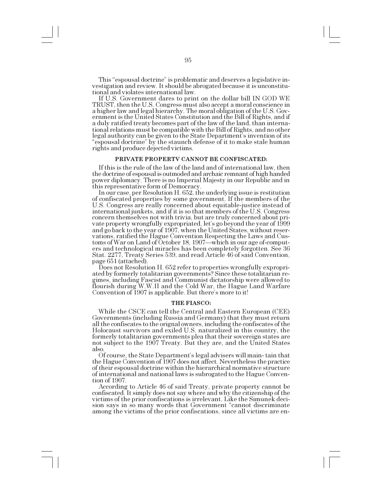This "espousal doctrine" is problematic and deserves a legislative investigation and review. It should be abrogated because it is unconstitutional and violates international law.

If U.S. Government dares to print on the dollar bill IN GOD WE TRUST, then the U.S. Congress must also accept a moral conscience in a higher law and legal hierarchy. The moral obligation of the U.S. Government is the United States Constitution and the Bill of Rights, and if a duly ratified treaty becomes part of the law of the land, than international relations must be compatible with the Bill of Rights, and no other legal authority can be given to the State Department's invention of its "espousal doctrine" by the staunch defense of it to make stale human rights and produce dejected victims.

### **PRIVATE PROPERTV CANNOT BE CONFISCATED:**

If this is the rule of the law of the land and of international law, then the doctrine of espousal is outmoded and archaic remnant of high handed power diplomacy. There is no Imperial Majesty in our Republic and in this representative form of Democracy.<br>In our case, per Resolution H. 652, the underlying issue is restitution

of confiscated properties by some government. If the members of the U.S. Congress are really concerned about equitable-justice instead of international junkets, and if it is so that members of the U.S. Congress concern themselves not with trivia, but are truly concerned about private property wrongfully expropriated, let's go beyond the year of 1999 and go back to the year of 1907, when the United States, without reservations, ratified the Hague Convention Respecting the Laws and Customs of War on Land of October 18, 1907—which in our age of-computers and technological miracles has been completely forgotten. See 36 Stat. 2277, Treaty Series 539, and read Article 46 of said Convention,

page 651 (attached).<br>Does not Resolution H. 652 refer to properties wrongfully expropriated by formerly totalitarian governments? Since these totalitarian regimes, including Fascist and Communist dictatorship were allowed to flourish during W.W.II and the Cold War, the Hague Land Warfare Convention of  $1907$  is applicable. But there's more to it!

#### **THE FIASCO:**

While the CSCE can tell the Central and Eastern European (CEE) Governments (including Russia and Germany) that they must return all the confiscates to the orignal owners, including the confiscates of the Holocaust survivors and exiled U.S. naturalized in this country, the formerly totalitarian governments plea that their sovereign states are not subject to the 1907 Treaty. But they are, and the United States also.

Of course, the State Department's legal advisers will main-tain that the Hague Convention of 1907 does not affect. Nevertheless the practice of their espousal doctrine within the hierarchical normative structure of international and national laws is subrogated to the Hague Convention of 1907.

According to Article 46 of said Treaty, private property cannot be confiscated. It simply does not say where and why the citizenship of the victims of the prior confiscations is irrelevant. Like the Simunek decision says in so many words that Government "cannot discriminate among the victims of the prior confiscations, since all victims are en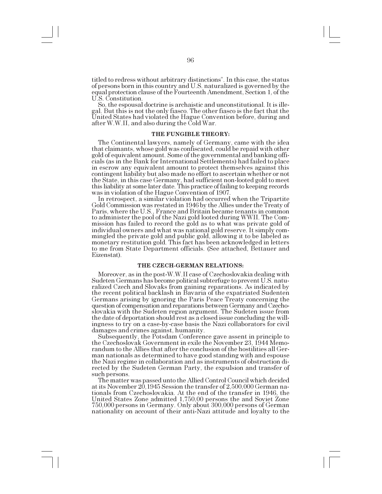titled to redress without arbitrary distinctions". In this case, the status of persons born in this country and U.S. naturalized is governed by the equal protection clause of the Fourteenth Amendment, Section 1, of the U.S. Constitution.

So, the espousal doctrine is archaistic and unconstitutional. It is illegal. But this is not the only fiasco. The other fiasco is the fact that the United States had violated the Hague Convention before, during and after W.W.II, and also during the Cold War.

# **THE FUNGIBLE THEORY:**

The Continental lawyers, namely of Germany, came with the idea that claimants, whose gold was confiscated, could be repaid with other gold of equivalent amount. Some of the governmental and banking officials (as in the Bank for International Settlements) had failed to place in escrow any equivalent amount to protect themselves against this contingent liability but also made no effort to ascertain whether or not the State, in this case Germany, had sufficient non-looted gold to meet this liability at some later date. This practice of failing to keeping records was in violation of the Hague Convention of 1907.

In retrospect, a similar violation had occurred when the Tripartite Gold Commission was restated in 1946 by the Allies under the Treaty of Paris, where the U.S., France and Britain became tenants in common to administer the pool of the Nazi gold looted during WWII. The Commission has failed to record the gold as to what was private gold of individual owners and what was national gold reserve. It simply commingled the private gold and public gold, allowing it to be labeled as monetary restitution gold. This fact has been acknowledged in letters to me from State Department officials. (See attached, Bettauer and Eizenstat).

#### **THE CZECH-GERMAN RELATIONS:**

Moreover, as in the post-W.W.II case of Czechoslovakia dealing with Sudeten Germans has become political subterfuge to prevent U.S. naturalized Czech and Slovaks from gaining reparations. As indicated by the recent political backlash in Bavaria of the expatriated Sudenten Germans arising by ignoring the Paris Peace Treaty concerning the question of compensation and reparations between Germany and Czechoslovakia with the Sudeten region argument. The Sudeten issue from the date of deportation should rest as a closed issue concluding the willingness to try on a case-by-case basis the Nazi collaborators for civil damages and crimes against, humanity.

Subsequently, the Potsdam Conference gave assent in principle to the Czechoslovak Government in exile the November 23, 1944 Memorandum to the Allies that after the conclusion of the hostilities all German nationals as determined to have good standing with and espouse the Nazi regime in collaboration and as instruments of obstruction directed by the Sudeten German Party, the expulsion and transfer of such persons.

The matter was passed unto the Allied Control Council which decided at its November 20,1945 Session the transfer of 2,500,000 German nationals from Czechoslovakia. At the end of the transfer in 1946, the United States Zone admitted 1,750,00 persons the and Soviet Zone 750,000 persons in Germany. Only about 300,000 persons of German nationality on account of their anti-Nazi attitude and loyalty to the